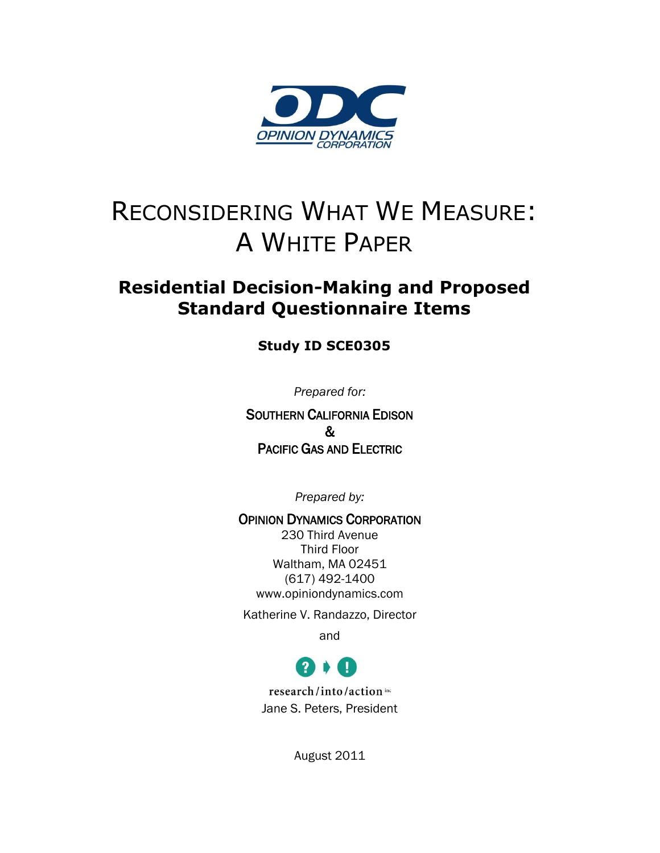

# RECONSIDERING WHAT WE MEASURE: A WHITE PAPER

### **Residential Decision-Making and Proposed Standard Questionnaire Items**

#### **Study ID SCE0305**

*Prepared for:*

SOUTHERN CALIFORNIA EDISON & PACIFIC GAS AND ELECTRIC

*Prepared by:*

OPINION DYNAMICS CORPORATION 230 Third Avenue Third Floor Waltham, MA 02451 (617) 492-1400 www.opiniondynamics.com

Katherine V. Randazzo, Director

and



research/into/action inc Jane S. Peters, President

August 2011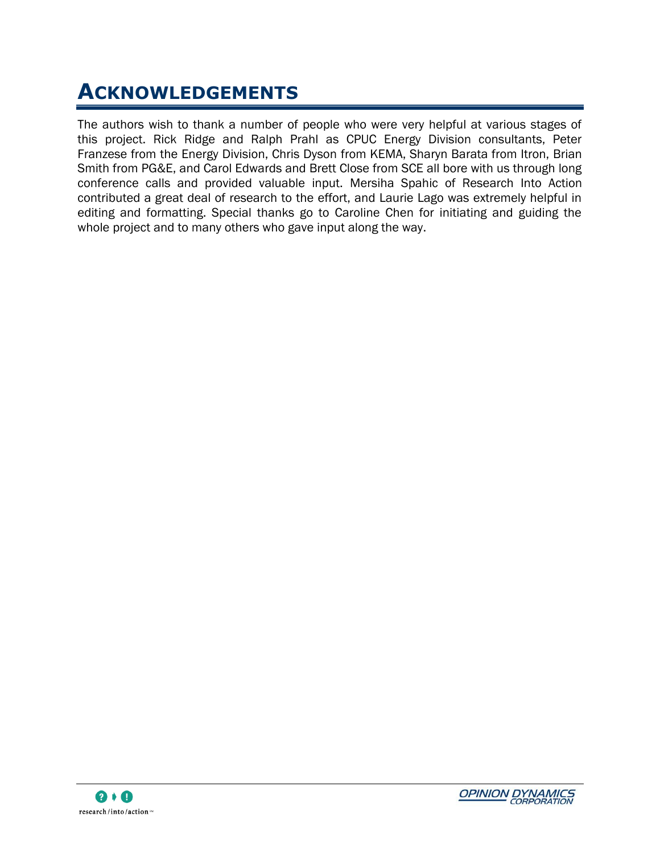# **ACKNOWLEDGEMENTS**

The authors wish to thank a number of people who were very helpful at various stages of this project. Rick Ridge and Ralph Prahl as CPUC Energy Division consultants, Peter Franzese from the Energy Division, Chris Dyson from KEMA, Sharyn Barata from Itron, Brian Smith from PG&E, and Carol Edwards and Brett Close from SCE all bore with us through long conference calls and provided valuable input. Mersiha Spahic of Research Into Action contributed a great deal of research to the effort, and Laurie Lago was extremely helpful in editing and formatting. Special thanks go to Caroline Chen for initiating and guiding the whole project and to many others who gave input along the way.

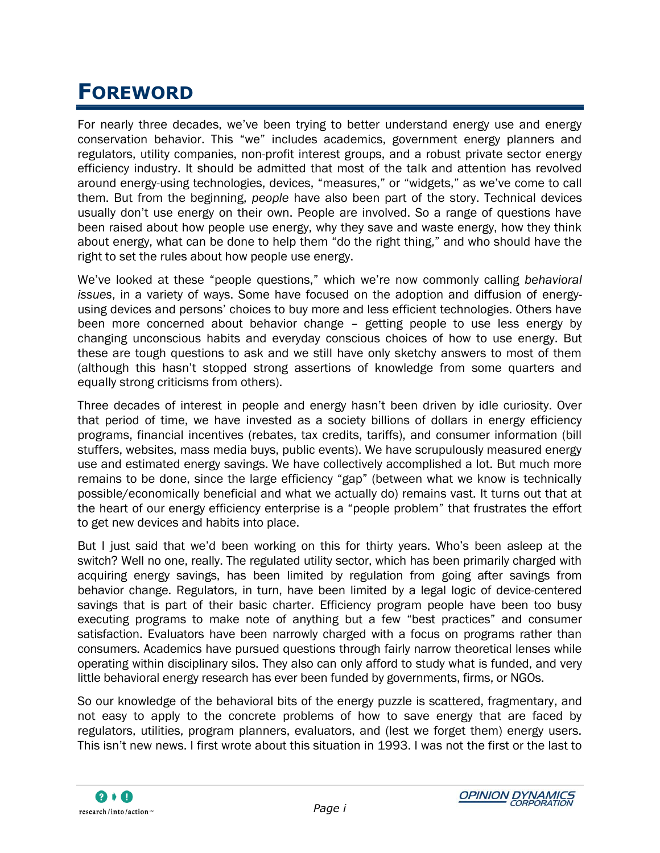# **FOREWORD**

For nearly three decades, we"ve been trying to better understand energy use and energy conservation behavior. This "we" includes academics, government energy planners and regulators, utility companies, non-profit interest groups, and a robust private sector energy efficiency industry. It should be admitted that most of the talk and attention has revolved around energy-using technologies, devices, "measures," or "widgets," as we"ve come to call them. But from the beginning, *people* have also been part of the story. Technical devices usually don"t use energy on their own. People are involved. So a range of questions have been raised about how people use energy, why they save and waste energy, how they think about energy, what can be done to help them "do the right thing," and who should have the right to set the rules about how people use energy.

We"ve looked at these "people questions," which we"re now commonly calling *behavioral issues*, in a variety of ways. Some have focused on the adoption and diffusion of energyusing devices and persons" choices to buy more and less efficient technologies. Others have been more concerned about behavior change – getting people to use less energy by changing unconscious habits and everyday conscious choices of how to use energy. But these are tough questions to ask and we still have only sketchy answers to most of them (although this hasn"t stopped strong assertions of knowledge from some quarters and equally strong criticisms from others).

Three decades of interest in people and energy hasn"t been driven by idle curiosity. Over that period of time, we have invested as a society billions of dollars in energy efficiency programs, financial incentives (rebates, tax credits, tariffs), and consumer information (bill stuffers, websites, mass media buys, public events). We have scrupulously measured energy use and estimated energy savings. We have collectively accomplished a lot. But much more remains to be done, since the large efficiency "gap" (between what we know is technically possible/economically beneficial and what we actually do) remains vast. It turns out that at the heart of our energy efficiency enterprise is a "people problem" that frustrates the effort to get new devices and habits into place.

But I just said that we"d been working on this for thirty years. Who"s been asleep at the switch? Well no one, really. The regulated utility sector, which has been primarily charged with acquiring energy savings, has been limited by regulation from going after savings from behavior change. Regulators, in turn, have been limited by a legal logic of device-centered savings that is part of their basic charter. Efficiency program people have been too busy executing programs to make note of anything but a few "best practices" and consumer satisfaction. Evaluators have been narrowly charged with a focus on programs rather than consumers. Academics have pursued questions through fairly narrow theoretical lenses while operating within disciplinary silos. They also can only afford to study what is funded, and very little behavioral energy research has ever been funded by governments, firms, or NGOs.

So our knowledge of the behavioral bits of the energy puzzle is scattered, fragmentary, and not easy to apply to the concrete problems of how to save energy that are faced by regulators, utilities, program planners, evaluators, and (lest we forget them) energy users. This isn"t new news. I first wrote about this situation in 1993. I was not the first or the last to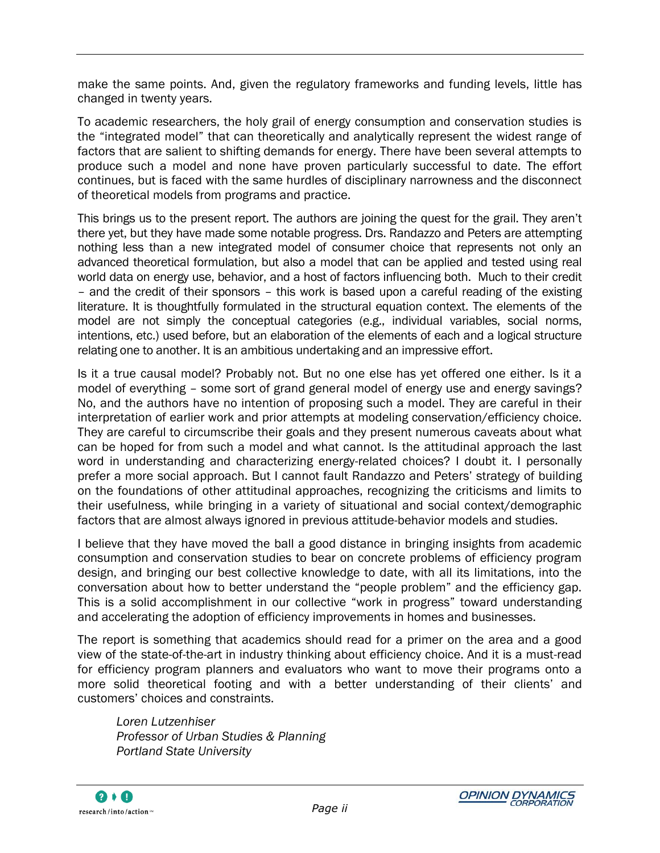make the same points. And, given the regulatory frameworks and funding levels, little has changed in twenty years.

To academic researchers, the holy grail of energy consumption and conservation studies is the "integrated model" that can theoretically and analytically represent the widest range of factors that are salient to shifting demands for energy. There have been several attempts to produce such a model and none have proven particularly successful to date. The effort continues, but is faced with the same hurdles of disciplinary narrowness and the disconnect of theoretical models from programs and practice.

This brings us to the present report. The authors are joining the quest for the grail. They aren"t there yet, but they have made some notable progress. Drs. Randazzo and Peters are attempting nothing less than a new integrated model of consumer choice that represents not only an advanced theoretical formulation, but also a model that can be applied and tested using real world data on energy use, behavior, and a host of factors influencing both. Much to their credit – and the credit of their sponsors – this work is based upon a careful reading of the existing literature. It is thoughtfully formulated in the structural equation context. The elements of the model are not simply the conceptual categories (e.g., individual variables, social norms, intentions, etc.) used before, but an elaboration of the elements of each and a logical structure relating one to another. It is an ambitious undertaking and an impressive effort.

Is it a true causal model? Probably not. But no one else has yet offered one either. Is it a model of everything – some sort of grand general model of energy use and energy savings? No, and the authors have no intention of proposing such a model. They are careful in their interpretation of earlier work and prior attempts at modeling conservation/efficiency choice. They are careful to circumscribe their goals and they present numerous caveats about what can be hoped for from such a model and what cannot. Is the attitudinal approach the last word in understanding and characterizing energy-related choices? I doubt it. I personally prefer a more social approach. But I cannot fault Randazzo and Peters" strategy of building on the foundations of other attitudinal approaches, recognizing the criticisms and limits to their usefulness, while bringing in a variety of situational and social context/demographic factors that are almost always ignored in previous attitude-behavior models and studies.

I believe that they have moved the ball a good distance in bringing insights from academic consumption and conservation studies to bear on concrete problems of efficiency program design, and bringing our best collective knowledge to date, with all its limitations, into the conversation about how to better understand the "people problem" and the efficiency gap. This is a solid accomplishment in our collective "work in progress" toward understanding and accelerating the adoption of efficiency improvements in homes and businesses.

The report is something that academics should read for a primer on the area and a good view of the state-of-the-art in industry thinking about efficiency choice. And it is a must-read for efficiency program planners and evaluators who want to move their programs onto a more solid theoretical footing and with a better understanding of their clients" and customers" choices and constraints.

*Loren Lutzenhiser Professor of Urban Studies & Planning Portland State University*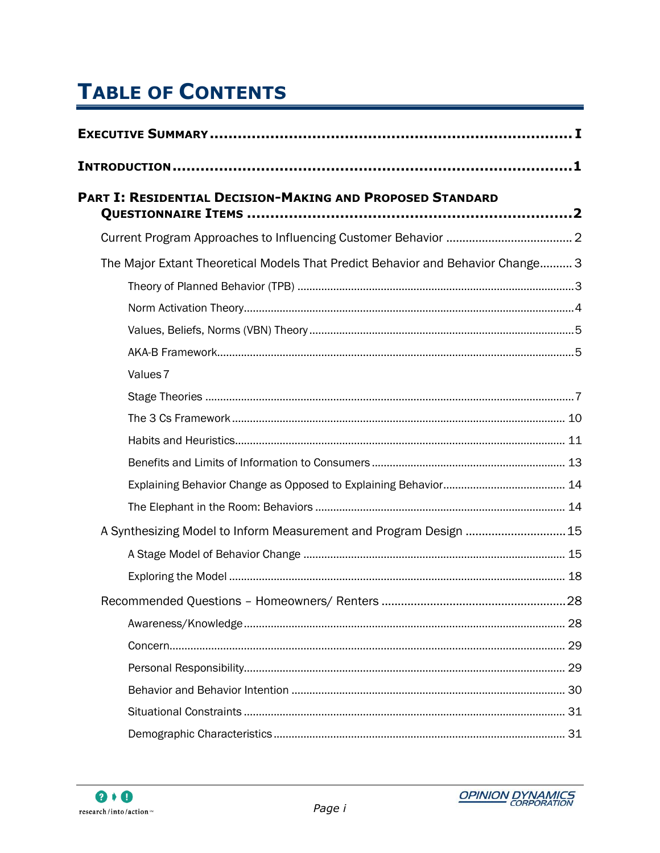# **TABLE OF CONTENTS**

| PART I: RESIDENTIAL DECISION-MAKING AND PROPOSED STANDARD                       |  |
|---------------------------------------------------------------------------------|--|
|                                                                                 |  |
| The Major Extant Theoretical Models That Predict Behavior and Behavior Change 3 |  |
|                                                                                 |  |
|                                                                                 |  |
|                                                                                 |  |
|                                                                                 |  |
| Values <sub>7</sub>                                                             |  |
|                                                                                 |  |
|                                                                                 |  |
|                                                                                 |  |
|                                                                                 |  |
|                                                                                 |  |
|                                                                                 |  |
| A Synthesizing Model to Inform Measurement and Program Design  15               |  |
|                                                                                 |  |
|                                                                                 |  |
|                                                                                 |  |
|                                                                                 |  |
|                                                                                 |  |
|                                                                                 |  |
|                                                                                 |  |
|                                                                                 |  |
|                                                                                 |  |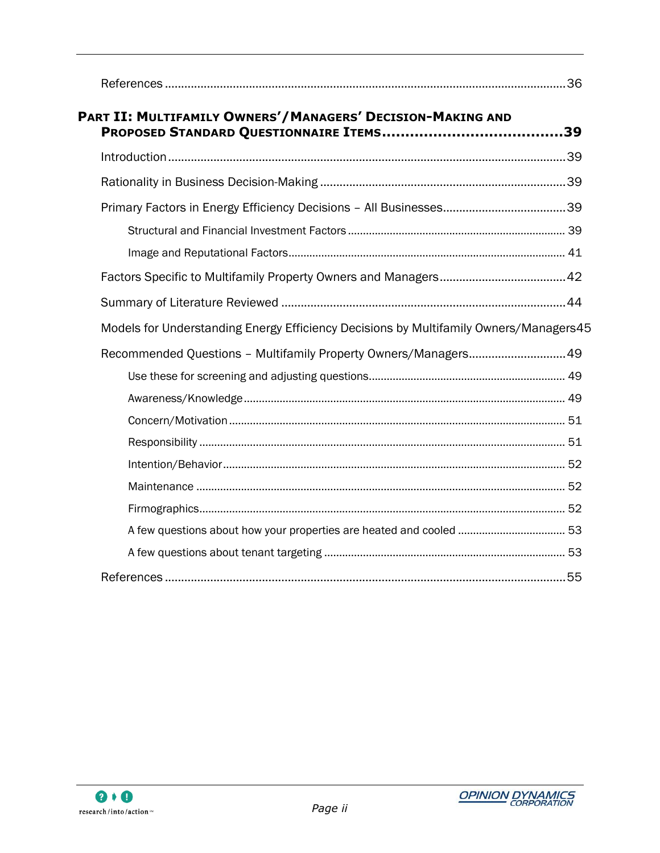| PART II: MULTIFAMILY OWNERS'/MANAGERS' DECISION-MAKING AND                            |  |
|---------------------------------------------------------------------------------------|--|
|                                                                                       |  |
|                                                                                       |  |
|                                                                                       |  |
|                                                                                       |  |
|                                                                                       |  |
|                                                                                       |  |
|                                                                                       |  |
| Models for Understanding Energy Efficiency Decisions by Multifamily Owners/Managers45 |  |
| Recommended Questions - Multifamily Property Owners/Managers 49                       |  |
|                                                                                       |  |
|                                                                                       |  |
|                                                                                       |  |
|                                                                                       |  |
|                                                                                       |  |
|                                                                                       |  |
|                                                                                       |  |
|                                                                                       |  |
|                                                                                       |  |
|                                                                                       |  |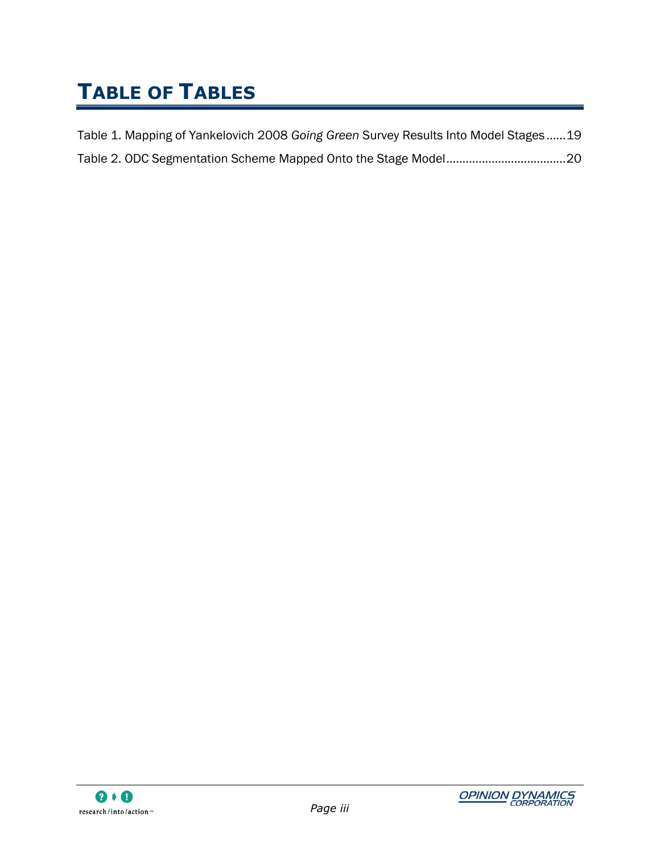# **TABLE OF TABLES**

| Table 1. Mapping of Yankelovich 2008 Going Green Survey Results Into Model Stages19 |  |
|-------------------------------------------------------------------------------------|--|
|                                                                                     |  |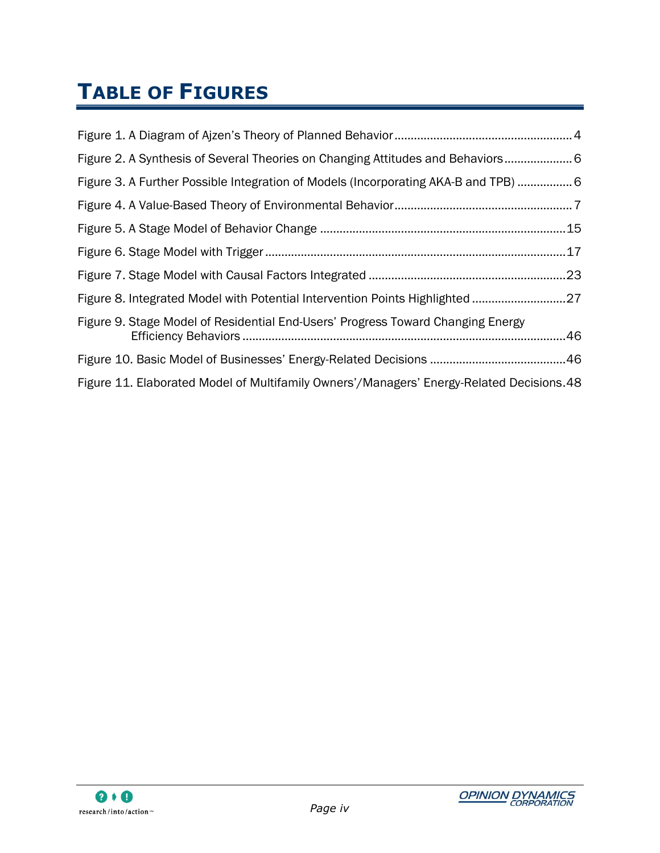# **TABLE OF FIGURES**

| Figure 2. A Synthesis of Several Theories on Changing Attitudes and Behaviors 6          |  |
|------------------------------------------------------------------------------------------|--|
| Figure 3. A Further Possible Integration of Models (Incorporating AKA-B and TPB)  6      |  |
|                                                                                          |  |
|                                                                                          |  |
|                                                                                          |  |
|                                                                                          |  |
| Figure 8. Integrated Model with Potential Intervention Points Highlighted 27             |  |
| Figure 9. Stage Model of Residential End-Users' Progress Toward Changing Energy          |  |
|                                                                                          |  |
| Figure 11. Elaborated Model of Multifamily Owners'/Managers' Energy-Related Decisions.48 |  |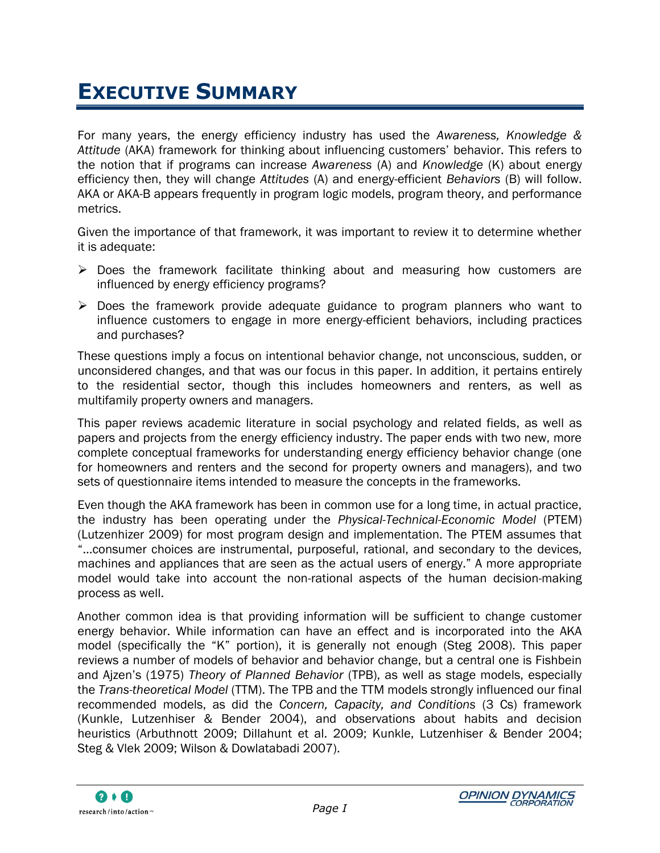# <span id="page-8-0"></span>**EXECUTIVE SUMMARY**

For many years, the energy efficiency industry has used the *Awareness, Knowledge & Attitude* (AKA) framework for thinking about influencing customers" behavior. This refers to the notion that if programs can increase *Awareness* (A) and *Knowledge* (K) about energy efficiency then, they will change *Attitudes* (A) and energy-efficient *Behaviors* (B) will follow. AKA or AKA-B appears frequently in program logic models, program theory, and performance metrics.

Given the importance of that framework, it was important to review it to determine whether it is adequate:

- $\triangleright$  Does the framework facilitate thinking about and measuring how customers are influenced by energy efficiency programs?
- $\triangleright$  Does the framework provide adequate guidance to program planners who want to influence customers to engage in more energy-efficient behaviors, including practices and purchases?

These questions imply a focus on intentional behavior change, not unconscious, sudden, or unconsidered changes, and that was our focus in this paper. In addition, it pertains entirely to the residential sector, though this includes homeowners and renters, as well as multifamily property owners and managers.

This paper reviews academic literature in social psychology and related fields, as well as papers and projects from the energy efficiency industry. The paper ends with two new, more complete conceptual frameworks for understanding energy efficiency behavior change (one for homeowners and renters and the second for property owners and managers), and two sets of questionnaire items intended to measure the concepts in the frameworks.

Even though the AKA framework has been in common use for a long time, in actual practice, the industry has been operating under the *Physical-Technical-Economic Model* (PTEM) (Lutzenhizer 2009) for most program design and implementation. The PTEM assumes that "…consumer choices are instrumental, purposeful, rational, and secondary to the devices, machines and appliances that are seen as the actual users of energy." A more appropriate model would take into account the non-rational aspects of the human decision-making process as well.

Another common idea is that providing information will be sufficient to change customer energy behavior. While information can have an effect and is incorporated into the AKA model (specifically the "K" portion), it is generally not enough (Steg 2008). This paper reviews a number of models of behavior and behavior change, but a central one is Fishbein and Ajzen"s (1975) *Theory of Planned Behavior* (TPB), as well as stage models, especially the *Trans-theoretical Model* (TTM). The TPB and the TTM models strongly influenced our final recommended models, as did the *Concern, Capacity, and Conditions* (3 Cs) framework (Kunkle, Lutzenhiser & Bender 2004), and observations about habits and decision heuristics (Arbuthnott 2009; Dillahunt et al. 2009; Kunkle, Lutzenhiser & Bender 2004; Steg & Vlek 2009; Wilson & Dowlatabadi 2007).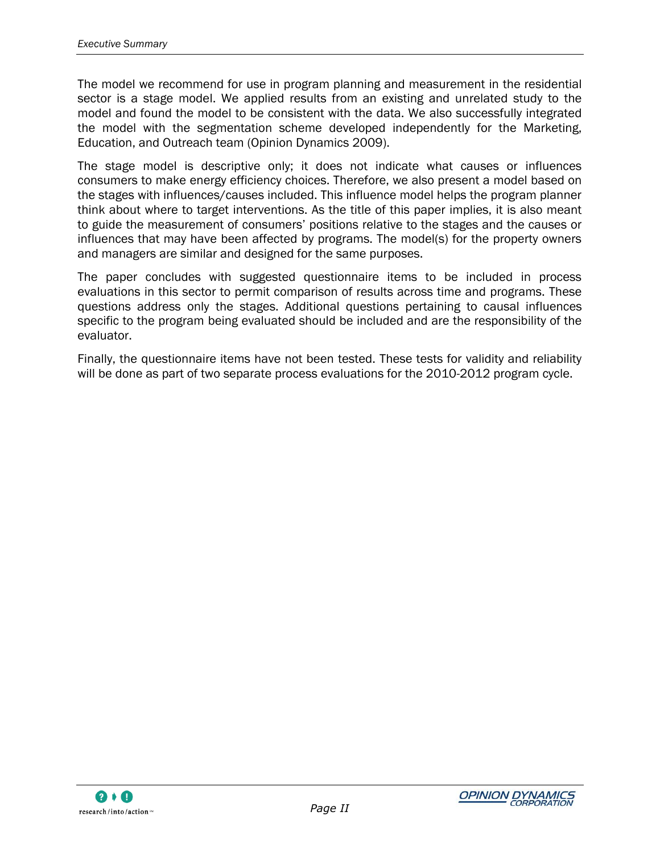The model we recommend for use in program planning and measurement in the residential sector is a stage model. We applied results from an existing and unrelated study to the model and found the model to be consistent with the data. We also successfully integrated the model with the segmentation scheme developed independently for the Marketing, Education, and Outreach team (Opinion Dynamics 2009).

The stage model is descriptive only; it does not indicate what causes or influences consumers to make energy efficiency choices. Therefore, we also present a model based on the stages with influences/causes included. This influence model helps the program planner think about where to target interventions. As the title of this paper implies, it is also meant to guide the measurement of consumers" positions relative to the stages and the causes or influences that may have been affected by programs. The model(s) for the property owners and managers are similar and designed for the same purposes.

The paper concludes with suggested questionnaire items to be included in process evaluations in this sector to permit comparison of results across time and programs. These questions address only the stages. Additional questions pertaining to causal influences specific to the program being evaluated should be included and are the responsibility of the evaluator.

Finally, the questionnaire items have not been tested. These tests for validity and reliability will be done as part of two separate process evaluations for the 2010-2012 program cycle.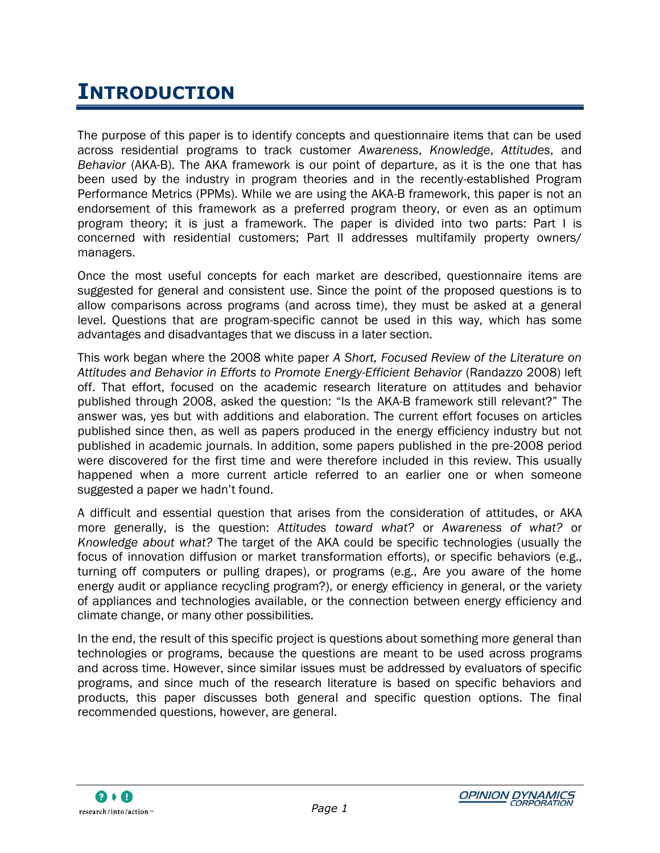# <span id="page-10-0"></span>**INTRODUCTION**

The purpose of this paper is to identify concepts and questionnaire items that can be used across residential programs to track customer *Awareness*, *Knowledge*, *Attitudes*, and *Behavior* (AKA-B). The AKA framework is our point of departure, as it is the one that has been used by the industry in program theories and in the recently-established Program Performance Metrics (PPMs). While we are using the AKA-B framework, this paper is not an endorsement of this framework as a preferred program theory, or even as an optimum program theory; it is just a framework. The paper is divided into two parts: Part I is concerned with residential customers; Part II addresses multifamily property owners/ managers.

Once the most useful concepts for each market are described, questionnaire items are suggested for general and consistent use. Since the point of the proposed questions is to allow comparisons across programs (and across time), they must be asked at a general level. Questions that are program-specific cannot be used in this way, which has some advantages and disadvantages that we discuss in a later section.

This work began where the 2008 white paper *A Short, Focused Review of the Literature on Attitudes and Behavior in Efforts to Promote Energy-Efficient Behavior* (Randazzo 2008) left off. That effort, focused on the academic research literature on attitudes and behavior published through 2008, asked the question: "Is the AKA-B framework still relevant?" The answer was, yes but with additions and elaboration. The current effort focuses on articles published since then, as well as papers produced in the energy efficiency industry but not published in academic journals. In addition, some papers published in the pre-2008 period were discovered for the first time and were therefore included in this review. This usually happened when a more current article referred to an earlier one or when someone suggested a paper we hadn"t found.

A difficult and essential question that arises from the consideration of attitudes, or AKA more generally, is the question: *Attitudes toward what?* or *Awareness of what?* or *Knowledge about what?* The target of the AKA could be specific technologies (usually the focus of innovation diffusion or market transformation efforts), or specific behaviors (e.g., turning off computers or pulling drapes), or programs (e.g., Are you aware of the home energy audit or appliance recycling program?), or energy efficiency in general, or the variety of appliances and technologies available, or the connection between energy efficiency and climate change, or many other possibilities.

In the end, the result of this specific project is questions about something more general than technologies or programs, because the questions are meant to be used across programs and across time. However, since similar issues must be addressed by evaluators of specific programs, and since much of the research literature is based on specific behaviors and products, this paper discusses both general and specific question options. The final recommended questions, however, are general.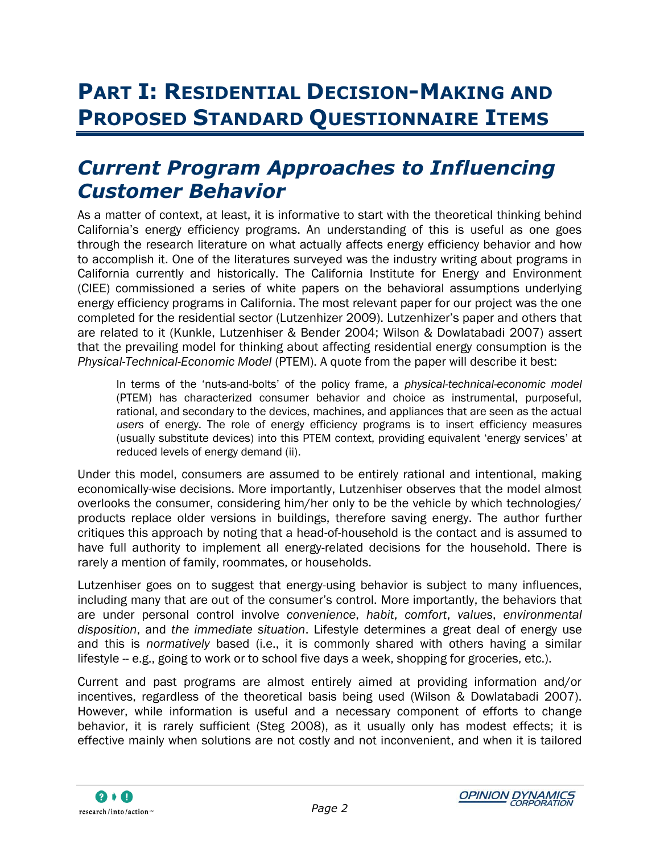# <span id="page-11-0"></span>**PART I: RESIDENTIAL DECISION-MAKING AND PROPOSED STANDARD QUESTIONNAIRE ITEMS**

# <span id="page-11-1"></span>*Current Program Approaches to Influencing Customer Behavior*

As a matter of context, at least, it is informative to start with the theoretical thinking behind California"s energy efficiency programs. An understanding of this is useful as one goes through the research literature on what actually affects energy efficiency behavior and how to accomplish it. One of the literatures surveyed was the industry writing about programs in California currently and historically. The California Institute for Energy and Environment (CIEE) commissioned a series of white papers on the behavioral assumptions underlying energy efficiency programs in California. The most relevant paper for our project was the one completed for the residential sector (Lutzenhizer 2009). Lutzenhizer"s paper and others that are related to it (Kunkle, Lutzenhiser & Bender 2004; Wilson & Dowlatabadi 2007) assert that the prevailing model for thinking about affecting residential energy consumption is the *Physical-Technical-Economic Model* (PTEM). A quote from the paper will describe it best:

In terms of the "nuts-and-bolts" of the policy frame, a *physical-technical-economic model* (PTEM) has characterized consumer behavior and choice as instrumental, purposeful, rational, and secondary to the devices, machines, and appliances that are seen as the actual *users* of energy. The role of energy efficiency programs is to insert efficiency measures (usually substitute devices) into this PTEM context, providing equivalent "energy services" at reduced levels of energy demand (ii).

Under this model, consumers are assumed to be entirely rational and intentional, making economically-wise decisions. More importantly, Lutzenhiser observes that the model almost overlooks the consumer, considering him/her only to be the vehicle by which technologies/ products replace older versions in buildings, therefore saving energy. The author further critiques this approach by noting that a head-of-household is the contact and is assumed to have full authority to implement all energy-related decisions for the household. There is rarely a mention of family, roommates, or households.

Lutzenhiser goes on to suggest that energy-using behavior is subject to many influences, including many that are out of the consumer"s control. More importantly, the behaviors that are under personal control involve *convenience*, *habit*, *comfort*, *values*, *environmental disposition*, and *the immediate situation*. Lifestyle determines a great deal of energy use and this is *normatively* based (i.e., it is commonly shared with others having a similar lifestyle -- e.g., going to work or to school five days a week, shopping for groceries, etc.).

Current and past programs are almost entirely aimed at providing information and/or incentives, regardless of the theoretical basis being used (Wilson & Dowlatabadi 2007). However, while information is useful and a necessary component of efforts to change behavior, it is rarely sufficient (Steg 2008), as it usually only has modest effects; it is effective mainly when solutions are not costly and not inconvenient, and when it is tailored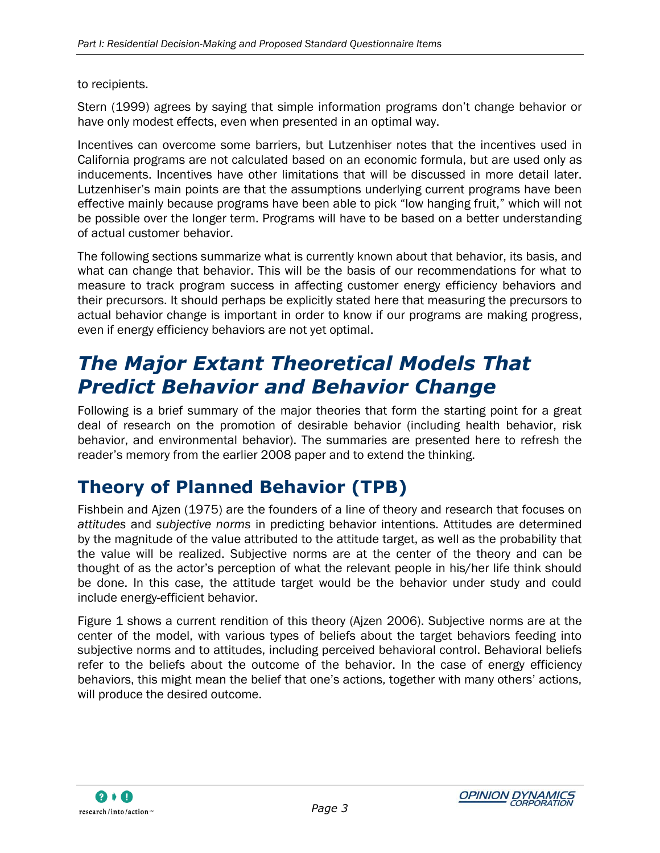#### to recipients.

Stern (1999) agrees by saying that simple information programs don"t change behavior or have only modest effects, even when presented in an optimal way.

Incentives can overcome some barriers, but Lutzenhiser notes that the incentives used in California programs are not calculated based on an economic formula, but are used only as inducements. Incentives have other limitations that will be discussed in more detail later. Lutzenhiser's main points are that the assumptions underlying current programs have been effective mainly because programs have been able to pick "low hanging fruit," which will not be possible over the longer term. Programs will have to be based on a better understanding of actual customer behavior.

The following sections summarize what is currently known about that behavior, its basis, and what can change that behavior. This will be the basis of our recommendations for what to measure to track program success in affecting customer energy efficiency behaviors and their precursors. It should perhaps be explicitly stated here that measuring the precursors to actual behavior change is important in order to know if our programs are making progress, even if energy efficiency behaviors are not yet optimal.

# <span id="page-12-0"></span>*The Major Extant Theoretical Models That Predict Behavior and Behavior Change*

Following is a brief summary of the major theories that form the starting point for a great deal of research on the promotion of desirable behavior (including health behavior, risk behavior, and environmental behavior). The summaries are presented here to refresh the reader"s memory from the earlier 2008 paper and to extend the thinking.

## <span id="page-12-1"></span>**Theory of Planned Behavior (TPB)**

Fishbein and Ajzen (1975) are the founders of a line of theory and research that focuses on *attitudes* and *subjective norms* in predicting behavior intentions. Attitudes are determined by the magnitude of the value attributed to the attitude target, as well as the probability that the value will be realized. Subjective norms are at the center of the theory and can be thought of as the actor"s perception of what the relevant people in his/her life think should be done. In this case, the attitude target would be the behavior under study and could include energy-efficient behavior.

[Figure 1](#page-13-1) shows a current rendition of this theory (Ajzen 2006). Subjective norms are at the center of the model, with various types of beliefs about the target behaviors feeding into subjective norms and to attitudes, including perceived behavioral control. Behavioral beliefs refer to the beliefs about the outcome of the behavior. In the case of energy efficiency behaviors, this might mean the belief that one"s actions, together with many others" actions, will produce the desired outcome.

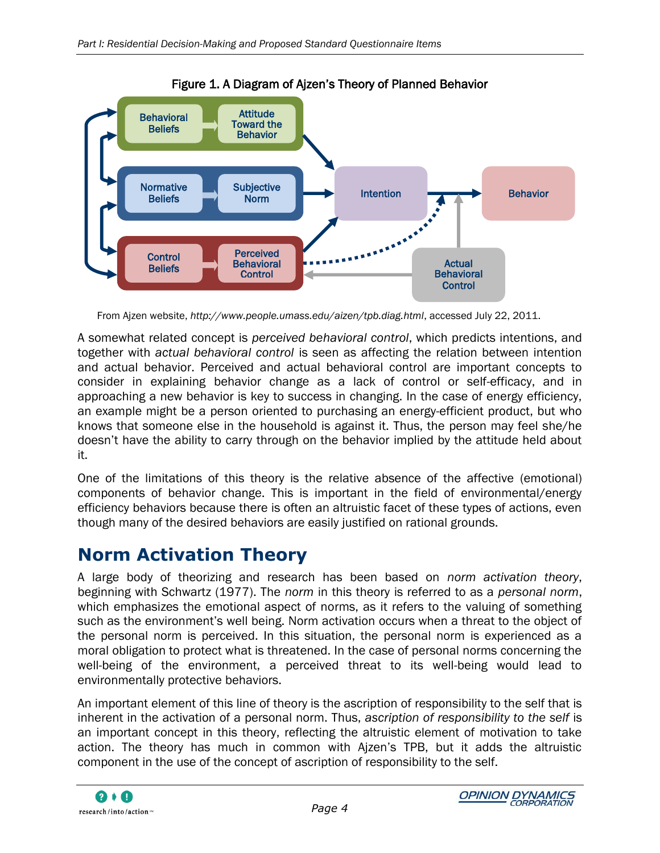<span id="page-13-1"></span>

Figure 1. A Diagram of Ajzen"s Theory of Planned Behavior

A somewhat related concept is *perceived behavioral control*, which predicts intentions, and together with *actual behavioral control* is seen as affecting the relation between intention and actual behavior. Perceived and actual behavioral control are important concepts to consider in explaining behavior change as a lack of control or self-efficacy, and in approaching a new behavior is key to success in changing. In the case of energy efficiency, an example might be a person oriented to purchasing an energy-efficient product, but who knows that someone else in the household is against it. Thus, the person may feel she/he doesn"t have the ability to carry through on the behavior implied by the attitude held about it.

One of the limitations of this theory is the relative absence of the affective (emotional) components of behavior change. This is important in the field of environmental/energy efficiency behaviors because there is often an altruistic facet of these types of actions, even though many of the desired behaviors are easily justified on rational grounds.

## <span id="page-13-0"></span>**Norm Activation Theory**

A large body of theorizing and research has been based on *norm activation theory*, beginning with Schwartz (1977). The *norm* in this theory is referred to as a *personal norm*, which emphasizes the emotional aspect of norms, as it refers to the valuing of something such as the environment's well being. Norm activation occurs when a threat to the object of the personal norm is perceived. In this situation, the personal norm is experienced as a moral obligation to protect what is threatened. In the case of personal norms concerning the well-being of the environment, a perceived threat to its well-being would lead to environmentally protective behaviors.

An important element of this line of theory is the ascription of responsibility to the self that is inherent in the activation of a personal norm. Thus, *ascription of responsibility to the self* is an important concept in this theory, reflecting the altruistic element of motivation to take action. The theory has much in common with Ajzen"s TPB, but it adds the altruistic component in the use of the concept of ascription of responsibility to the self.

From Ajzen website, *<http://www.people.umass.edu/aizen/tpb.diag.html>*, accessed July 22, 2011.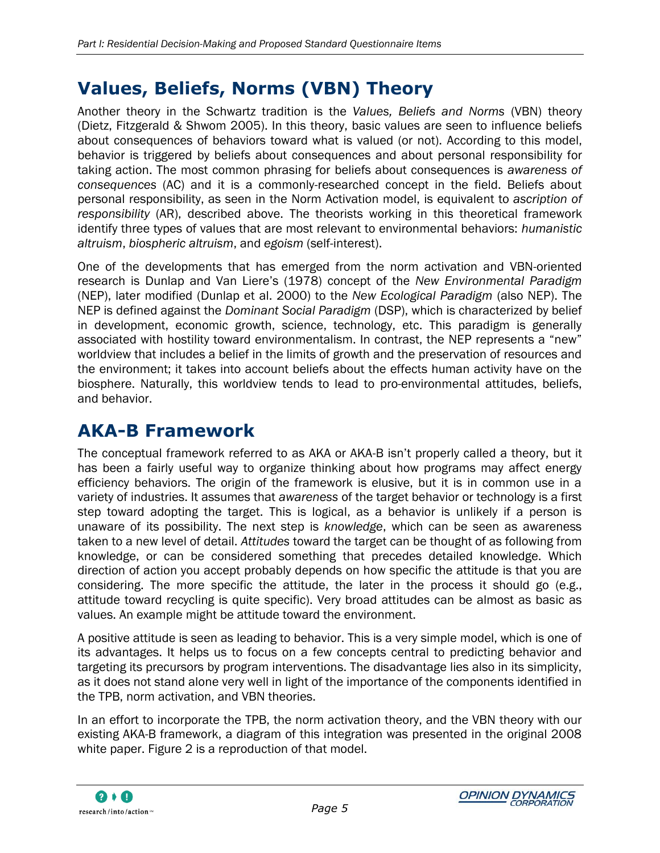# <span id="page-14-0"></span>**Values, Beliefs, Norms (VBN) Theory**

Another theory in the Schwartz tradition is the *Values, Beliefs and Norms* (VBN) theory (Dietz, Fitzgerald & Shwom 2005). In this theory, basic values are seen to influence beliefs about consequences of behaviors toward what is valued (or not). According to this model, behavior is triggered by beliefs about consequences and about personal responsibility for taking action. The most common phrasing for beliefs about consequences is *awareness of consequences* (AC) and it is a commonly-researched concept in the field. Beliefs about personal responsibility, as seen in the Norm Activation model, is equivalent to *ascription of responsibility* (AR), described above. The theorists working in this theoretical framework identify three types of values that are most relevant to environmental behaviors: *humanistic altruism*, *biospheric altruism*, and *egoism* (self-interest).

One of the developments that has emerged from the norm activation and VBN-oriented research is Dunlap and Van Liere"s (1978) concept of the *New Environmental Paradigm* (NEP), later modified (Dunlap et al. 2000) to the *New Ecological Paradigm* (also NEP). The NEP is defined against the *Dominant Social Paradigm* (DSP), which is characterized by belief in development, economic growth, science, technology, etc. This paradigm is generally associated with hostility toward environmentalism. In contrast, the NEP represents a "new" worldview that includes a belief in the limits of growth and the preservation of resources and the environment; it takes into account beliefs about the effects human activity have on the biosphere. Naturally, this worldview tends to lead to pro-environmental attitudes, beliefs, and behavior.

## <span id="page-14-1"></span>**AKA-B Framework**

The conceptual framework referred to as AKA or AKA-B isn"t properly called a theory, but it has been a fairly useful way to organize thinking about how programs may affect energy efficiency behaviors. The origin of the framework is elusive, but it is in common use in a variety of industries. It assumes that *awareness* of the target behavior or technology is a first step toward adopting the target. This is logical, as a behavior is unlikely if a person is unaware of its possibility. The next step is *knowledge*, which can be seen as awareness taken to a new level of detail. *Attitudes* toward the target can be thought of as following from knowledge, or can be considered something that precedes detailed knowledge. Which direction of action you accept probably depends on how specific the attitude is that you are considering. The more specific the attitude, the later in the process it should go (e.g., attitude toward recycling is quite specific). Very broad attitudes can be almost as basic as values. An example might be attitude toward the environment.

A positive attitude is seen as leading to behavior. This is a very simple model, which is one of its advantages. It helps us to focus on a few concepts central to predicting behavior and targeting its precursors by program interventions. The disadvantage lies also in its simplicity, as it does not stand alone very well in light of the importance of the components identified in the TPB, norm activation, and VBN theories.

In an effort to incorporate the TPB, the norm activation theory, and the VBN theory with our existing AKA-B framework, a diagram of this integration was presented in the original 2008 white paper. [Figure 2](#page-15-0) is a reproduction of that model.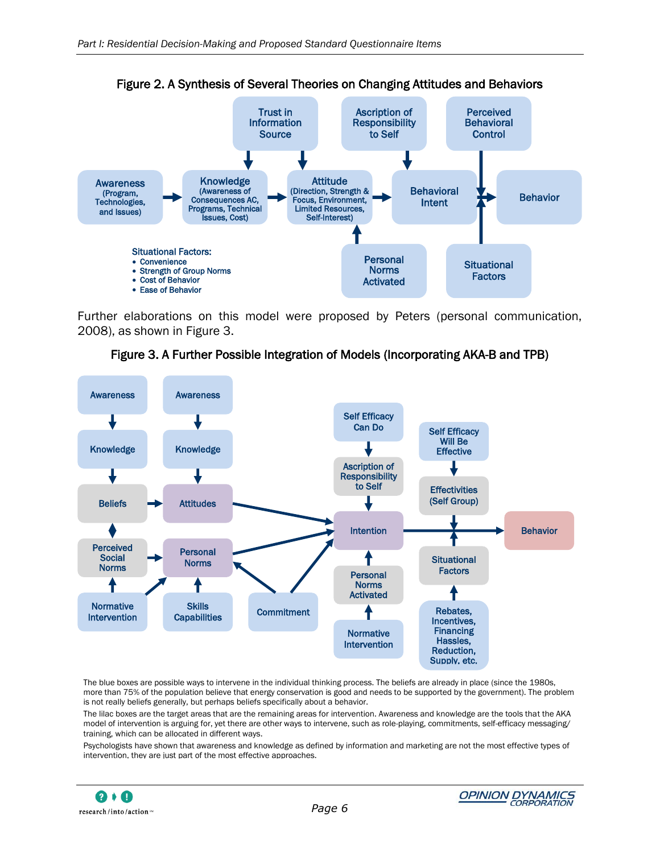<span id="page-15-0"></span>

Figure 2. A Synthesis of Several Theories on Changing Attitudes and Behaviors

Further elaborations on this model were proposed by Peters (personal communication, 2008), as shown in [Figure 3.](#page-15-1)



<span id="page-15-1"></span>

The blue boxes are possible ways to intervene in the individual thinking process. The beliefs are already in place (since the 1980s, more than 75% of the population believe that energy conservation is good and needs to be supported by the government). The problem is not really beliefs generally, but perhaps beliefs specifically about a behavior.

The lilac boxes are the target areas that are the remaining areas for intervention. Awareness and knowledge are the tools that the AKA model of intervention is arguing for, yet there are other ways to intervene, such as role-playing, commitments, self-efficacy messaging/ training, which can be allocated in different ways.

Psychologists have shown that awareness and knowledge as defined by information and marketing are not the most effective types of intervention, they are just part of the most effective approaches.

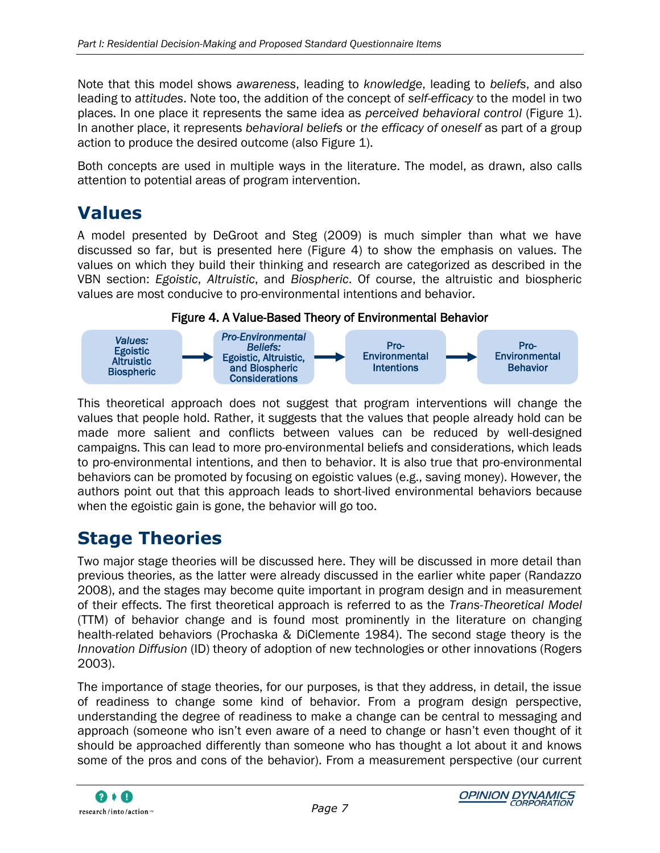Note that this model shows *awareness*, leading to *knowledge*, leading to *beliefs*, and also leading to a*ttitudes*. Note too, the addition of the concept of *self-efficacy* to the model in two places. In one place it represents the same idea as *perceived behavioral control* [\(Figure 1\)](#page-13-1). In another place, it represents *behavioral beliefs* or *the efficacy of oneself* as part of a group action to produce the desired outcome (also [Figure 1\)](#page-13-1).

Both concepts are used in multiple ways in the literature. The model, as drawn, also calls attention to potential areas of program intervention.

### <span id="page-16-0"></span>**Values**

A model presented by DeGroot and Steg (2009) is much simpler than what we have discussed so far, but is presented here [\(Figure 4\)](#page-16-2) to show the emphasis on values. The values on which they build their thinking and research are categorized as described in the VBN section: *Egoistic*, *Altruistic*, and *Biospheric*. Of course, the altruistic and biospheric values are most conducive to pro-environmental intentions and behavior.

#### Figure 4. A Value-Based Theory of Environmental Behavior

<span id="page-16-2"></span>

This theoretical approach does not suggest that program interventions will change the values that people hold. Rather, it suggests that the values that people already hold can be made more salient and conflicts between values can be reduced by well-designed campaigns. This can lead to more pro-environmental beliefs and considerations, which leads to pro-environmental intentions, and then to behavior. It is also true that pro-environmental behaviors can be promoted by focusing on egoistic values (e.g., saving money). However, the authors point out that this approach leads to short-lived environmental behaviors because when the egoistic gain is gone, the behavior will go too.

## <span id="page-16-1"></span>**Stage Theories**

Two major stage theories will be discussed here. They will be discussed in more detail than previous theories, as the latter were already discussed in the earlier white paper (Randazzo 2008), and the stages may become quite important in program design and in measurement of their effects. The first theoretical approach is referred to as the *Trans-Theoretical Model* (TTM) of behavior change and is found most prominently in the literature on changing health-related behaviors (Prochaska & DiClemente 1984). The second stage theory is the *Innovation Diffusion* (ID) theory of adoption of new technologies or other innovations (Rogers 2003).

The importance of stage theories, for our purposes, is that they address, in detail, the issue of readiness to change some kind of behavior. From a program design perspective, understanding the degree of readiness to make a change can be central to messaging and approach (someone who isn"t even aware of a need to change or hasn"t even thought of it should be approached differently than someone who has thought a lot about it and knows some of the pros and cons of the behavior). From a measurement perspective (our current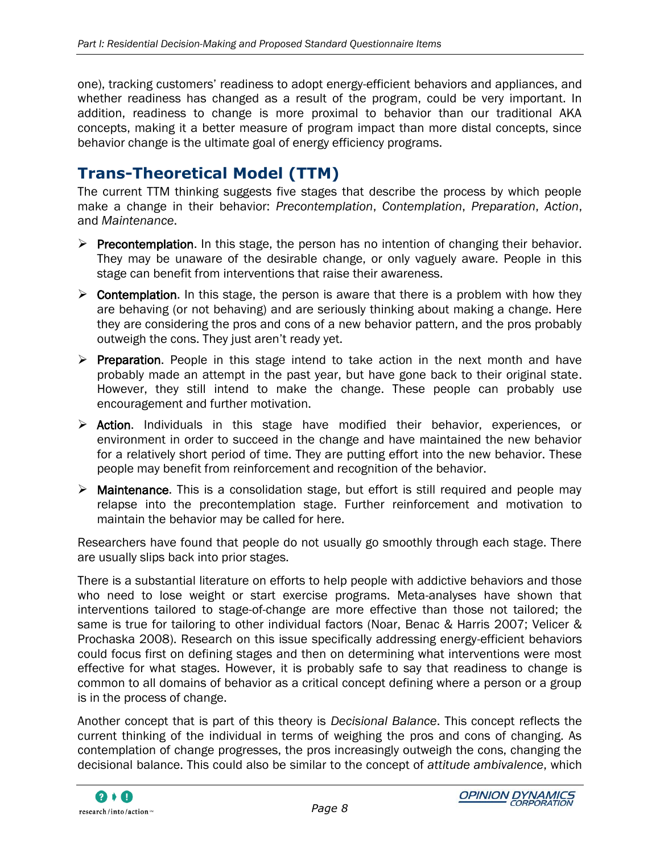one), tracking customers" readiness to adopt energy-efficient behaviors and appliances, and whether readiness has changed as a result of the program, could be very important. In addition, readiness to change is more proximal to behavior than our traditional AKA concepts, making it a better measure of program impact than more distal concepts, since behavior change is the ultimate goal of energy efficiency programs.

### **Trans-Theoretical Model (TTM)**

The current TTM thinking suggests five stages that describe the process by which people make a change in their behavior: *Precontemplation*, *Contemplation*, *Preparation*, *Action*, and *Maintenance*.

- $\triangleright$  Precontemplation. In this stage, the person has no intention of changing their behavior. They may be unaware of the desirable change, or only vaguely aware. People in this stage can benefit from interventions that raise their awareness.
- $\triangleright$  Contemplation. In this stage, the person is aware that there is a problem with how they are behaving (or not behaving) and are seriously thinking about making a change. Here they are considering the pros and cons of a new behavior pattern, and the pros probably outweigh the cons. They just aren"t ready yet.
- $\triangleright$  Preparation. People in this stage intend to take action in the next month and have probably made an attempt in the past year, but have gone back to their original state. However, they still intend to make the change. These people can probably use encouragement and further motivation.
- > Action. Individuals in this stage have modified their behavior, experiences, or environment in order to succeed in the change and have maintained the new behavior for a relatively short period of time. They are putting effort into the new behavior. These people may benefit from reinforcement and recognition of the behavior.
- $\triangleright$  Maintenance. This is a consolidation stage, but effort is still required and people may relapse into the precontemplation stage. Further reinforcement and motivation to maintain the behavior may be called for here.

Researchers have found that people do not usually go smoothly through each stage. There are usually slips back into prior stages.

There is a substantial literature on efforts to help people with addictive behaviors and those who need to lose weight or start exercise programs. Meta-analyses have shown that interventions tailored to stage-of-change are more effective than those not tailored; the same is true for tailoring to other individual factors (Noar, Benac & Harris 2007; Velicer & Prochaska 2008). Research on this issue specifically addressing energy-efficient behaviors could focus first on defining stages and then on determining what interventions were most effective for what stages. However, it is probably safe to say that readiness to change is common to all domains of behavior as a critical concept defining where a person or a group is in the process of change.

Another concept that is part of this theory is *Decisional Balance*. This concept reflects the current thinking of the individual in terms of weighing the pros and cons of changing. As contemplation of change progresses, the pros increasingly outweigh the cons, changing the decisional balance. This could also be similar to the concept of *attitude ambivalence*, which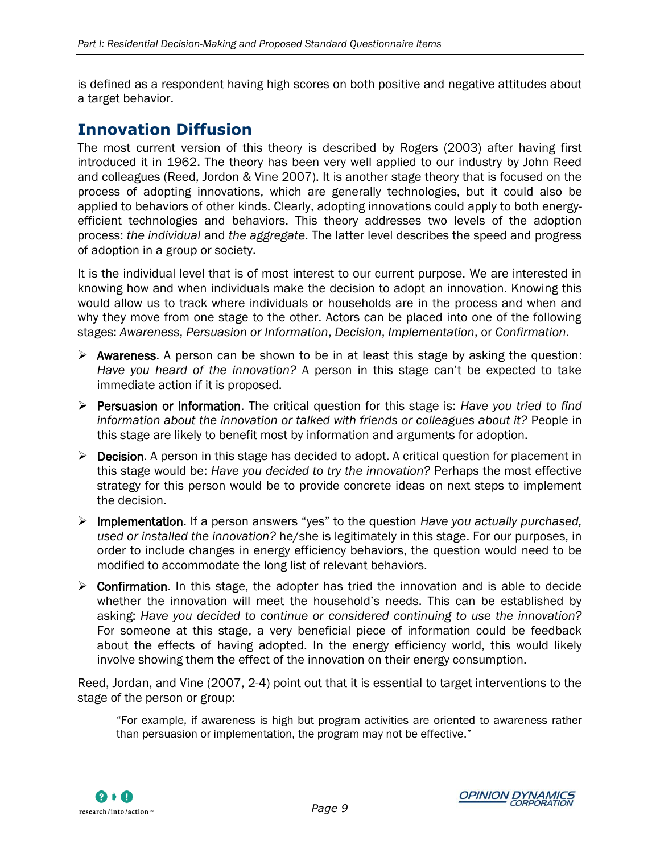is defined as a respondent having high scores on both positive and negative attitudes about a target behavior.

#### **Innovation Diffusion**

The most current version of this theory is described by Rogers (2003) after having first introduced it in 1962. The theory has been very well applied to our industry by John Reed and colleagues (Reed, Jordon & Vine 2007). It is another stage theory that is focused on the process of adopting innovations, which are generally technologies, but it could also be applied to behaviors of other kinds. Clearly, adopting innovations could apply to both energyefficient technologies and behaviors. This theory addresses two levels of the adoption process: *the individual* and *the aggregate*. The latter level describes the speed and progress of adoption in a group or society.

It is the individual level that is of most interest to our current purpose. We are interested in knowing how and when individuals make the decision to adopt an innovation. Knowing this would allow us to track where individuals or households are in the process and when and why they move from one stage to the other. Actors can be placed into one of the following stages: *Awareness*, *Persuasion or Information*, *Decision*, *Implementation*, or *Confirmation*.

- $\triangleright$  Awareness. A person can be shown to be in at least this stage by asking the question: *Have you heard of the innovation?* A person in this stage can"t be expected to take immediate action if it is proposed.
- Persuasion or Information. The critical question for this stage is: *Have you tried to find information about the innovation or talked with friends or colleagues about it?* People in this stage are likely to benefit most by information and arguments for adoption.
- ▶ Decision. A person in this stage has decided to adopt. A critical question for placement in this stage would be: *Have you decided to try the innovation?* Perhaps the most effective strategy for this person would be to provide concrete ideas on next steps to implement the decision.
- Implementation. If a person answers "yes" to the question *Have you actually purchased, used or installed the innovation?* he/she is legitimately in this stage. For our purposes, in order to include changes in energy efficiency behaviors, the question would need to be modified to accommodate the long list of relevant behaviors.
- $\triangleright$  Confirmation. In this stage, the adopter has tried the innovation and is able to decide whether the innovation will meet the household"s needs. This can be established by asking: *Have you decided to continue or considered continuing to use the innovation?* For someone at this stage, a very beneficial piece of information could be feedback about the effects of having adopted. In the energy efficiency world, this would likely involve showing them the effect of the innovation on their energy consumption.

Reed, Jordan, and Vine (2007, 2-4) point out that it is essential to target interventions to the stage of the person or group:

"For example, if awareness is high but program activities are oriented to awareness rather than persuasion or implementation, the program may not be effective."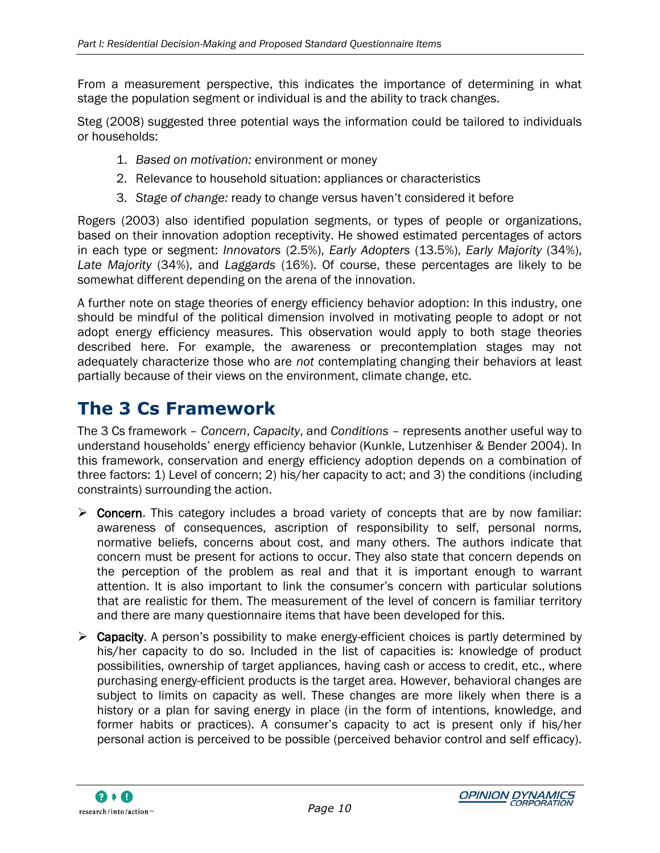From a measurement perspective, this indicates the importance of determining in what stage the population segment or individual is and the ability to track changes.

Steg (2008) suggested three potential ways the information could be tailored to individuals or households:

- 1. *Based on motivation:* environment or money
- 2. Relevance to household situation: appliances or characteristics
- 3. *Stage of change:* ready to change versus haven"t considered it before

Rogers (2003) also identified population segments, or types of people or organizations, based on their innovation adoption receptivity. He showed estimated percentages of actors in each type or segment: *Innovators* (2.5%), *Early Adopters* (13.5%), *Early Majority* (34%), *Late Majority* (34%), and *Laggards* (16%). Of course, these percentages are likely to be somewhat different depending on the arena of the innovation.

A further note on stage theories of energy efficiency behavior adoption: In this industry, one should be mindful of the political dimension involved in motivating people to adopt or not adopt energy efficiency measures. This observation would apply to both stage theories described here. For example, the awareness or precontemplation stages may not adequately characterize those who are *not* contemplating changing their behaviors at least partially because of their views on the environment, climate change, etc.

## <span id="page-19-0"></span>**The 3 Cs Framework**

The 3 Cs framework – *Concern*, *Capacity*, and *Conditions* – represents another useful way to understand households" energy efficiency behavior (Kunkle, Lutzenhiser & Bender 2004). In this framework, conservation and energy efficiency adoption depends on a combination of three factors: 1) Level of concern; 2) his/her capacity to act; and 3) the conditions (including constraints) surrounding the action.

- $\triangleright$  Concern. This category includes a broad variety of concepts that are by now familiar: awareness of consequences, ascription of responsibility to self, personal norms, normative beliefs, concerns about cost, and many others. The authors indicate that concern must be present for actions to occur. They also state that concern depends on the perception of the problem as real and that it is important enough to warrant attention. It is also important to link the consumer"s concern with particular solutions that are realistic for them. The measurement of the level of concern is familiar territory and there are many questionnaire items that have been developed for this.
- $\triangleright$  Capacity. A person's possibility to make energy-efficient choices is partly determined by his/her capacity to do so. Included in the list of capacities is: knowledge of product possibilities, ownership of target appliances, having cash or access to credit, etc., where purchasing energy-efficient products is the target area. However, behavioral changes are subject to limits on capacity as well. These changes are more likely when there is a history or a plan for saving energy in place (in the form of intentions, knowledge, and former habits or practices). A consumer"s capacity to act is present only if his/her personal action is perceived to be possible (perceived behavior control and self efficacy).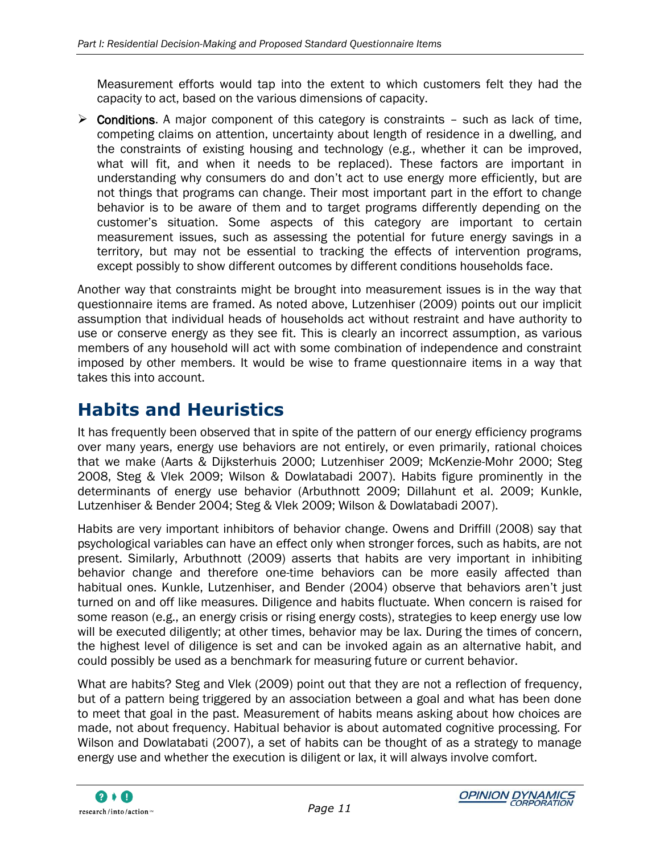Measurement efforts would tap into the extent to which customers felt they had the capacity to act, based on the various dimensions of capacity.

 $\triangleright$  Conditions. A major component of this category is constraints – such as lack of time, competing claims on attention, uncertainty about length of residence in a dwelling, and the constraints of existing housing and technology (e.g., whether it can be improved, what will fit, and when it needs to be replaced). These factors are important in understanding why consumers do and don"t act to use energy more efficiently, but are not things that programs can change. Their most important part in the effort to change behavior is to be aware of them and to target programs differently depending on the customer"s situation. Some aspects of this category are important to certain measurement issues, such as assessing the potential for future energy savings in a territory, but may not be essential to tracking the effects of intervention programs, except possibly to show different outcomes by different conditions households face.

Another way that constraints might be brought into measurement issues is in the way that questionnaire items are framed. As noted above, Lutzenhiser (2009) points out our implicit assumption that individual heads of households act without restraint and have authority to use or conserve energy as they see fit. This is clearly an incorrect assumption, as various members of any household will act with some combination of independence and constraint imposed by other members. It would be wise to frame questionnaire items in a way that takes this into account.

## <span id="page-20-0"></span>**Habits and Heuristics**

It has frequently been observed that in spite of the pattern of our energy efficiency programs over many years, energy use behaviors are not entirely, or even primarily, rational choices that we make (Aarts & Dijksterhuis 2000; Lutzenhiser 2009; McKenzie-Mohr 2000; Steg 2008, Steg & Vlek 2009; Wilson & Dowlatabadi 2007). Habits figure prominently in the determinants of energy use behavior (Arbuthnott 2009; Dillahunt et al. 2009; Kunkle, Lutzenhiser & Bender 2004; Steg & Vlek 2009; Wilson & Dowlatabadi 2007).

Habits are very important inhibitors of behavior change. Owens and Driffill (2008) say that psychological variables can have an effect only when stronger forces, such as habits, are not present. Similarly, Arbuthnott (2009) asserts that habits are very important in inhibiting behavior change and therefore one-time behaviors can be more easily affected than habitual ones. Kunkle, Lutzenhiser, and Bender (2004) observe that behaviors aren"t just turned on and off like measures. Diligence and habits fluctuate. When concern is raised for some reason (e.g., an energy crisis or rising energy costs), strategies to keep energy use low will be executed diligently; at other times, behavior may be lax. During the times of concern, the highest level of diligence is set and can be invoked again as an alternative habit, and could possibly be used as a benchmark for measuring future or current behavior.

What are habits? Steg and Vlek (2009) point out that they are not a reflection of frequency, but of a pattern being triggered by an association between a goal and what has been done to meet that goal in the past. Measurement of habits means asking about how choices are made, not about frequency. Habitual behavior is about automated cognitive processing. For Wilson and Dowlatabati (2007), a set of habits can be thought of as a strategy to manage energy use and whether the execution is diligent or lax, it will always involve comfort.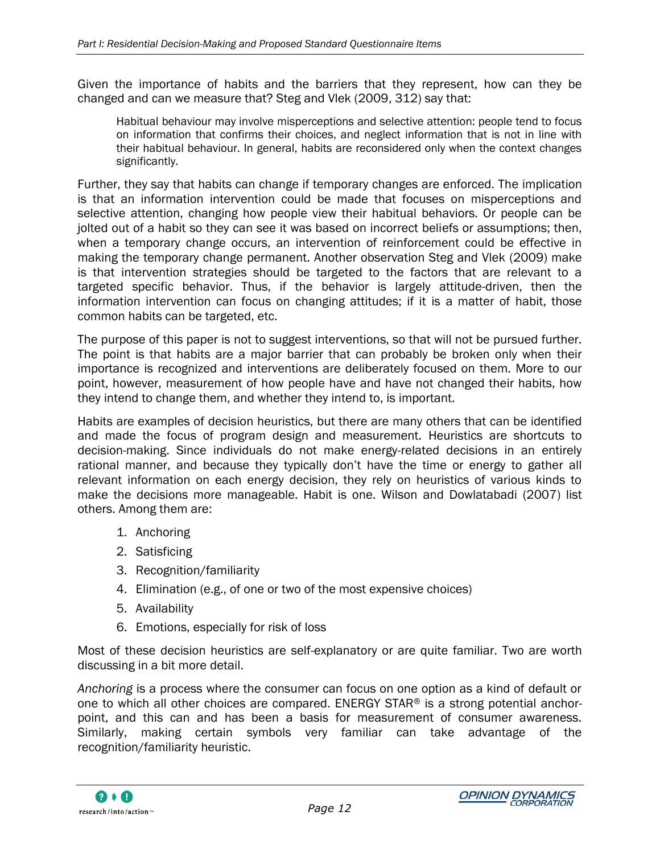Given the importance of habits and the barriers that they represent, how can they be changed and can we measure that? Steg and Vlek (2009, 312) say that:

Habitual behaviour may involve misperceptions and selective attention: people tend to focus on information that confirms their choices, and neglect information that is not in line with their habitual behaviour. In general, habits are reconsidered only when the context changes significantly.

Further, they say that habits can change if temporary changes are enforced. The implication is that an information intervention could be made that focuses on misperceptions and selective attention, changing how people view their habitual behaviors. Or people can be jolted out of a habit so they can see it was based on incorrect beliefs or assumptions; then, when a temporary change occurs, an intervention of reinforcement could be effective in making the temporary change permanent. Another observation Steg and Vlek (2009) make is that intervention strategies should be targeted to the factors that are relevant to a targeted specific behavior. Thus, if the behavior is largely attitude-driven, then the information intervention can focus on changing attitudes; if it is a matter of habit, those common habits can be targeted, etc.

The purpose of this paper is not to suggest interventions, so that will not be pursued further. The point is that habits are a major barrier that can probably be broken only when their importance is recognized and interventions are deliberately focused on them. More to our point, however, measurement of how people have and have not changed their habits, how they intend to change them, and whether they intend to, is important.

Habits are examples of decision heuristics, but there are many others that can be identified and made the focus of program design and measurement. Heuristics are shortcuts to decision-making. Since individuals do not make energy-related decisions in an entirely rational manner, and because they typically don"t have the time or energy to gather all relevant information on each energy decision, they rely on heuristics of various kinds to make the decisions more manageable. Habit is one. Wilson and Dowlatabadi (2007) list others. Among them are:

- 1. Anchoring
- 2. Satisficing
- 3. Recognition/familiarity
- 4. Elimination (e.g., of one or two of the most expensive choices)
- 5. Availability
- 6. Emotions, especially for risk of loss

Most of these decision heuristics are self-explanatory or are quite familiar. Two are worth discussing in a bit more detail.

*Anchoring* is a process where the consumer can focus on one option as a kind of default or one to which all other choices are compared. ENERGY STAR® is a strong potential anchorpoint, and this can and has been a basis for measurement of consumer awareness. Similarly, making certain symbols very familiar can take advantage of the recognition/familiarity heuristic.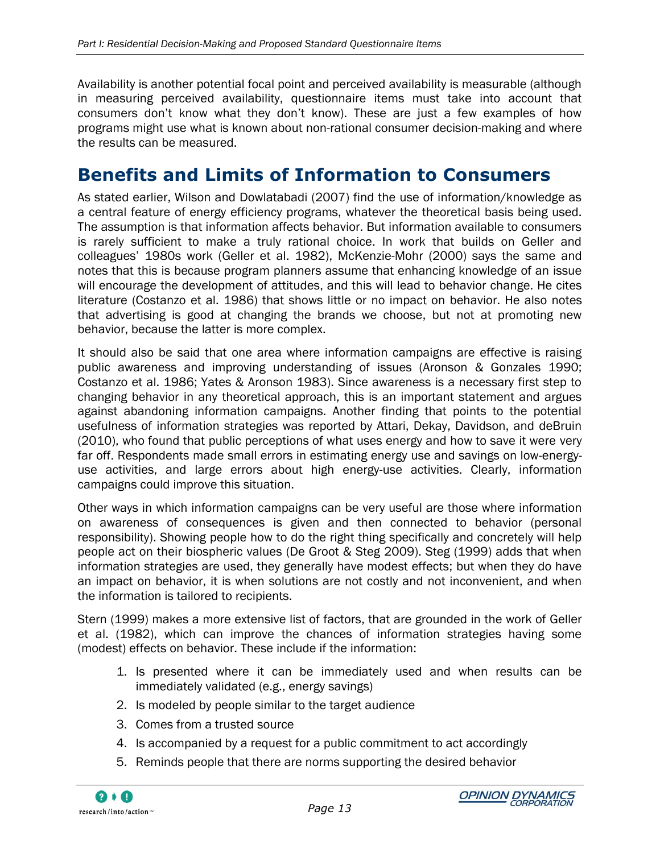Availability is another potential focal point and perceived availability is measurable (although in measuring perceived availability, questionnaire items must take into account that consumers don"t know what they don"t know). These are just a few examples of how programs might use what is known about non-rational consumer decision-making and where the results can be measured.

## <span id="page-22-0"></span>**Benefits and Limits of Information to Consumers**

As stated earlier, Wilson and Dowlatabadi (2007) find the use of information/knowledge as a central feature of energy efficiency programs, whatever the theoretical basis being used. The assumption is that information affects behavior. But information available to consumers is rarely sufficient to make a truly rational choice. In work that builds on Geller and colleagues" 1980s work (Geller et al. 1982), McKenzie-Mohr (2000) says the same and notes that this is because program planners assume that enhancing knowledge of an issue will encourage the development of attitudes, and this will lead to behavior change. He cites literature (Costanzo et al. 1986) that shows little or no impact on behavior. He also notes that advertising is good at changing the brands we choose, but not at promoting new behavior, because the latter is more complex.

It should also be said that one area where information campaigns are effective is raising public awareness and improving understanding of issues (Aronson & Gonzales 1990; Costanzo et al. 1986; Yates & Aronson 1983). Since awareness is a necessary first step to changing behavior in any theoretical approach, this is an important statement and argues against abandoning information campaigns. Another finding that points to the potential usefulness of information strategies was reported by Attari, Dekay, Davidson, and deBruin (2010), who found that public perceptions of what uses energy and how to save it were very far off. Respondents made small errors in estimating energy use and savings on low-energyuse activities, and large errors about high energy-use activities. Clearly, information campaigns could improve this situation.

Other ways in which information campaigns can be very useful are those where information on awareness of consequences is given and then connected to behavior (personal responsibility). Showing people how to do the right thing specifically and concretely will help people act on their biospheric values (De Groot & Steg 2009). Steg (1999) adds that when information strategies are used, they generally have modest effects; but when they do have an impact on behavior, it is when solutions are not costly and not inconvenient, and when the information is tailored to recipients.

Stern (1999) makes a more extensive list of factors, that are grounded in the work of Geller et al. (1982), which can improve the chances of information strategies having some (modest) effects on behavior. These include if the information:

- 1. Is presented where it can be immediately used and when results can be immediately validated (e.g., energy savings)
- 2. Is modeled by people similar to the target audience
- 3. Comes from a trusted source
- 4. Is accompanied by a request for a public commitment to act accordingly
- 5. Reminds people that there are norms supporting the desired behavior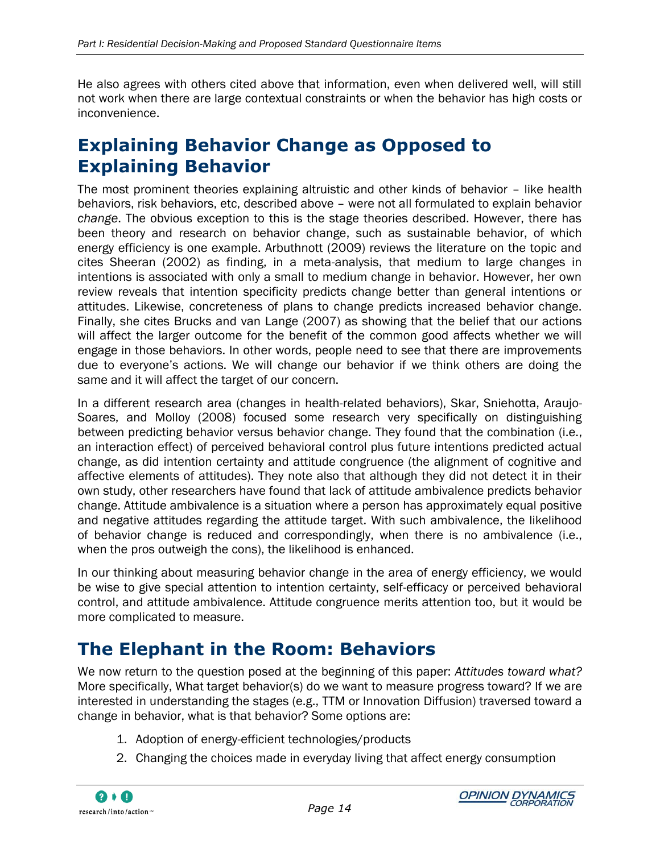He also agrees with others cited above that information, even when delivered well, will still not work when there are large contextual constraints or when the behavior has high costs or inconvenience.

## <span id="page-23-0"></span>**Explaining Behavior Change as Opposed to Explaining Behavior**

The most prominent theories explaining altruistic and other kinds of behavior – like health behaviors, risk behaviors, etc, described above – were not all formulated to explain behavior *change*. The obvious exception to this is the stage theories described. However, there has been theory and research on behavior change, such as sustainable behavior, of which energy efficiency is one example. Arbuthnott (2009) reviews the literature on the topic and cites Sheeran (2002) as finding, in a meta-analysis, that medium to large changes in intentions is associated with only a small to medium change in behavior. However, her own review reveals that intention specificity predicts change better than general intentions or attitudes. Likewise, concreteness of plans to change predicts increased behavior change. Finally, she cites Brucks and van Lange (2007) as showing that the belief that our actions will affect the larger outcome for the benefit of the common good affects whether we will engage in those behaviors. In other words, people need to see that there are improvements due to everyone's actions. We will change our behavior if we think others are doing the same and it will affect the target of our concern.

In a different research area (changes in health-related behaviors), Skar, Sniehotta, Araujo-Soares, and Molloy (2008) focused some research very specifically on distinguishing between predicting behavior versus behavior change. They found that the combination (i.e., an interaction effect) of perceived behavioral control plus future intentions predicted actual change, as did intention certainty and attitude congruence (the alignment of cognitive and affective elements of attitudes). They note also that although they did not detect it in their own study, other researchers have found that lack of attitude ambivalence predicts behavior change. Attitude ambivalence is a situation where a person has approximately equal positive and negative attitudes regarding the attitude target. With such ambivalence, the likelihood of behavior change is reduced and correspondingly, when there is no ambivalence (i.e., when the pros outweigh the cons), the likelihood is enhanced.

In our thinking about measuring behavior change in the area of energy efficiency, we would be wise to give special attention to intention certainty, self-efficacy or perceived behavioral control, and attitude ambivalence. Attitude congruence merits attention too, but it would be more complicated to measure.

## <span id="page-23-1"></span>**The Elephant in the Room: Behaviors**

We now return to the question posed at the beginning of this paper: *Attitudes toward what?* More specifically, What target behavior(s) do we want to measure progress toward? If we are interested in understanding the stages (e.g., TTM or Innovation Diffusion) traversed toward a change in behavior, what is that behavior? Some options are:

- 1. Adoption of energy-efficient technologies/products
- 2. Changing the choices made in everyday living that affect energy consumption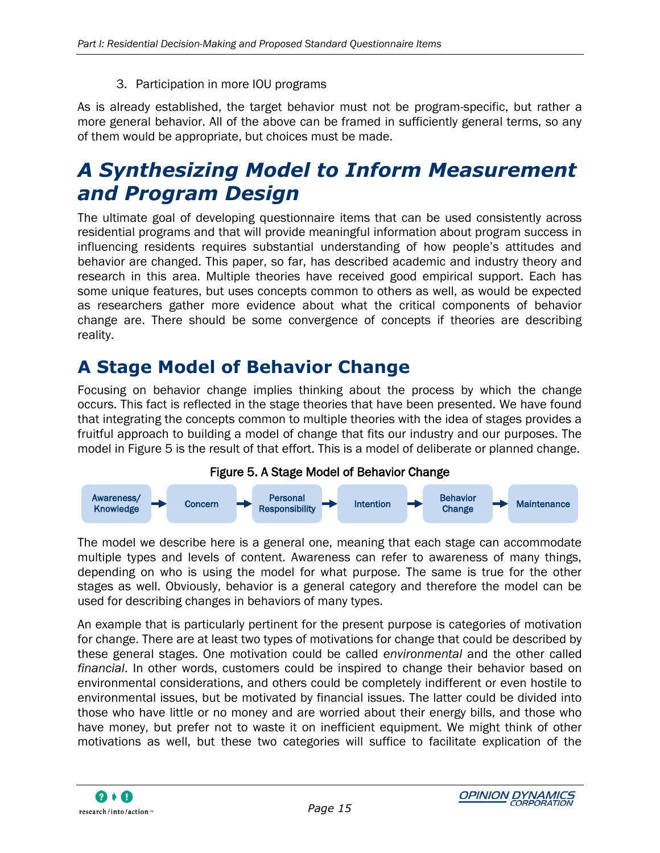3. Participation in more IOU programs

As is already established, the target behavior must not be program-specific, but rather a more general behavior. All of the above can be framed in sufficiently general terms, so any of them would be appropriate, but choices must be made.

# <span id="page-24-0"></span>*A Synthesizing Model to Inform Measurement and Program Design*

The ultimate goal of developing questionnaire items that can be used consistently across residential programs and that will provide meaningful information about program success in influencing residents requires substantial understanding of how people"s attitudes and behavior are changed. This paper, so far, has described academic and industry theory and research in this area. Multiple theories have received good empirical support. Each has some unique features, but uses concepts common to others as well, as would be expected as researchers gather more evidence about what the critical components of behavior change are. There should be some convergence of concepts if theories are describing reality.

## <span id="page-24-1"></span>**A Stage Model of Behavior Change**

Focusing on behavior change implies thinking about the process by which the change occurs. This fact is reflected in the stage theories that have been presented. We have found that integrating the concepts common to multiple theories with the idea of stages provides a fruitful approach to building a model of change that fits our industry and our purposes. The model in [Figure 5](#page-24-2) is the result of that effort. This is a model of deliberate or planned change.



<span id="page-24-2"></span>

The model we describe here is a general one, meaning that each stage can accommodate multiple types and levels of content. Awareness can refer to awareness of many things, depending on who is using the model for what purpose. The same is true for the other stages as well. Obviously, behavior is a general category and therefore the model can be used for describing changes in behaviors of many types.

An example that is particularly pertinent for the present purpose is categories of motivation for change. There are at least two types of motivations for change that could be described by these general stages. One motivation could be called *environmental* and the other called *financial*. In other words, customers could be inspired to change their behavior based on environmental considerations, and others could be completely indifferent or even hostile to environmental issues, but be motivated by financial issues. The latter could be divided into those who have little or no money and are worried about their energy bills, and those who have money, but prefer not to waste it on inefficient equipment. We might think of other motivations as well, but these two categories will suffice to facilitate explication of the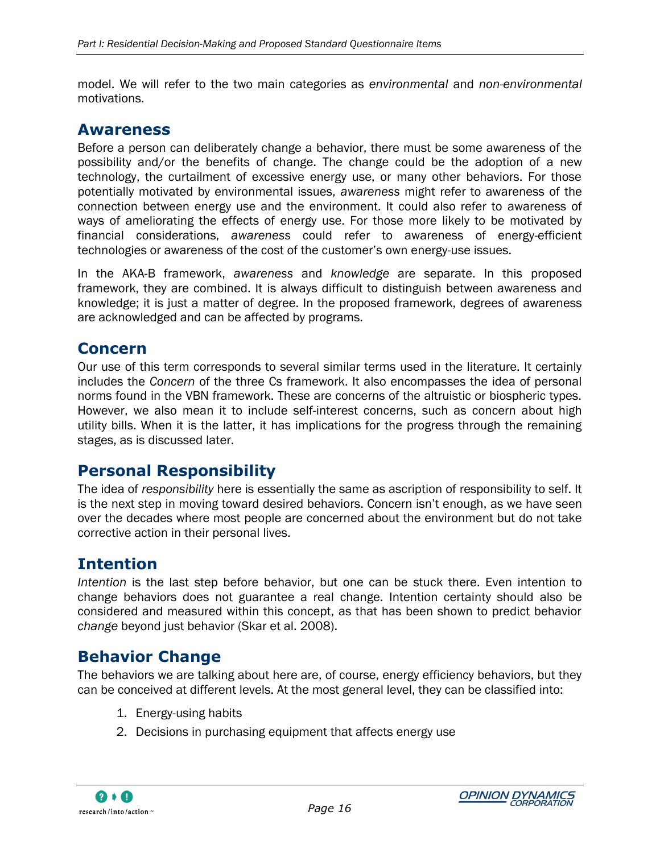model. We will refer to the two main categories as *environmental* and *non-environmental* motivations.

#### **Awareness**

Before a person can deliberately change a behavior, there must be some awareness of the possibility and/or the benefits of change. The change could be the adoption of a new technology, the curtailment of excessive energy use, or many other behaviors. For those potentially motivated by environmental issues, *awareness* might refer to awareness of the connection between energy use and the environment. It could also refer to awareness of ways of ameliorating the effects of energy use. For those more likely to be motivated by financial considerations, *awareness* could refer to awareness of energy-efficient technologies or awareness of the cost of the customer"s own energy-use issues.

In the AKA-B framework, *awareness* and *knowledge* are separate. In this proposed framework, they are combined. It is always difficult to distinguish between awareness and knowledge; it is just a matter of degree. In the proposed framework, degrees of awareness are acknowledged and can be affected by programs.

#### **Concern**

Our use of this term corresponds to several similar terms used in the literature. It certainly includes the *Concern* of the three Cs framework. It also encompasses the idea of personal norms found in the VBN framework. These are concerns of the altruistic or biospheric types. However, we also mean it to include self-interest concerns, such as concern about high utility bills. When it is the latter, it has implications for the progress through the remaining stages, as is discussed later.

#### **Personal Responsibility**

The idea of *responsibility* here is essentially the same as ascription of responsibility to self. It is the next step in moving toward desired behaviors. Concern isn"t enough, as we have seen over the decades where most people are concerned about the environment but do not take corrective action in their personal lives.

#### **Intention**

*Intention* is the last step before behavior, but one can be stuck there. Even intention to change behaviors does not guarantee a real change. Intention certainty should also be considered and measured within this concept, as that has been shown to predict behavior *change* beyond just behavior (Skar et al. 2008).

#### **Behavior Change**

The behaviors we are talking about here are, of course, energy efficiency behaviors, but they can be conceived at different levels. At the most general level, they can be classified into:

- 1. Energy-using habits
- 2. Decisions in purchasing equipment that affects energy use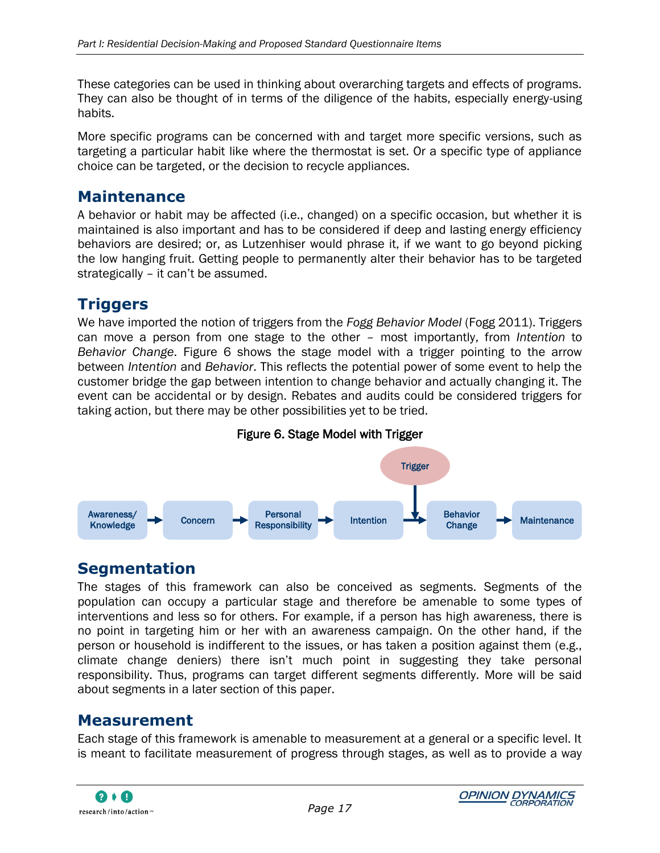These categories can be used in thinking about overarching targets and effects of programs. They can also be thought of in terms of the diligence of the habits, especially energy-using habits.

More specific programs can be concerned with and target more specific versions, such as targeting a particular habit like where the thermostat is set. Or a specific type of appliance choice can be targeted, or the decision to recycle appliances.

#### **Maintenance**

A behavior or habit may be affected (i.e., changed) on a specific occasion, but whether it is maintained is also important and has to be considered if deep and lasting energy efficiency behaviors are desired; or, as Lutzenhiser would phrase it, if we want to go beyond picking the low hanging fruit. Getting people to permanently alter their behavior has to be targeted strategically - it can't be assumed.

### **Triggers**

We have imported the notion of triggers from the *Fogg Behavior Model* (Fogg 2011). Triggers can move a person from one stage to the other – most importantly, from *Intention* to *Behavior Change*. [Figure 6](#page-26-0) shows the stage model with a trigger pointing to the arrow between *Intention* and *Behavior*. This reflects the potential power of some event to help the customer bridge the gap between intention to change behavior and actually changing it. The event can be accidental or by design. Rebates and audits could be considered triggers for taking action, but there may be other possibilities yet to be tried.



<span id="page-26-0"></span>

#### **Segmentation**

The stages of this framework can also be conceived as segments. Segments of the population can occupy a particular stage and therefore be amenable to some types of interventions and less so for others. For example, if a person has high awareness, there is no point in targeting him or her with an awareness campaign. On the other hand, if the person or household is indifferent to the issues, or has taken a position against them (e.g., climate change deniers) there isn"t much point in suggesting they take personal responsibility. Thus, programs can target different segments differently. More will be said about segments in a later section of this paper.

#### **Measurement**

Each stage of this framework is amenable to measurement at a general or a specific level. It is meant to facilitate measurement of progress through stages, as well as to provide a way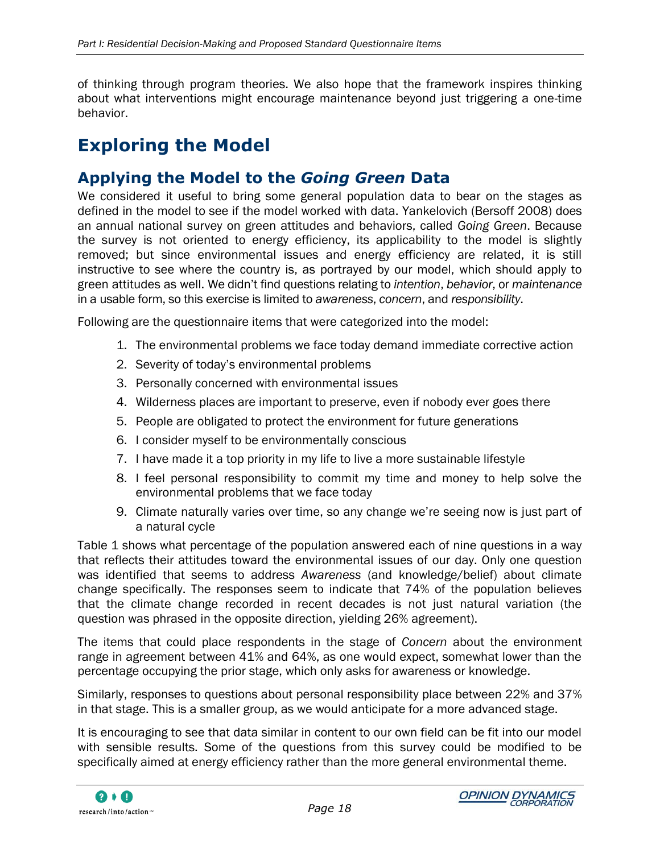of thinking through program theories. We also hope that the framework inspires thinking about what interventions might encourage maintenance beyond just triggering a one-time behavior.

# <span id="page-27-0"></span>**Exploring the Model**

### **Applying the Model to the** *Going Green* **Data**

We considered it useful to bring some general population data to bear on the stages as defined in the model to see if the model worked with data. Yankelovich (Bersoff 2008) does an annual national survey on green attitudes and behaviors, called *Going Green*. Because the survey is not oriented to energy efficiency, its applicability to the model is slightly removed; but since environmental issues and energy efficiency are related, it is still instructive to see where the country is, as portrayed by our model, which should apply to green attitudes as well. We didn"t find questions relating to *intention*, *behavior*, or *maintenance* in a usable form, so this exercise is limited to *awareness*, *concern*, and *responsibility*.

Following are the questionnaire items that were categorized into the model:

- 1. The environmental problems we face today demand immediate corrective action
- 2. Severity of today"s environmental problems
- 3. Personally concerned with environmental issues
- 4. Wilderness places are important to preserve, even if nobody ever goes there
- 5. People are obligated to protect the environment for future generations
- 6. I consider myself to be environmentally conscious
- 7. I have made it a top priority in my life to live a more sustainable lifestyle
- 8. I feel personal responsibility to commit my time and money to help solve the environmental problems that we face today
- 9. Climate naturally varies over time, so any change we"re seeing now is just part of a natural cycle

[Table 1](#page-28-0) shows what percentage of the population answered each of nine questions in a way that reflects their attitudes toward the environmental issues of our day. Only one question was identified that seems to address *Awareness* (and knowledge/belief) about climate change specifically. The responses seem to indicate that 74% of the population believes that the climate change recorded in recent decades is not just natural variation (the question was phrased in the opposite direction, yielding 26% agreement).

The items that could place respondents in the stage of *Concern* about the environment range in agreement between 41% and 64%, as one would expect, somewhat lower than the percentage occupying the prior stage, which only asks for awareness or knowledge.

Similarly, responses to questions about personal responsibility place between 22% and 37% in that stage. This is a smaller group, as we would anticipate for a more advanced stage.

It is encouraging to see that data similar in content to our own field can be fit into our model with sensible results. Some of the questions from this survey could be modified to be specifically aimed at energy efficiency rather than the more general environmental theme.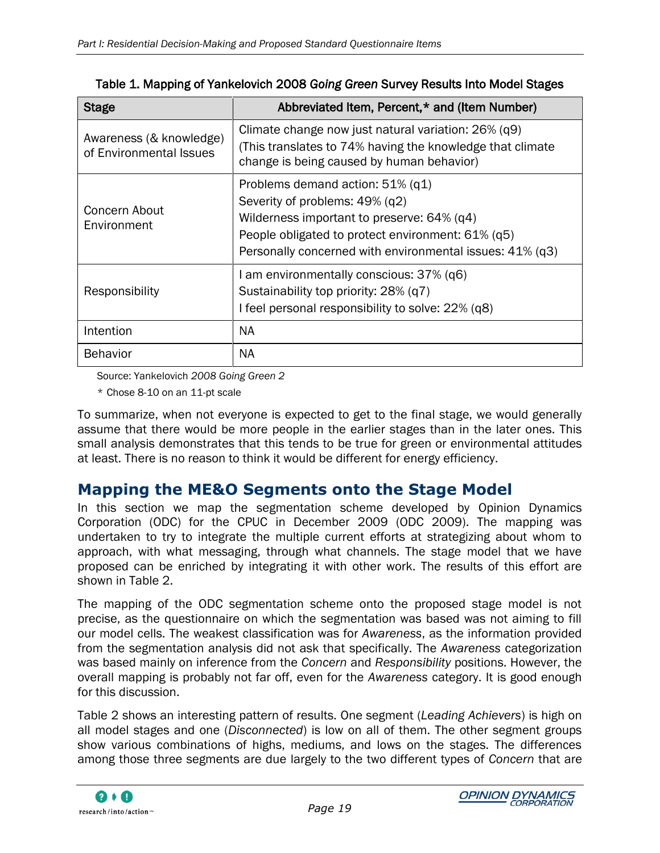<span id="page-28-0"></span>

| <b>Stage</b>                                       | Abbreviated Item, Percent,* and (Item Number)                                                                                                                                                                                        |
|----------------------------------------------------|--------------------------------------------------------------------------------------------------------------------------------------------------------------------------------------------------------------------------------------|
| Awareness (& knowledge)<br>of Environmental Issues | Climate change now just natural variation: 26% (q9)<br>(This translates to 74% having the knowledge that climate<br>change is being caused by human behavior)                                                                        |
| Concern About<br>Environment                       | Problems demand action: $51\%$ (q1)<br>Severity of problems: 49% (q2)<br>Wilderness important to preserve: 64% (q4)<br>People obligated to protect environment: 61% (q5)<br>Personally concerned with environmental issues: 41% (q3) |
| Responsibility                                     | I am environmentally conscious: 37% (q6)<br>Sustainability top priority: 28% (q7)<br>I feel personal responsibility to solve: 22% (q8)                                                                                               |
| Intention                                          | <b>NA</b>                                                                                                                                                                                                                            |
| <b>Behavior</b>                                    | <b>NA</b>                                                                                                                                                                                                                            |

Table 1. Mapping of Yankelovich 2008 *Going Green* Survey Results Into Model Stages

Source: Yankelovich *2008 Going Green 2*

\* Chose 8-10 on an 11-pt scale

To summarize, when not everyone is expected to get to the final stage, we would generally assume that there would be more people in the earlier stages than in the later ones. This small analysis demonstrates that this tends to be true for green or environmental attitudes at least. There is no reason to think it would be different for energy efficiency.

#### **Mapping the ME&O Segments onto the Stage Model**

In this section we map the segmentation scheme developed by Opinion Dynamics Corporation (ODC) for the CPUC in December 2009 (ODC 2009). The mapping was undertaken to try to integrate the multiple current efforts at strategizing about whom to approach, with what messaging, through what channels. The stage model that we have proposed can be enriched by integrating it with other work. The results of this effort are shown in [Table 2.](#page-29-0)

The mapping of the ODC segmentation scheme onto the proposed stage model is not precise, as the questionnaire on which the segmentation was based was not aiming to fill our model cells. The weakest classification was for *Awareness*, as the information provided from the segmentation analysis did not ask that specifically. The *Awareness* categorization was based mainly on inference from the *Concern* and *Responsibility* positions. However, the overall mapping is probably not far off, even for the *Awareness* category. It is good enough for this discussion.

[Table 2](#page-29-0) shows an interesting pattern of results. One segment (*Leading Achievers*) is high on all model stages and one (*Disconnected*) is low on all of them. The other segment groups show various combinations of highs, mediums, and lows on the stages. The differences among those three segments are due largely to the two different types of *Concern* that are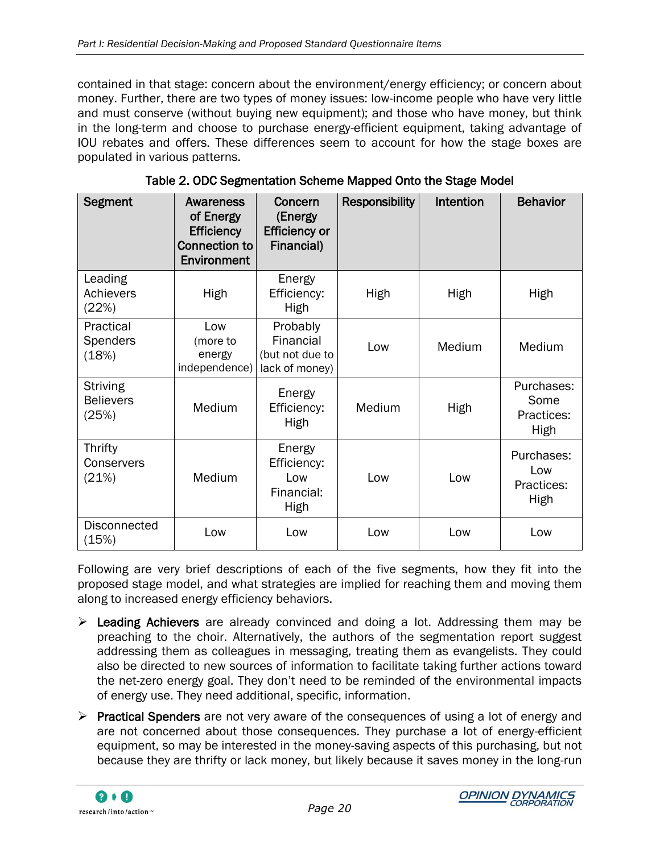contained in that stage: concern about the environment/energy efficiency; or concern about money. Further, there are two types of money issues: low-income people who have very little and must conserve (without buying new equipment); and those who have money, but think in the long-term and choose to purchase energy-efficient equipment, taking advantage of IOU rebates and offers. These differences seem to account for how the stage boxes are populated in various patterns.

<span id="page-29-0"></span>

| Segment                                      | <b>Awareness</b><br>of Energy<br><b>Efficiency</b><br><b>Connection to</b><br>Environment | Concern<br>(Energy<br><b>Efficiency or</b><br>Financial)   | <b>Responsibility</b> | Intention | <b>Behavior</b>                          |
|----------------------------------------------|-------------------------------------------------------------------------------------------|------------------------------------------------------------|-----------------------|-----------|------------------------------------------|
| Leading<br>Achievers<br>(22%)                | High                                                                                      | Energy<br>Efficiency:<br>High                              | High                  | High      | High                                     |
| Practical<br>Spenders<br>(18%)               | Low<br>(more to<br>energy<br>independence)                                                | Probably<br>Financial<br>(but not due to<br>lack of money) | Low                   | Medium    | Medium                                   |
| <b>Striving</b><br><b>Believers</b><br>(25%) | Medium                                                                                    | Energy<br>Efficiency:<br>High                              | Medium                | High      | Purchases:<br>Some<br>Practices:<br>High |
| Thrifty<br>Conservers<br>(21%)               | Medium                                                                                    | Energy<br>Efficiency:<br>Low<br>Financial:<br>High         | Low                   | Low       | Purchases:<br>Low<br>Practices:<br>High  |
| <b>Disconnected</b><br>(15%)                 | Low                                                                                       | Low                                                        | Low                   | Low       | Low                                      |

|  | Table 2. ODC Segmentation Scheme Mapped Onto the Stage Model |
|--|--------------------------------------------------------------|
|--|--------------------------------------------------------------|

Following are very brief descriptions of each of the five segments, how they fit into the proposed stage model, and what strategies are implied for reaching them and moving them along to increased energy efficiency behaviors.

- $\triangleright$  Leading Achievers are already convinced and doing a lot. Addressing them may be preaching to the choir. Alternatively, the authors of the segmentation report suggest addressing them as colleagues in messaging, treating them as evangelists. They could also be directed to new sources of information to facilitate taking further actions toward the net-zero energy goal. They don"t need to be reminded of the environmental impacts of energy use. They need additional, specific, information.
- $\triangleright$  Practical Spenders are not very aware of the consequences of using a lot of energy and are not concerned about those consequences. They purchase a lot of energy-efficient equipment, so may be interested in the money-saving aspects of this purchasing, but not because they are thrifty or lack money, but likely because it saves money in the long-run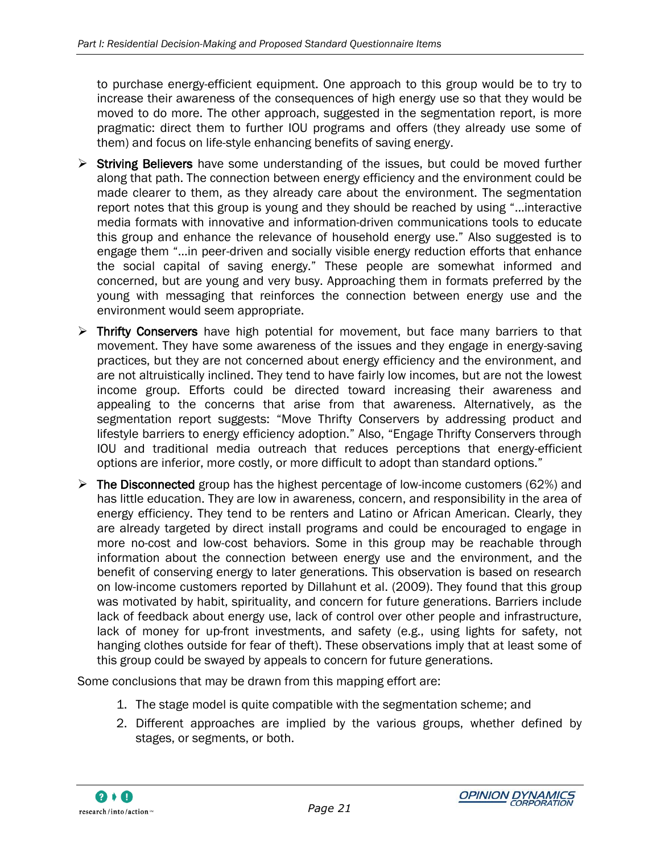to purchase energy-efficient equipment. One approach to this group would be to try to increase their awareness of the consequences of high energy use so that they would be moved to do more. The other approach, suggested in the segmentation report, is more pragmatic: direct them to further IOU programs and offers (they already use some of them) and focus on life-style enhancing benefits of saving energy.

- $\triangleright$  Striving Believers have some understanding of the issues, but could be moved further along that path. The connection between energy efficiency and the environment could be made clearer to them, as they already care about the environment. The segmentation report notes that this group is young and they should be reached by using "…interactive media formats with innovative and information-driven communications tools to educate this group and enhance the relevance of household energy use." Also suggested is to engage them "…in peer-driven and socially visible energy reduction efforts that enhance the social capital of saving energy." These people are somewhat informed and concerned, but are young and very busy. Approaching them in formats preferred by the young with messaging that reinforces the connection between energy use and the environment would seem appropriate.
- $\triangleright$  Thrifty Conservers have high potential for movement, but face many barriers to that movement. They have some awareness of the issues and they engage in energy-saving practices, but they are not concerned about energy efficiency and the environment, and are not altruistically inclined. They tend to have fairly low incomes, but are not the lowest income group. Efforts could be directed toward increasing their awareness and appealing to the concerns that arise from that awareness. Alternatively, as the segmentation report suggests: "Move Thrifty Conservers by addressing product and lifestyle barriers to energy efficiency adoption." Also, "Engage Thrifty Conservers through IOU and traditional media outreach that reduces perceptions that energy-efficient options are inferior, more costly, or more difficult to adopt than standard options."
- $\triangleright$  The Disconnected group has the highest percentage of low-income customers (62%) and has little education. They are low in awareness, concern, and responsibility in the area of energy efficiency. They tend to be renters and Latino or African American. Clearly, they are already targeted by direct install programs and could be encouraged to engage in more no-cost and low-cost behaviors. Some in this group may be reachable through information about the connection between energy use and the environment, and the benefit of conserving energy to later generations. This observation is based on research on low-income customers reported by Dillahunt et al. (2009). They found that this group was motivated by habit, spirituality, and concern for future generations. Barriers include lack of feedback about energy use, lack of control over other people and infrastructure, lack of money for up-front investments, and safety (e.g., using lights for safety, not hanging clothes outside for fear of theft). These observations imply that at least some of this group could be swayed by appeals to concern for future generations.

Some conclusions that may be drawn from this mapping effort are:

- 1. The stage model is quite compatible with the segmentation scheme; and
- 2. Different approaches are implied by the various groups, whether defined by stages, or segments, or both.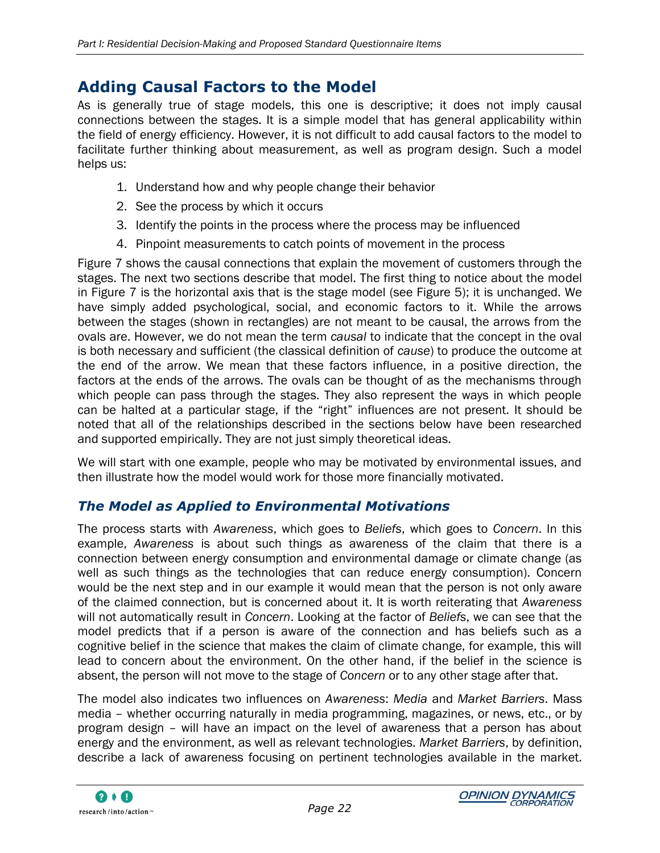### **Adding Causal Factors to the Model**

As is generally true of stage models, this one is descriptive; it does not imply causal connections between the stages. It is a simple model that has general applicability within the field of energy efficiency. However, it is not difficult to add causal factors to the model to facilitate further thinking about measurement, as well as program design. Such a model helps us:

- 1. Understand how and why people change their behavior
- 2. See the process by which it occurs
- 3. Identify the points in the process where the process may be influenced
- 4. Pinpoint measurements to catch points of movement in the process

[Figure 7](#page-32-0) shows the causal connections that explain the movement of customers through the stages. The next two sections describe that model. The first thing to notice about the model in [Figure 7](#page-32-0) is the horizontal axis that is the stage model (see [Figure 5\)](#page-24-2); it is unchanged. We have simply added psychological, social, and economic factors to it. While the arrows between the stages (shown in rectangles) are not meant to be causal, the arrows from the ovals are. However, we do not mean the term *causal* to indicate that the concept in the oval is both necessary and sufficient (the classical definition of *cause*) to produce the outcome at the end of the arrow. We mean that these factors influence, in a positive direction, the factors at the ends of the arrows. The ovals can be thought of as the mechanisms through which people can pass through the stages. They also represent the ways in which people can be halted at a particular stage, if the "right" influences are not present. It should be noted that all of the relationships described in the sections below have been researched and supported empirically. They are not just simply theoretical ideas.

We will start with one example, people who may be motivated by environmental issues, and then illustrate how the model would work for those more financially motivated.

#### *The Model as Applied to Environmental Motivations*

The process starts with *Awareness*, which goes to *Beliefs*, which goes to *Concern*. In this example, *Awareness* is about such things as awareness of the claim that there is a connection between energy consumption and environmental damage or climate change (as well as such things as the technologies that can reduce energy consumption). Concern would be the next step and in our example it would mean that the person is not only aware of the claimed connection, but is concerned about it. It is worth reiterating that *Awareness* will not automatically result in *Concern*. Looking at the factor of *Beliefs*, we can see that the model predicts that if a person is aware of the connection and has beliefs such as a cognitive belief in the science that makes the claim of climate change, for example, this will lead to concern about the environment. On the other hand, if the belief in the science is absent, the person will not move to the stage of *Concern* or to any other stage after that.

The model also indicates two influences on *Awareness*: *Media* and *Market Barriers*. Mass media – whether occurring naturally in media programming, magazines, or news, etc., or by program design – will have an impact on the level of awareness that a person has about energy and the environment, as well as relevant technologies. *Market Barriers*, by definition, describe a lack of awareness focusing on pertinent technologies available in the market.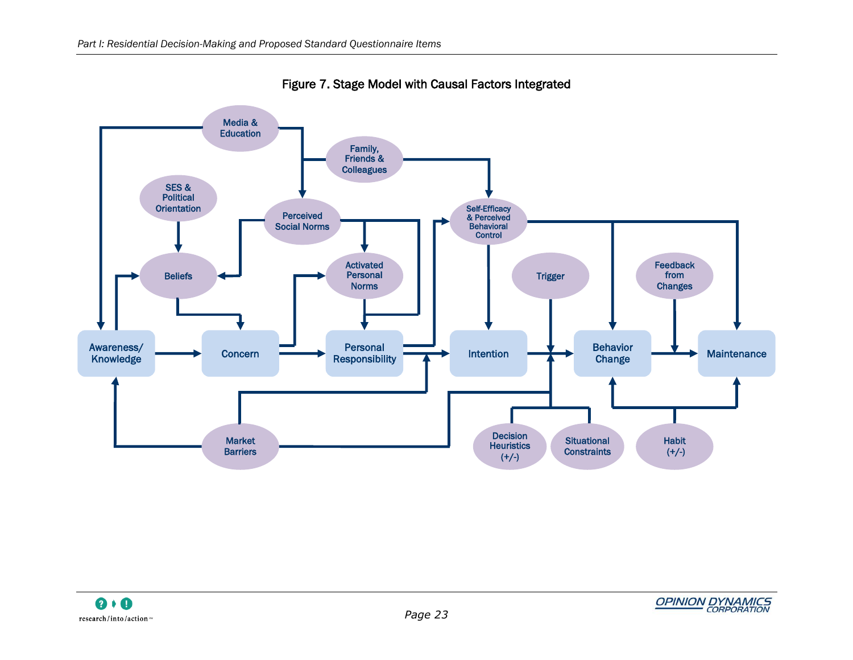<span id="page-32-0"></span>

Figure 7. Stage Model with Causal Factors Integrated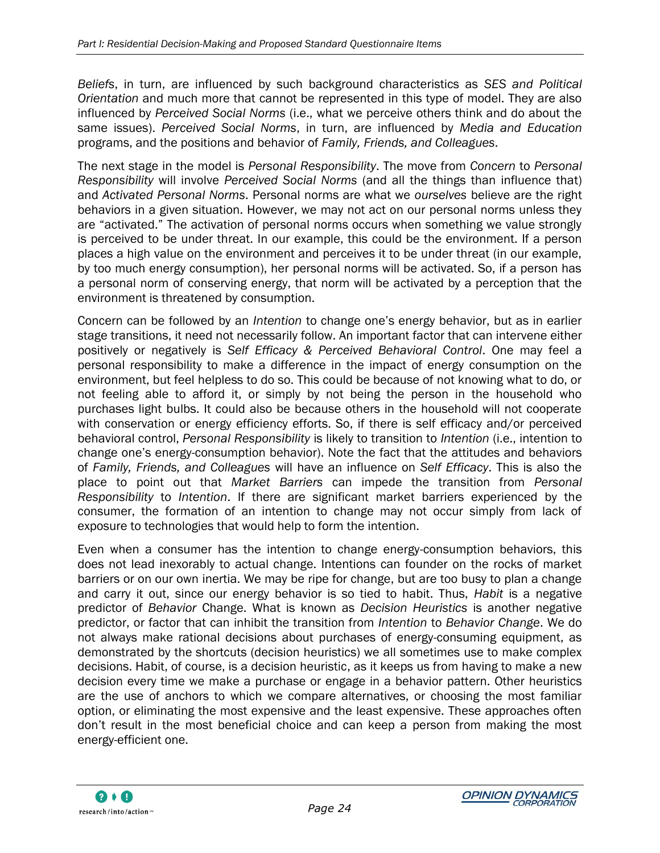*Beliefs*, in turn, are influenced by such background characteristics as *SES and Political Orientation* and much more that cannot be represented in this type of model. They are also influenced by *Perceived Social Norms* (i.e., what we perceive others think and do about the same issues). *Perceived Social Norms*, in turn, are influenced by *Media and Education* programs, and the positions and behavior of *Family, Friends, and Colleagues*.

The next stage in the model is *Personal Responsibility*. The move from *Concern* to *Personal Responsibility* will involve *Perceived Social Norms* (and all the things than influence that) and *Activated Personal Norms*. Personal norms are what we *ourselves* believe are the right behaviors in a given situation. However, we may not act on our personal norms unless they are "activated." The activation of personal norms occurs when something we value strongly is perceived to be under threat. In our example, this could be the environment. If a person places a high value on the environment and perceives it to be under threat (in our example, by too much energy consumption), her personal norms will be activated. So, if a person has a personal norm of conserving energy, that norm will be activated by a perception that the environment is threatened by consumption.

Concern can be followed by an *Intention* to change one"s energy behavior, but as in earlier stage transitions, it need not necessarily follow. An important factor that can intervene either positively or negatively is *Self Efficacy & Perceived Behavioral Control*. One may feel a personal responsibility to make a difference in the impact of energy consumption on the environment, but feel helpless to do so. This could be because of not knowing what to do, or not feeling able to afford it, or simply by not being the person in the household who purchases light bulbs. It could also be because others in the household will not cooperate with conservation or energy efficiency efforts. So, if there is self efficacy and/or perceived behavioral control, *Personal Responsibility* is likely to transition to *Intention* (i.e., intention to change one"s energy-consumption behavior). Note the fact that the attitudes and behaviors of *Family, Friends, and Colleagues* will have an influence on *Self Efficacy*. This is also the place to point out that *Market Barriers* can impede the transition from *Personal Responsibility* to *Intention*. If there are significant market barriers experienced by the consumer, the formation of an intention to change may not occur simply from lack of exposure to technologies that would help to form the intention.

Even when a consumer has the intention to change energy-consumption behaviors, this does not lead inexorably to actual change. Intentions can founder on the rocks of market barriers or on our own inertia. We may be ripe for change, but are too busy to plan a change and carry it out, since our energy behavior is so tied to habit. Thus, *Habit* is a negative predictor of *Behavior* Change. What is known as *Decision Heuristics* is another negative predictor, or factor that can inhibit the transition from *Intention* to *Behavior Change*. We do not always make rational decisions about purchases of energy-consuming equipment, as demonstrated by the shortcuts (decision heuristics) we all sometimes use to make complex decisions. Habit, of course, is a decision heuristic, as it keeps us from having to make a new decision every time we make a purchase or engage in a behavior pattern. Other heuristics are the use of anchors to which we compare alternatives, or choosing the most familiar option, or eliminating the most expensive and the least expensive. These approaches often don"t result in the most beneficial choice and can keep a person from making the most energy-efficient one.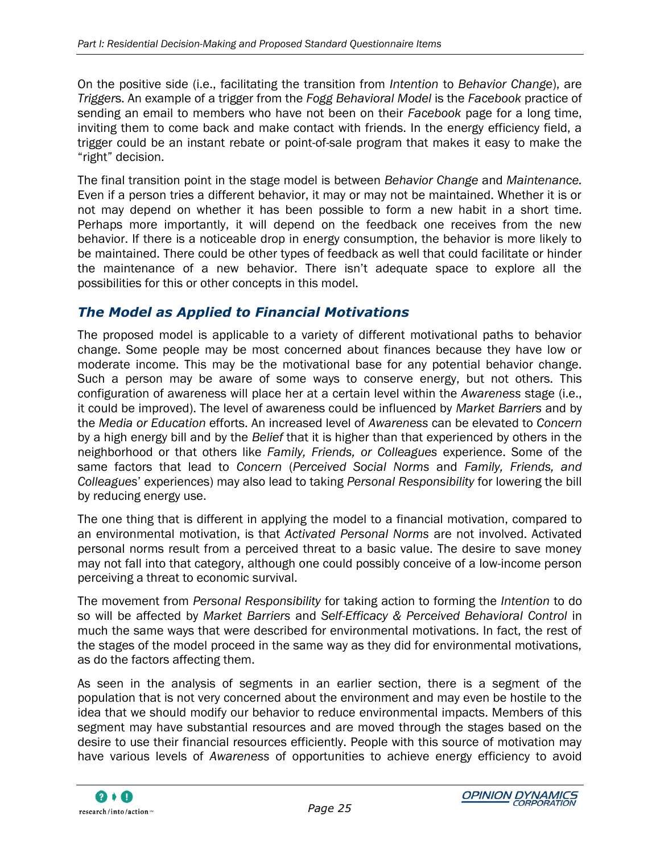On the positive side (i.e., facilitating the transition from *Intention* to *Behavior Change*), are *Trigger*s. An example of a trigger from the *Fogg Behavioral Model* is the *Facebook* practice of sending an email to members who have not been on their *Facebook* page for a long time, inviting them to come back and make contact with friends. In the energy efficiency field, a trigger could be an instant rebate or point-of-sale program that makes it easy to make the "right" decision.

The final transition point in the stage model is between *Behavior Change* and *Maintenance.* Even if a person tries a different behavior, it may or may not be maintained. Whether it is or not may depend on whether it has been possible to form a new habit in a short time. Perhaps more importantly, it will depend on the feedback one receives from the new behavior. If there is a noticeable drop in energy consumption, the behavior is more likely to be maintained. There could be other types of feedback as well that could facilitate or hinder the maintenance of a new behavior. There isn"t adequate space to explore all the possibilities for this or other concepts in this model.

#### *The Model as Applied to Financial Motivations*

The proposed model is applicable to a variety of different motivational paths to behavior change. Some people may be most concerned about finances because they have low or moderate income. This may be the motivational base for any potential behavior change. Such a person may be aware of some ways to conserve energy, but not others. This configuration of awareness will place her at a certain level within the *Awareness* stage (i.e., it could be improved). The level of awareness could be influenced by *Market Barriers* and by the *Media or Education* efforts. An increased level of *Awareness* can be elevated to *Concern* by a high energy bill and by the *Belief* that it is higher than that experienced by others in the neighborhood or that others like *Family, Friends, or Colleagues* experience. Some of the same factors that lead to *Concern* (*Perceived Social Norms* and *Family, Friends, and Colleagues*" experiences) may also lead to taking *Personal Responsibility* for lowering the bill by reducing energy use.

The one thing that is different in applying the model to a financial motivation, compared to an environmental motivation, is that *Activated Personal Norms* are not involved. Activated personal norms result from a perceived threat to a basic value. The desire to save money may not fall into that category, although one could possibly conceive of a low-income person perceiving a threat to economic survival.

The movement from *Personal Responsibility* for taking action to forming the *Intention* to do so will be affected by *Market Barriers* and *Self-Efficacy & Perceived Behavioral Control* in much the same ways that were described for environmental motivations. In fact, the rest of the stages of the model proceed in the same way as they did for environmental motivations, as do the factors affecting them.

As seen in the analysis of segments in an earlier section, there is a segment of the population that is not very concerned about the environment and may even be hostile to the idea that we should modify our behavior to reduce environmental impacts. Members of this segment may have substantial resources and are moved through the stages based on the desire to use their financial resources efficiently. People with this source of motivation may have various levels of *Awareness* of opportunities to achieve energy efficiency to avoid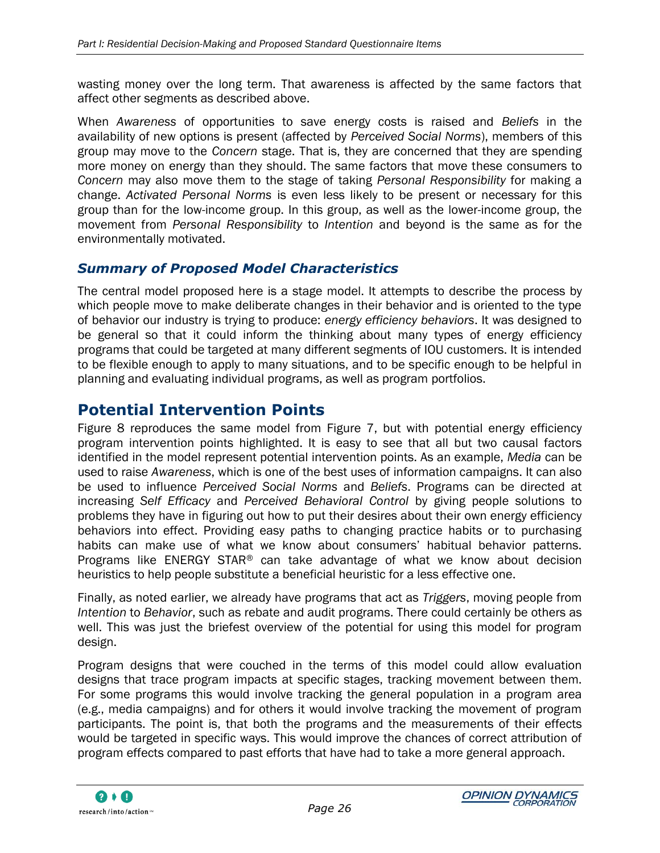wasting money over the long term. That awareness is affected by the same factors that affect other segments as described above.

When *Awareness* of opportunities to save energy costs is raised and *Beliefs* in the availability of new options is present (affected by *Perceived Social Norms*), members of this group may move to the *Concern* stage. That is, they are concerned that they are spending more money on energy than they should. The same factors that move these consumers to *Concern* may also move them to the stage of taking *Personal Responsibility* for making a change. *Activated Personal Norms* is even less likely to be present or necessary for this group than for the low-income group. In this group, as well as the lower-income group, the movement from *Personal Responsibility* to *Intention* and beyond is the same as for the environmentally motivated.

#### *Summary of Proposed Model Characteristics*

The central model proposed here is a stage model. It attempts to describe the process by which people move to make deliberate changes in their behavior and is oriented to the type of behavior our industry is trying to produce: *energy efficiency behaviors*. It was designed to be general so that it could inform the thinking about many types of energy efficiency programs that could be targeted at many different segments of IOU customers. It is intended to be flexible enough to apply to many situations, and to be specific enough to be helpful in planning and evaluating individual programs, as well as program portfolios.

### **Potential Intervention Points**

[Figure 8](#page-36-0) reproduces the same model from [Figure 7,](#page-32-0) but with potential energy efficiency program intervention points highlighted. It is easy to see that all but two causal factors identified in the model represent potential intervention points. As an example, *Media* can be used to raise *Awareness*, which is one of the best uses of information campaigns. It can also be used to influence *Perceived Social Norms* and *Beliefs*. Programs can be directed at increasing *Self Efficacy* and *Perceived Behavioral Control* by giving people solutions to problems they have in figuring out how to put their desires about their own energy efficiency behaviors into effect. Providing easy paths to changing practice habits or to purchasing habits can make use of what we know about consumers' habitual behavior patterns. Programs like ENERGY STAR® can take advantage of what we know about decision heuristics to help people substitute a beneficial heuristic for a less effective one.

Finally, as noted earlier, we already have programs that act as *Triggers*, moving people from *Intention* to *Behavior*, such as rebate and audit programs. There could certainly be others as well. This was just the briefest overview of the potential for using this model for program design.

Program designs that were couched in the terms of this model could allow evaluation designs that trace program impacts at specific stages, tracking movement between them. For some programs this would involve tracking the general population in a program area (e.g., media campaigns) and for others it would involve tracking the movement of program participants. The point is, that both the programs and the measurements of their effects would be targeted in specific ways. This would improve the chances of correct attribution of program effects compared to past efforts that have had to take a more general approach.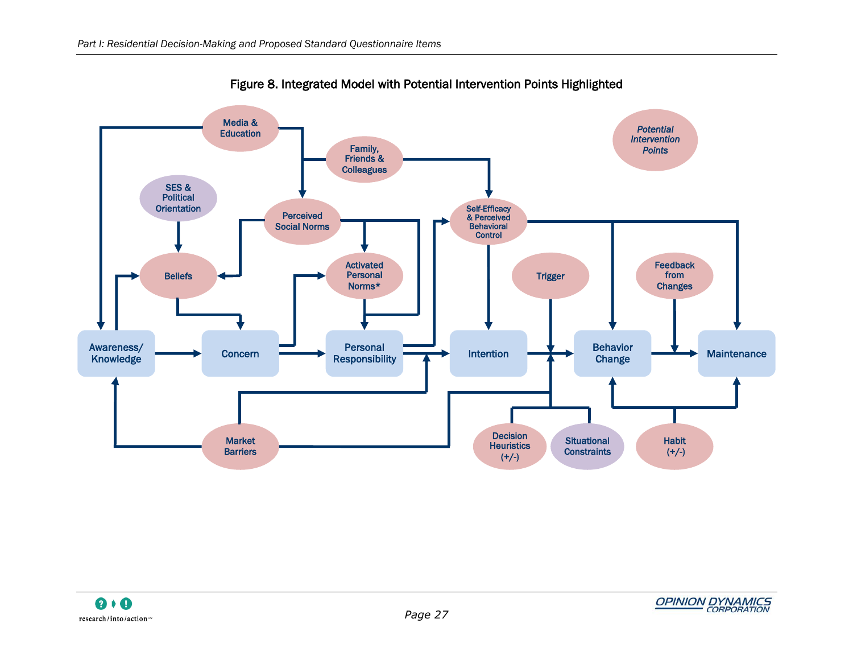<span id="page-36-0"></span>

Figure 8. Integrated Model with Potential Intervention Points Highlighted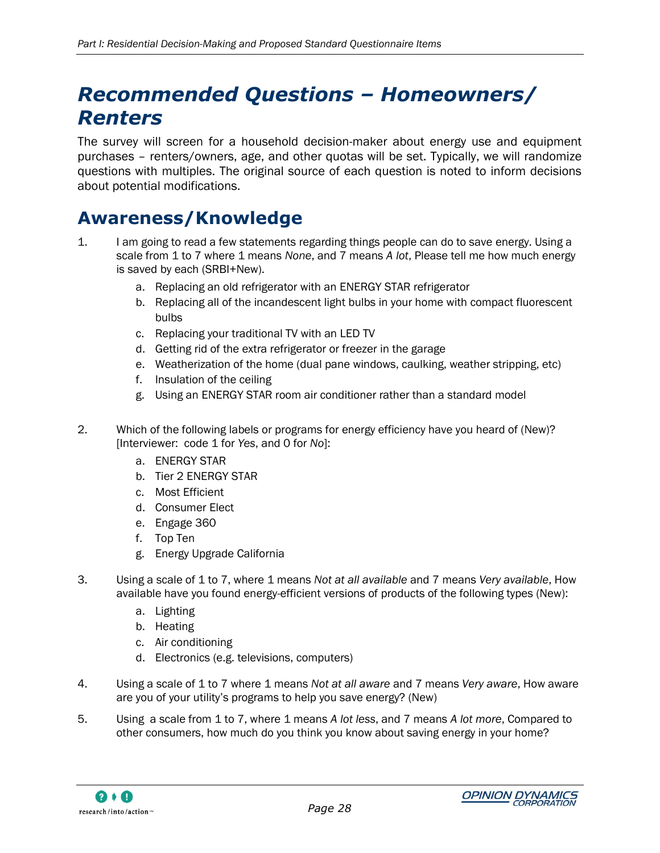# <span id="page-37-0"></span>*Recommended Questions – Homeowners/ Renters*

The survey will screen for a household decision-maker about energy use and equipment purchases – renters/owners, age, and other quotas will be set. Typically, we will randomize questions with multiples. The original source of each question is noted to inform decisions about potential modifications.

### <span id="page-37-1"></span>**Awareness/Knowledge**

- 1. I am going to read a few statements regarding things people can do to save energy. Using a scale from 1 to 7 where 1 means *None*, and 7 means *A lot*, Please tell me how much energy is saved by each (SRBI+New).
	- a. Replacing an old refrigerator with an ENERGY STAR refrigerator
	- b. Replacing all of the incandescent light bulbs in your home with compact fluorescent bulbs
	- c. Replacing your traditional TV with an LED TV
	- d. Getting rid of the extra refrigerator or freezer in the garage
	- e. Weatherization of the home (dual pane windows, caulking, weather stripping, etc)
	- f. Insulation of the ceiling
	- g. Using an ENERGY STAR room air conditioner rather than a standard model
- 2. Which of the following labels or programs for energy efficiency have you heard of (New)? [Interviewer: code 1 for *Yes*, and 0 for *No*]:
	- a. ENERGY STAR
	- b. Tier 2 ENERGY STAR
	- c. Most Efficient
	- d. Consumer Elect
	- e. Engage 360
	- f. Top Ten
	- g. Energy Upgrade California
- 3. Using a scale of 1 to 7, where 1 means *Not at all available* and 7 means *Very available*, How available have you found energy-efficient versions of products of the following types (New):
	- a. Lighting
	- b. Heating
	- c. Air conditioning
	- d. Electronics (e.g. televisions, computers)
- 4. Using a scale of 1 to 7 where 1 means *Not at all aware* and 7 means *Very aware*, How aware are you of your utility"s programs to help you save energy? (New)
- 5. Using a scale from 1 to 7, where 1 means *A lot less*, and 7 means *A lot more*, Compared to other consumers, how much do you think you know about saving energy in your home?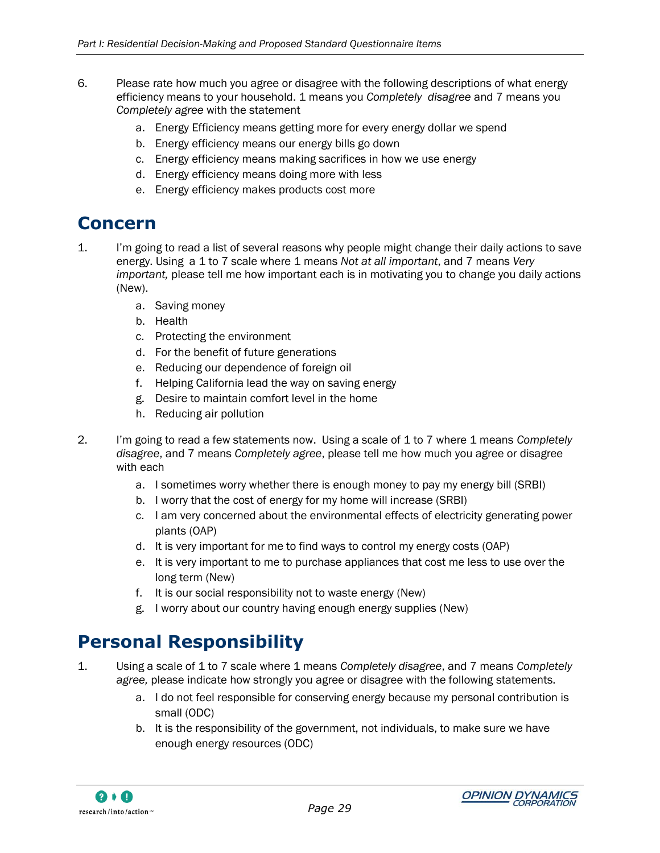- 6. Please rate how much you agree or disagree with the following descriptions of what energy efficiency means to your household. 1 means you *Completely disagree* and 7 means you *Completely agree* with the statement
	- a. Energy Efficiency means getting more for every energy dollar we spend
	- b. Energy efficiency means our energy bills go down
	- c. Energy efficiency means making sacrifices in how we use energy
	- d. Energy efficiency means doing more with less
	- e. Energy efficiency makes products cost more

### <span id="page-38-0"></span>**Concern**

- 1. I"m going to read a list of several reasons why people might change their daily actions to save energy. Using a 1 to 7 scale where 1 means *Not at all important*, and 7 means *Very important,* please tell me how important each is in motivating you to change you daily actions (New).
	- a. Saving money
	- b. Health
	- c. Protecting the environment
	- d. For the benefit of future generations
	- e. Reducing our dependence of foreign oil
	- f. Helping California lead the way on saving energy
	- g. Desire to maintain comfort level in the home
	- h. Reducing air pollution
- 2. I"m going to read a few statements now. Using a scale of 1 to 7 where 1 means *Completely disagree*, and 7 means *Completely agree*, please tell me how much you agree or disagree with each
	- a. I sometimes worry whether there is enough money to pay my energy bill (SRBI)
	- b. I worry that the cost of energy for my home will increase (SRBI)
	- c. I am very concerned about the environmental effects of electricity generating power plants (OAP)
	- d. It is very important for me to find ways to control my energy costs (OAP)
	- e. It is very important to me to purchase appliances that cost me less to use over the long term (New)
	- f. It is our social responsibility not to waste energy (New)
	- g. I worry about our country having enough energy supplies (New)

## <span id="page-38-1"></span>**Personal Responsibility**

- 1. Using a scale of 1 to 7 scale where 1 means *Completely disagree*, and 7 means *Completely agree,* please indicate how strongly you agree or disagree with the following statements.
	- a. I do not feel responsible for conserving energy because my personal contribution is small (ODC)
	- b. It is the responsibility of the government, not individuals, to make sure we have enough energy resources (ODC)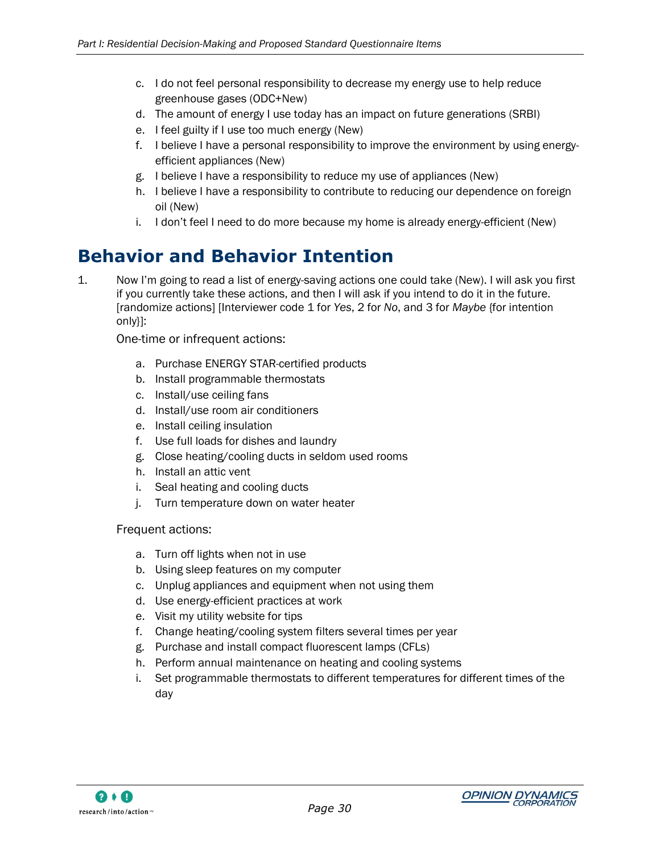- c. I do not feel personal responsibility to decrease my energy use to help reduce greenhouse gases (ODC+New)
- d. The amount of energy I use today has an impact on future generations (SRBI)
- e. I feel guilty if I use too much energy (New)
- f. I believe I have a personal responsibility to improve the environment by using energyefficient appliances (New)
- g. I believe I have a responsibility to reduce my use of appliances (New)
- h. I believe I have a responsibility to contribute to reducing our dependence on foreign oil (New)
- i. I don"t feel I need to do more because my home is already energy-efficient (New)

### <span id="page-39-0"></span>**Behavior and Behavior Intention**

1. Now I"m going to read a list of energy-saving actions one could take (New). I will ask you first if you currently take these actions, and then I will ask if you intend to do it in the future. [randomize actions] [Interviewer code 1 for *Yes*, 2 for *No*, and 3 for *Maybe* {for intention only}]:

One-time or infrequent actions:

- a. Purchase ENERGY STAR-certified products
- b. Install programmable thermostats
- c. Install/use ceiling fans
- d. Install/use room air conditioners
- e. Install ceiling insulation
- f. Use full loads for dishes and laundry
- g. Close heating/cooling ducts in seldom used rooms
- h. Install an attic vent
- i. Seal heating and cooling ducts
- j. Turn temperature down on water heater

#### Frequent actions:

- a. Turn off lights when not in use
- b. Using sleep features on my computer
- c. Unplug appliances and equipment when not using them
- d. Use energy-efficient practices at work
- e. Visit my utility website for tips
- f. Change heating/cooling system filters several times per year
- g. Purchase and install compact fluorescent lamps (CFLs)
- h. Perform annual maintenance on heating and cooling systems
- i. Set programmable thermostats to different temperatures for different times of the day

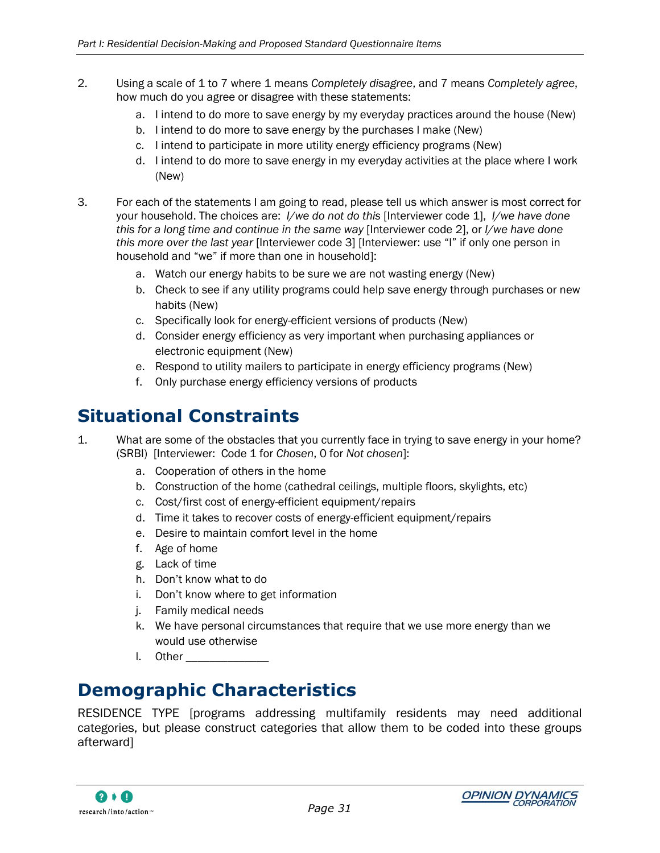- 2. Using a scale of 1 to 7 where 1 means *Completely disagree*, and 7 means *Completely agree*, how much do you agree or disagree with these statements:
	- a. I intend to do more to save energy by my everyday practices around the house (New)
	- b. I intend to do more to save energy by the purchases I make (New)
	- c. I intend to participate in more utility energy efficiency programs (New)
	- d. I intend to do more to save energy in my everyday activities at the place where I work (New)
- 3. For each of the statements I am going to read, please tell us which answer is most correct for your household. The choices are: *I/we do not do this* [Interviewer code 1], *I/we have done this for a long time and continue in the same way* [Interviewer code 2], or *I/we have done this more over the last year* [Interviewer code 3] [Interviewer: use "I" if only one person in household and "we" if more than one in household]:
	- a. Watch our energy habits to be sure we are not wasting energy (New)
	- b. Check to see if any utility programs could help save energy through purchases or new habits (New)
	- c. Specifically look for energy-efficient versions of products (New)
	- d. Consider energy efficiency as very important when purchasing appliances or electronic equipment (New)
	- e. Respond to utility mailers to participate in energy efficiency programs (New)
	- f. Only purchase energy efficiency versions of products

### <span id="page-40-0"></span>**Situational Constraints**

- 1. What are some of the obstacles that you currently face in trying to save energy in your home? (SRBI) [Interviewer: Code 1 for *Chosen*, 0 for *Not chosen*]:
	- a. Cooperation of others in the home
	- b. Construction of the home (cathedral ceilings, multiple floors, skylights, etc)
	- c. Cost/first cost of energy-efficient equipment/repairs
	- d. Time it takes to recover costs of energy-efficient equipment/repairs
	- e. Desire to maintain comfort level in the home
	- f. Age of home
	- g. Lack of time
	- h. Don"t know what to do
	- i. Don"t know where to get information
	- j. Family medical needs
	- k. We have personal circumstances that require that we use more energy than we would use otherwise
	- l. Other

## <span id="page-40-1"></span>**Demographic Characteristics**

RESIDENCE TYPE [programs addressing multifamily residents may need additional categories, but please construct categories that allow them to be coded into these groups afterward]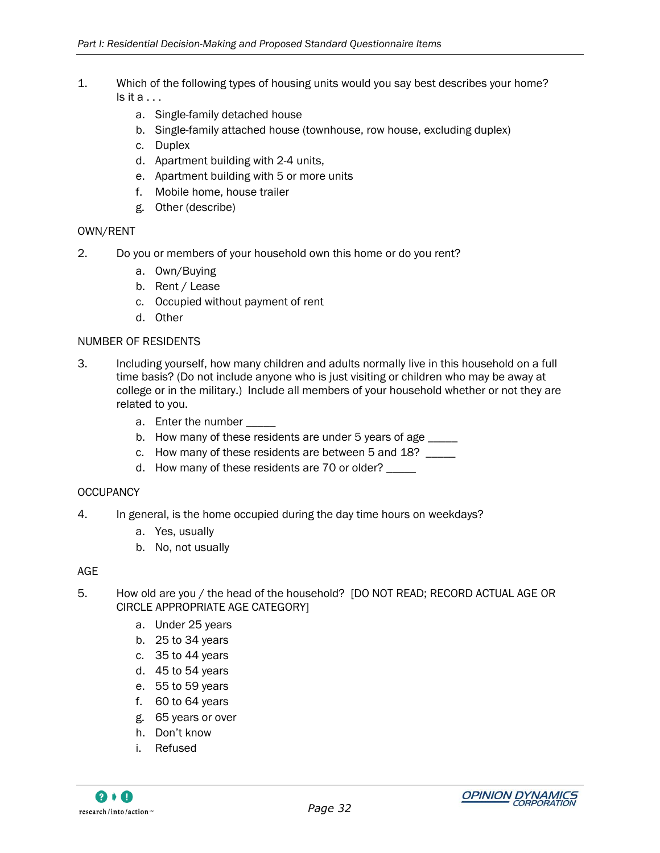- 1. Which of the following types of housing units would you say best describes your home?  $Is$  it  $a...$ 
	- a. Single-family detached house
	- b. Single-family attached house (townhouse, row house, excluding duplex)
	- c. Duplex
	- d. Apartment building with 2-4 units,
	- e. Apartment building with 5 or more units
	- f. Mobile home, house trailer
	- g. Other (describe)

#### OWN/RENT

- 2. Do you or members of your household own this home or do you rent?
	- a. Own/Buying
	- b. Rent / Lease
	- c. Occupied without payment of rent
	- d. Other

#### NUMBER OF RESIDENTS

- 3. Including yourself, how many children and adults normally live in this household on a full time basis? (Do not include anyone who is just visiting or children who may be away at college or in the military.) Include all members of your household whether or not they are related to you.
	- a. Enter the number
	- b. How many of these residents are under 5 years of age \_\_\_\_\_
	- c. How many of these residents are between 5 and 18?
	- d. How many of these residents are 70 or older? \_\_\_\_\_

#### **OCCUPANCY**

- 4. In general, is the home occupied during the day time hours on weekdays?
	- a. Yes, usually
	- b. No, not usually

#### AGE

- 5. How old are you / the head of the household? [DO NOT READ; RECORD ACTUAL AGE OR CIRCLE APPROPRIATE AGE CATEGORY]
	- a. Under 25 years
	- b. 25 to 34 years
	- c. 35 to 44 years
	- d. 45 to 54 years
	- e. 55 to 59 years
	- f. 60 to 64 years
	- g. 65 years or over
	- h. Don"t know
	- i. Refused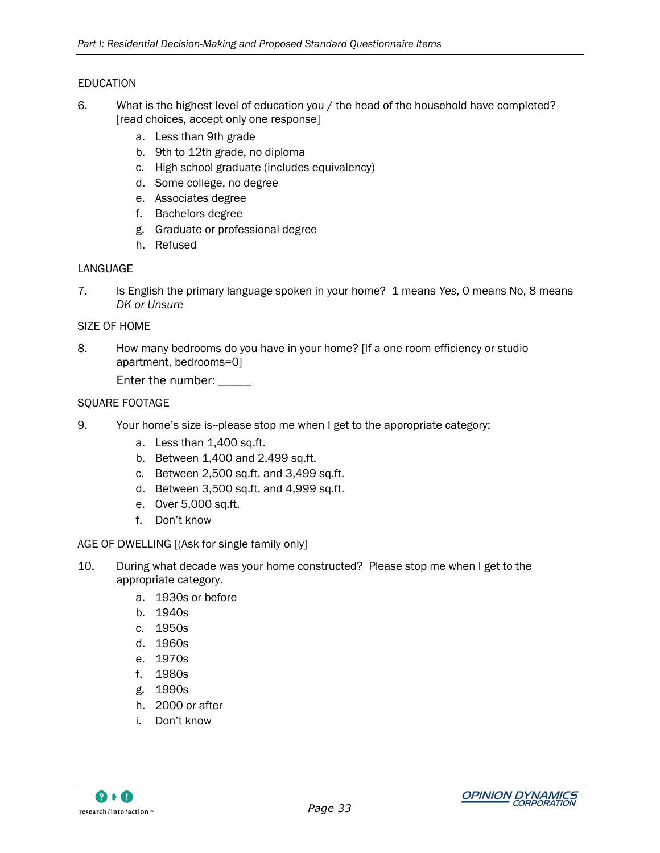#### EDUCATION

- 6. What is the highest level of education you / the head of the household have completed? [read choices, accept only one response]
	- a. Less than 9th grade
	- b. 9th to 12th grade, no diploma
	- c. High school graduate (includes equivalency)
	- d. Some college, no degree
	- e. Associates degree
	- f. Bachelors degree
	- g. Graduate or professional degree
	- h. Refused

#### LANGUAGE

7. Is English the primary language spoken in your home? 1 means *Yes*, 0 means No, 8 means *DK or Unsure*

#### SIZE OF HOME

8. How many bedrooms do you have in your home? [If a one room efficiency or studio apartment, bedrooms=0]

Enter the number:

#### SQUARE FOOTAGE

- 9. Your home"s size is--please stop me when I get to the appropriate category:
	- a. Less than 1,400 sq.ft.
	- b. Between 1,400 and 2,499 sq.ft.
	- c. Between 2,500 sq.ft. and 3,499 sq.ft.
	- d. Between 3,500 sq.ft. and 4,999 sq.ft.
	- e. Over 5,000 sq.ft.
	- f. Don"t know

#### AGE OF DWELLING [(Ask for single family only]

- 10. During what decade was your home constructed? Please stop me when I get to the appropriate category.
	- a. 1930s or before
	- b. 1940s
	- c. 1950s
	- d. 1960s
	- e. 1970s
	- f. 1980s
	- g. 1990s
	- h. 2000 or after
	- i. Don"t know

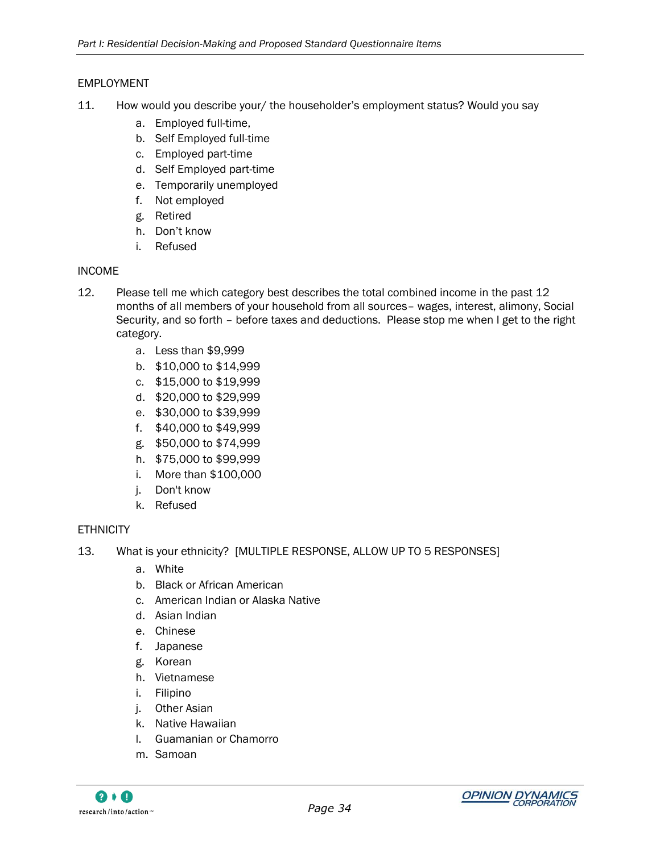#### EMPLOYMENT

- 11. How would you describe your/ the householder"s employment status? Would you say
	- a. Employed full-time,
	- b. Self Employed full-time
	- c. Employed part-time
	- d. Self Employed part-time
	- e. Temporarily unemployed
	- f. Not employed
	- g. Retired
	- h. Don"t know
	- i. Refused

#### INCOME

- 12. Please tell me which category best describes the total combined income in the past 12 months of all members of your household from all sources– wages, interest, alimony, Social Security, and so forth – before taxes and deductions. Please stop me when I get to the right category.
	- a. Less than \$9,999
	- b. \$10,000 to \$14,999
	- c. \$15,000 to \$19,999
	- d. \$20,000 to \$29,999
	- e. \$30,000 to \$39,999
	- f. \$40,000 to \$49,999
	- g. \$50,000 to \$74,999
	- h. \$75,000 to \$99,999
	- i. More than \$100,000
	- j. Don't know
	- k. Refused

#### **ETHNICITY**

- 13. What is your ethnicity? [MULTIPLE RESPONSE, ALLOW UP TO 5 RESPONSES]
	- a. White
	- b. Black or African American
	- c. American Indian or Alaska Native
	- d. Asian Indian
	- e. Chinese
	- f. Japanese
	- g. Korean
	- h. Vietnamese
	- i. Filipino
	- j. Other Asian
	- k. Native Hawaiian
	- l. Guamanian or Chamorro
	- m. Samoan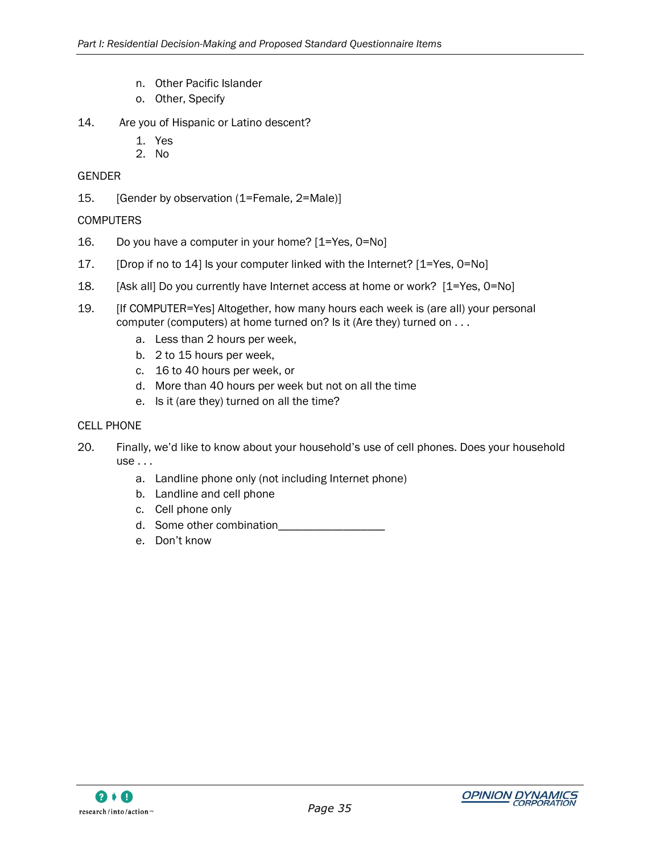- n. Other Pacific Islander
- o. Other, Specify
- 14. Are you of Hispanic or Latino descent?
	- 1. Yes
	- 2. No

#### GENDER

15. [Gender by observation (1=Female, 2=Male)]

#### **COMPUTERS**

- 16. Do you have a computer in your home? [1=Yes, 0=No]
- 17. [Drop if no to 14] Is your computer linked with the Internet? [1=Yes, 0=No]
- 18. [Ask all] Do you currently have Internet access at home or work? [1=Yes, 0=No]
- 19. [If COMPUTER=Yes] Altogether, how many hours each week is (are all) your personal computer (computers) at home turned on? Is it (Are they) turned on . . .
	- a. Less than 2 hours per week,
	- b. 2 to 15 hours per week,
	- c. 16 to 40 hours per week, or
	- d. More than 40 hours per week but not on all the time
	- e. Is it (are they) turned on all the time?

#### CELL PHONE

- 20. Finally, we"d like to know about your household"s use of cell phones. Does your household use . . .
	- a. Landline phone only (not including Internet phone)
	- b. Landline and cell phone
	- c. Cell phone only
	- d. Some other combination
	- e. Don"t know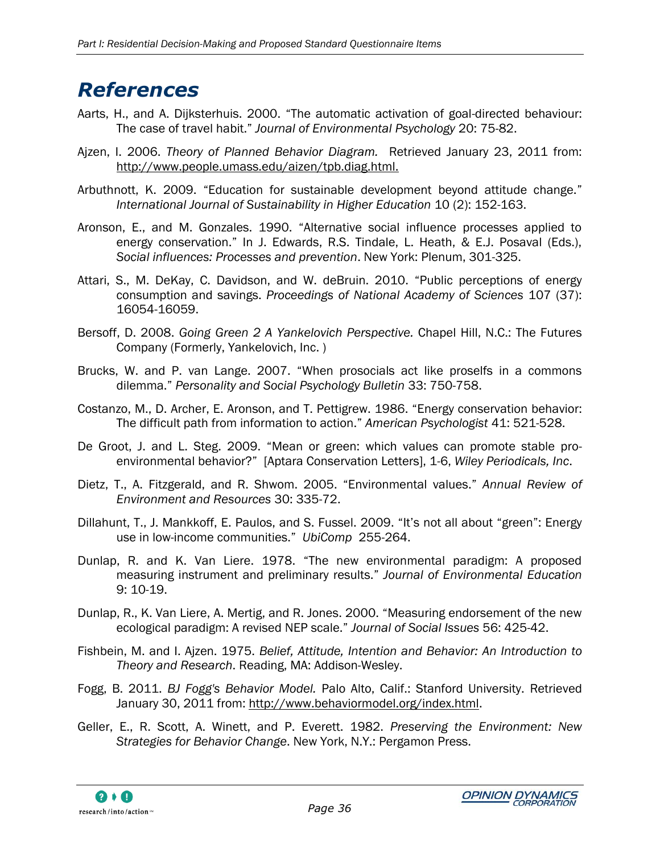## <span id="page-45-0"></span>*References*

- Aarts, H., and A. Dijksterhuis. 2000. "The automatic activation of goal-directed behaviour: The case of travel habit." *Journal of Environmental Psychology* 20: 75-82.
- Ajzen, I. 2006. *Theory of Planned Behavior Diagram.* Retrieved January 23, 2011 from: http://www.people.umass.edu/aizen/tpb.diag.html.
- Arbuthnott, K. 2009. "Education for sustainable development beyond attitude change." *International Journal of Sustainability in Higher Education* 10 (2): 152-163.
- Aronson, E., and M. Gonzales. 1990. "Alternative social influence processes applied to energy conservation." In J. Edwards, R.S. Tindale, L. Heath, & E.J. Posaval (Eds.), *Social influences: Processes and prevention*. New York: Plenum, 301-325.
- Attari, S., M. DeKay, C. Davidson, and W. deBruin. 2010. "Public perceptions of energy consumption and savings. *Proceedings of National Academy of Sciences* 107 (37): 16054-16059.
- Bersoff, D. 2008. *Going Green 2 A Yankelovich Perspective.* Chapel Hill, N.C.: The Futures Company (Formerly, Yankelovich, Inc. )
- Brucks, W. and P. van Lange. 2007. "When prosocials act like proselfs in a commons dilemma." *Personality and Social Psychology Bulletin* 33: 750-758.
- Costanzo, M., D. Archer, E. Aronson, and T. Pettigrew. 1986. "Energy conservation behavior: The difficult path from information to action." *American Psychologist* 41: 521-528.
- De Groot, J. and L. Steg. 2009. "Mean or green: which values can promote stable proenvironmental behavior?" [Aptara Conservation Letters], 1-6, *Wiley Periodicals, Inc*.
- Dietz, T., A. Fitzgerald, and R. Shwom. 2005. "Environmental values." *Annual Review of Environment and Resources* 30: 335-72.
- Dillahunt, T., J. Mankkoff, E. Paulos, and S. Fussel. 2009. "It"s not all about "green": Energy use in low-income communities." *UbiComp* 255-264.
- Dunlap, R. and K. Van Liere. 1978. "The new environmental paradigm: A proposed measuring instrument and preliminary results." *Journal of Environmental Education*  9: 10-19.
- Dunlap, R., K. Van Liere, A. Mertig, and R. Jones. 2000. "Measuring endorsement of the new ecological paradigm: A revised NEP scale." *Journal of Social Issues* 56: 425-42.
- Fishbein, M. and I. Ajzen. 1975. *Belief, Attitude, Intention and Behavior: An Introduction to Theory and Research*. Reading, MA: Addison-Wesley.
- Fogg, B. 2011. *BJ Fogg's Behavior Model.* Palo Alto, Calif.: Stanford University. Retrieved January 30, 2011 from: [http://www.behaviormodel.org/index.html.](http://www.behaviormodel.org/index.html)
- Geller, E., R. Scott, A. Winett, and P. Everett. 1982. *Preserving the Environment: New Strategies for Behavior Change*. New York, N.Y.: Pergamon Press.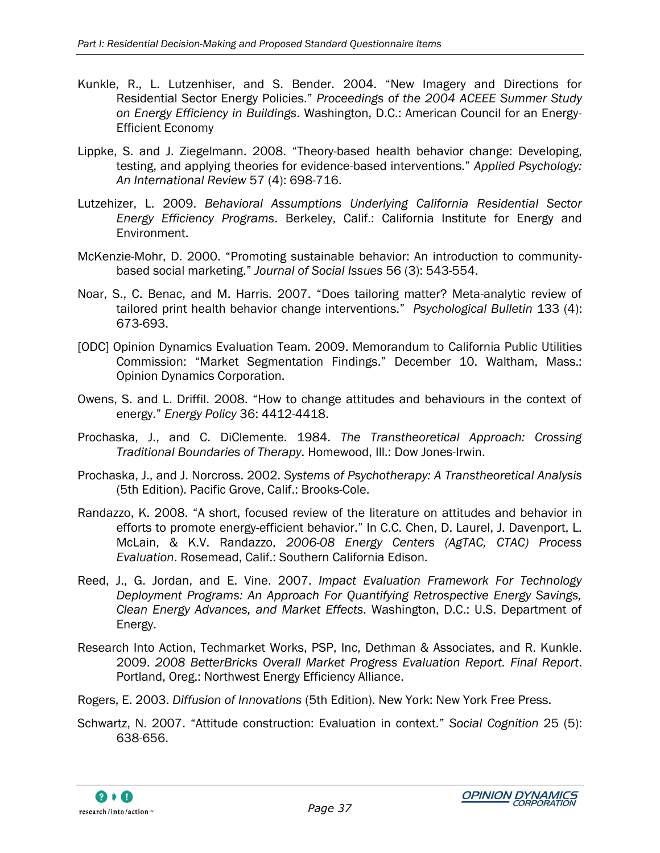- Kunkle, R., L. Lutzenhiser, and S. Bender. 2004. "New Imagery and Directions for Residential Sector Energy Policies." *Proceedings of the 2004 ACEEE Summer Study on Energy Efficiency in Buildings*. Washington, D.C.: American Council for an Energy-Efficient Economy
- Lippke, S. and J. Ziegelmann. 2008. "Theory-based health behavior change: Developing, testing, and applying theories for evidence-based interventions." *Applied Psychology: An International Review* 57 (4): 698-716.
- Lutzehizer, L. 2009. *Behavioral Assumptions Underlying California Residential Sector Energy Efficiency Programs*. Berkeley, Calif.: California Institute for Energy and Environment.
- McKenzie-Mohr, D. 2000. "Promoting sustainable behavior: An introduction to communitybased social marketing." *Journal of Social Issues* 56 (3): 543-554.
- Noar, S., C. Benac, and M. Harris. 2007. "Does tailoring matter? Meta-analytic review of tailored print health behavior change interventions." *Psychological Bulletin* 133 (4): 673-693.
- [ODC] Opinion Dynamics Evaluation Team. 2009. Memorandum to California Public Utilities Commission: "Market Segmentation Findings." December 10. Waltham, Mass.: Opinion Dynamics Corporation.
- Owens, S. and L. Driffil. 2008. "How to change attitudes and behaviours in the context of energy." *Energy Policy* 36: 4412-4418.
- Prochaska, J., and C. DiClemente. 1984. *The Transtheoretical Approach: Crossing Traditional Boundaries of Therapy*. Homewood, Ill.: Dow Jones-Irwin.
- Prochaska, J., and J. Norcross. 2002. *Systems of Psychotherapy: A Transtheoretical Analysis* (5th Edition). Pacific Grove, Calif.: Brooks-Cole.
- Randazzo, K. 2008. "A short, focused review of the literature on attitudes and behavior in efforts to promote energy-efficient behavior." In C.C. Chen, D. Laurel, J. Davenport, L. McLain, & K.V. Randazzo, *2006-08 Energy Centers (AgTAC, CTAC) Process Evaluation*. Rosemead, Calif.: Southern California Edison.
- Reed, J., G. Jordan, and E. Vine. 2007. *Impact Evaluation Framework For Technology Deployment Programs: An Approach For Quantifying Retrospective Energy Savings, Clean Energy Advances, and Market Effects.* Washington, D.C.: U.S. Department of Energy.
- Research Into Action, Techmarket Works, PSP, Inc, Dethman & Associates, and R. Kunkle. 2009. *2008 BetterBricks Overall Market Progress Evaluation Report. Final Report*. Portland, Oreg.: Northwest Energy Efficiency Alliance.
- Rogers, E. 2003. *Diffusion of Innovations* (5th Edition). New York: New York Free Press.
- Schwartz, N. 2007. "Attitude construction: Evaluation in context." *Social Cognition* 25 (5): 638-656.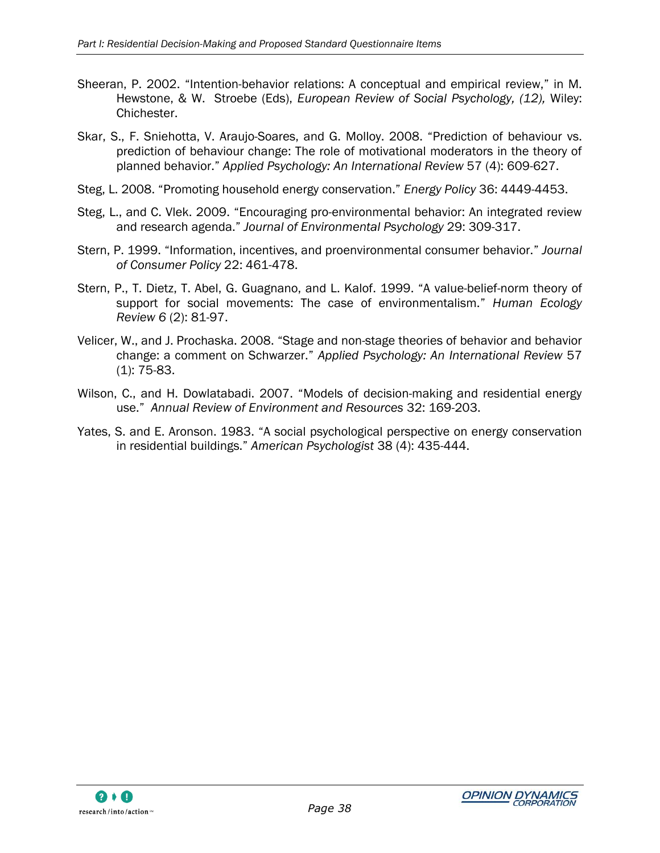- Sheeran, P. 2002. "Intention-behavior relations: A conceptual and empirical review," in M. Hewstone, & W. Stroebe (Eds), *European Review of Social Psychology, (12),* Wiley: Chichester.
- Skar, S., F. Sniehotta, V. Araujo-Soares, and G. Molloy. 2008. "Prediction of behaviour vs. prediction of behaviour change: The role of motivational moderators in the theory of planned behavior." *Applied Psychology: An International Review* 57 (4): 609-627.
- Steg, L. 2008. "Promoting household energy conservation." *Energy Policy* 36: 4449-4453.
- Steg, L., and C. Vlek. 2009. "Encouraging pro-environmental behavior: An integrated review and research agenda." *Journal of Environmental Psychology* 29: 309-317.
- Stern, P. 1999. "Information, incentives, and proenvironmental consumer behavior." *Journal of Consumer Policy* 22: 461-478.
- Stern, P., T. Dietz, T. Abel, G. Guagnano, and L. Kalof. 1999. "A value-belief-norm theory of support for social movements: The case of environmentalism." *Human Ecology Review 6* (2): 81-97.
- Velicer, W., and J. Prochaska. 2008. "Stage and non-stage theories of behavior and behavior change: a comment on Schwarzer." *Applied Psychology: An International Review* 57 (1): 75-83.
- Wilson, C., and H. Dowlatabadi. 2007. "Models of decision-making and residential energy use." *Annual Review of Environment and Resources* 32: 169-203.
- Yates, S. and E. Aronson. 1983. "A social psychological perspective on energy conservation in residential buildings." *American Psychologist* 38 (4): 435-444.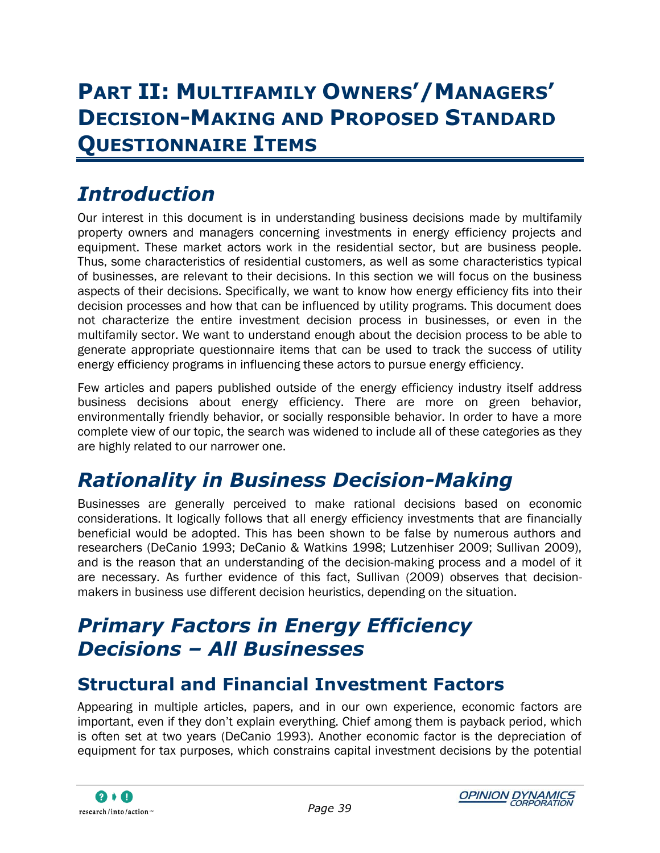# <span id="page-48-0"></span>**PART II: MULTIFAMILY OWNERS'/MANAGERS' DECISION-MAKING AND PROPOSED STANDARD QUESTIONNAIRE ITEMS**

# <span id="page-48-1"></span>*Introduction*

Our interest in this document is in understanding business decisions made by multifamily property owners and managers concerning investments in energy efficiency projects and equipment. These market actors work in the residential sector, but are business people. Thus, some characteristics of residential customers, as well as some characteristics typical of businesses, are relevant to their decisions. In this section we will focus on the business aspects of their decisions. Specifically, we want to know how energy efficiency fits into their decision processes and how that can be influenced by utility programs. This document does not characterize the entire investment decision process in businesses, or even in the multifamily sector. We want to understand enough about the decision process to be able to generate appropriate questionnaire items that can be used to track the success of utility energy efficiency programs in influencing these actors to pursue energy efficiency.

Few articles and papers published outside of the energy efficiency industry itself address business decisions about energy efficiency. There are more on green behavior, environmentally friendly behavior, or socially responsible behavior. In order to have a more complete view of our topic, the search was widened to include all of these categories as they are highly related to our narrower one.

# <span id="page-48-2"></span>*Rationality in Business Decision-Making*

Businesses are generally perceived to make rational decisions based on economic considerations. It logically follows that all energy efficiency investments that are financially beneficial would be adopted. This has been shown to be false by numerous authors and researchers (DeCanio 1993; DeCanio & Watkins 1998; Lutzenhiser 2009; Sullivan 2009), and is the reason that an understanding of the decision-making process and a model of it are necessary. As further evidence of this fact, Sullivan (2009) observes that decisionmakers in business use different decision heuristics, depending on the situation.

# <span id="page-48-3"></span>*Primary Factors in Energy Efficiency Decisions – All Businesses*

## <span id="page-48-4"></span>**Structural and Financial Investment Factors**

Appearing in multiple articles, papers, and in our own experience, economic factors are important, even if they don"t explain everything. Chief among them is payback period, which is often set at two years (DeCanio 1993). Another economic factor is the depreciation of equipment for tax purposes, which constrains capital investment decisions by the potential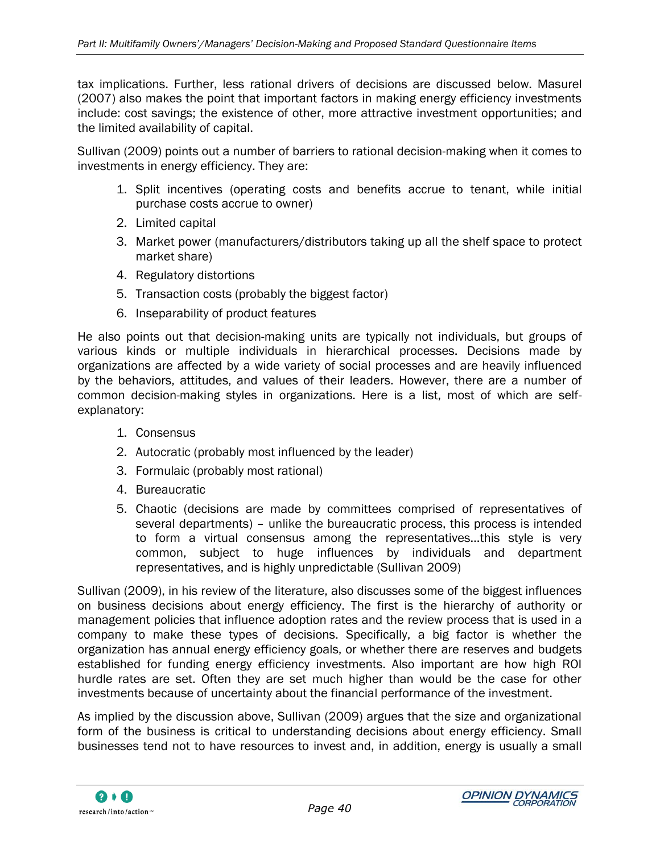tax implications. Further, less rational drivers of decisions are discussed below. Masurel (2007) also makes the point that important factors in making energy efficiency investments include: cost savings; the existence of other, more attractive investment opportunities; and the limited availability of capital.

Sullivan (2009) points out a number of barriers to rational decision-making when it comes to investments in energy efficiency. They are:

- 1. Split incentives (operating costs and benefits accrue to tenant, while initial purchase costs accrue to owner)
- 2. Limited capital
- 3. Market power (manufacturers/distributors taking up all the shelf space to protect market share)
- 4. Regulatory distortions
- 5. Transaction costs (probably the biggest factor)
- 6. Inseparability of product features

He also points out that decision-making units are typically not individuals, but groups of various kinds or multiple individuals in hierarchical processes. Decisions made by organizations are affected by a wide variety of social processes and are heavily influenced by the behaviors, attitudes, and values of their leaders. However, there are a number of common decision-making styles in organizations. Here is a list, most of which are selfexplanatory:

- 1. Consensus
- 2. Autocratic (probably most influenced by the leader)
- 3. Formulaic (probably most rational)
- 4. Bureaucratic
- 5. Chaotic (decisions are made by committees comprised of representatives of several departments) – unlike the bureaucratic process, this process is intended to form a virtual consensus among the representatives…this style is very common, subject to huge influences by individuals and department representatives, and is highly unpredictable (Sullivan 2009)

Sullivan (2009), in his review of the literature, also discusses some of the biggest influences on business decisions about energy efficiency. The first is the hierarchy of authority or management policies that influence adoption rates and the review process that is used in a company to make these types of decisions. Specifically, a big factor is whether the organization has annual energy efficiency goals, or whether there are reserves and budgets established for funding energy efficiency investments. Also important are how high ROI hurdle rates are set. Often they are set much higher than would be the case for other investments because of uncertainty about the financial performance of the investment.

As implied by the discussion above, Sullivan (2009) argues that the size and organizational form of the business is critical to understanding decisions about energy efficiency. Small businesses tend not to have resources to invest and, in addition, energy is usually a small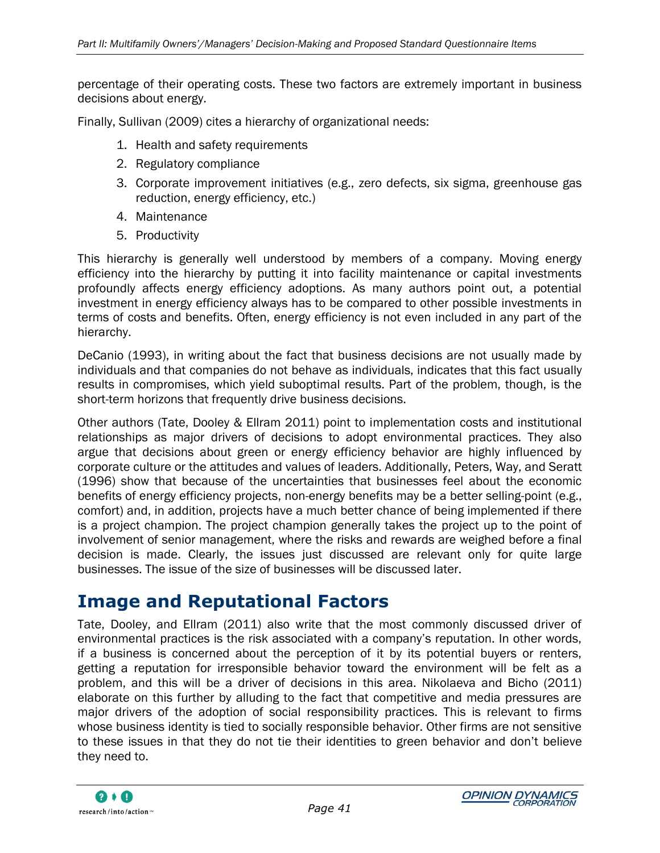percentage of their operating costs. These two factors are extremely important in business decisions about energy.

Finally, Sullivan (2009) cites a hierarchy of organizational needs:

- 1. Health and safety requirements
- 2. Regulatory compliance
- 3. Corporate improvement initiatives (e.g., zero defects, six sigma, greenhouse gas reduction, energy efficiency, etc.)
- 4. Maintenance
- 5. Productivity

This hierarchy is generally well understood by members of a company. Moving energy efficiency into the hierarchy by putting it into facility maintenance or capital investments profoundly affects energy efficiency adoptions. As many authors point out, a potential investment in energy efficiency always has to be compared to other possible investments in terms of costs and benefits. Often, energy efficiency is not even included in any part of the hierarchy.

DeCanio (1993), in writing about the fact that business decisions are not usually made by individuals and that companies do not behave as individuals, indicates that this fact usually results in compromises, which yield suboptimal results. Part of the problem, though, is the short-term horizons that frequently drive business decisions.

Other authors (Tate, Dooley & Ellram 2011) point to implementation costs and institutional relationships as major drivers of decisions to adopt environmental practices. They also argue that decisions about green or energy efficiency behavior are highly influenced by corporate culture or the attitudes and values of leaders. Additionally, Peters, Way, and Seratt (1996) show that because of the uncertainties that businesses feel about the economic benefits of energy efficiency projects, non-energy benefits may be a better selling-point (e.g., comfort) and, in addition, projects have a much better chance of being implemented if there is a project champion. The project champion generally takes the project up to the point of involvement of senior management, where the risks and rewards are weighed before a final decision is made. Clearly, the issues just discussed are relevant only for quite large businesses. The issue of the size of businesses will be discussed later.

## <span id="page-50-0"></span>**Image and Reputational Factors**

Tate, Dooley, and Ellram (2011) also write that the most commonly discussed driver of environmental practices is the risk associated with a company"s reputation. In other words, if a business is concerned about the perception of it by its potential buyers or renters, getting a reputation for irresponsible behavior toward the environment will be felt as a problem, and this will be a driver of decisions in this area. Nikolaeva and Bicho (2011) elaborate on this further by alluding to the fact that competitive and media pressures are major drivers of the adoption of social responsibility practices. This is relevant to firms whose business identity is tied to socially responsible behavior. Other firms are not sensitive to these issues in that they do not tie their identities to green behavior and don"t believe they need to.

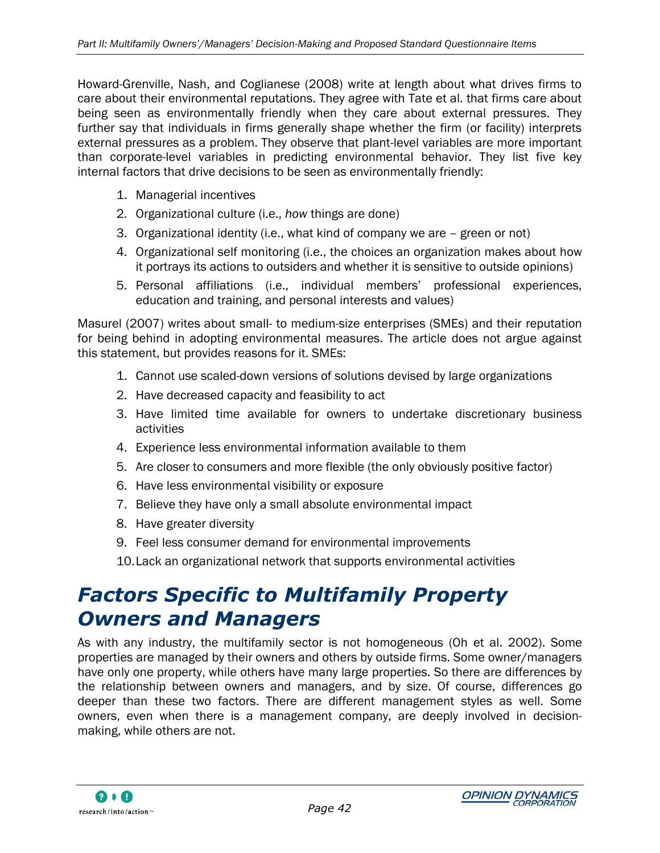Howard-Grenville, Nash, and Coglianese (2008) write at length about what drives firms to care about their environmental reputations. They agree with Tate et al. that firms care about being seen as environmentally friendly when they care about external pressures. They further say that individuals in firms generally shape whether the firm (or facility) interprets external pressures as a problem. They observe that plant-level variables are more important than corporate-level variables in predicting environmental behavior. They list five key internal factors that drive decisions to be seen as environmentally friendly:

- 1. Managerial incentives
- 2. Organizational culture (i.e., *how* things are done)
- 3. Organizational identity (i.e., what kind of company we are green or not)
- 4. Organizational self monitoring (i.e., the choices an organization makes about how it portrays its actions to outsiders and whether it is sensitive to outside opinions)
- 5. Personal affiliations (i.e., individual members" professional experiences, education and training, and personal interests and values)

Masurel (2007) writes about small- to medium-size enterprises (SMEs) and their reputation for being behind in adopting environmental measures. The article does not argue against this statement, but provides reasons for it. SMEs:

- 1. Cannot use scaled-down versions of solutions devised by large organizations
- 2. Have decreased capacity and feasibility to act
- 3. Have limited time available for owners to undertake discretionary business activities
- 4. Experience less environmental information available to them
- 5. Are closer to consumers and more flexible (the only obviously positive factor)
- 6. Have less environmental visibility or exposure
- 7. Believe they have only a small absolute environmental impact
- 8. Have greater diversity
- 9. Feel less consumer demand for environmental improvements
- 10.Lack an organizational network that supports environmental activities

# <span id="page-51-0"></span>*Factors Specific to Multifamily Property Owners and Managers*

As with any industry, the multifamily sector is not homogeneous (Oh et al. 2002). Some properties are managed by their owners and others by outside firms. Some owner/managers have only one property, while others have many large properties. So there are differences by the relationship between owners and managers, and by size. Of course, differences go deeper than these two factors. There are different management styles as well. Some owners, even when there is a management company, are deeply involved in decisionmaking, while others are not.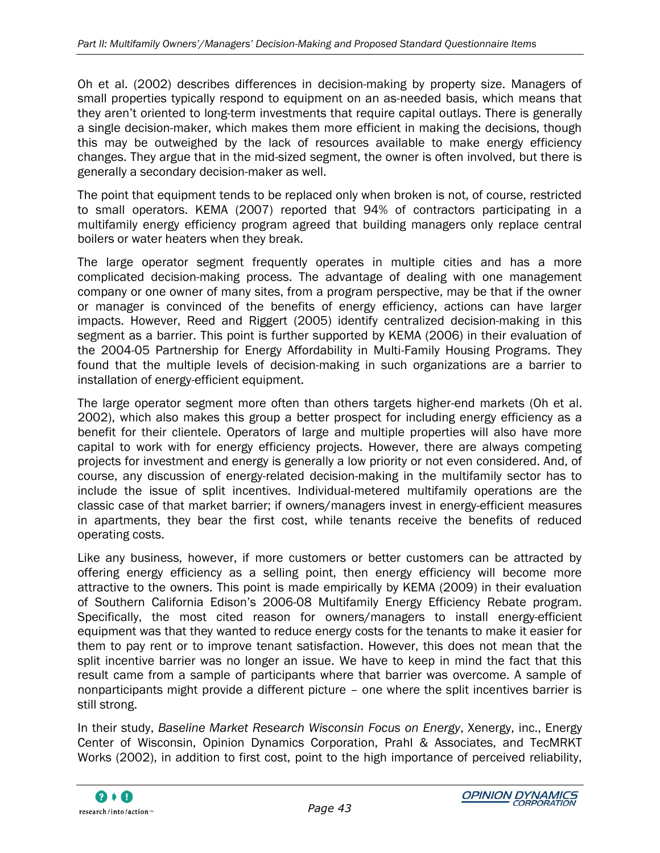Oh et al. (2002) describes differences in decision-making by property size. Managers of small properties typically respond to equipment on an as-needed basis, which means that thev aren't oriented to long-term investments that require capital outlays. There is generally a single decision-maker, which makes them more efficient in making the decisions, though this may be outweighed by the lack of resources available to make energy efficiency changes. They argue that in the mid-sized segment, the owner is often involved, but there is generally a secondary decision-maker as well.

The point that equipment tends to be replaced only when broken is not, of course, restricted to small operators. KEMA (2007) reported that 94% of contractors participating in a multifamily energy efficiency program agreed that building managers only replace central boilers or water heaters when they break.

The large operator segment frequently operates in multiple cities and has a more complicated decision-making process. The advantage of dealing with one management company or one owner of many sites, from a program perspective, may be that if the owner or manager is convinced of the benefits of energy efficiency, actions can have larger impacts. However, Reed and Riggert (2005) identify centralized decision-making in this segment as a barrier. This point is further supported by KEMA (2006) in their evaluation of the 2004-05 Partnership for Energy Affordability in Multi-Family Housing Programs. They found that the multiple levels of decision-making in such organizations are a barrier to installation of energy-efficient equipment.

The large operator segment more often than others targets higher-end markets (Oh et al. 2002), which also makes this group a better prospect for including energy efficiency as a benefit for their clientele. Operators of large and multiple properties will also have more capital to work with for energy efficiency projects. However, there are always competing projects for investment and energy is generally a low priority or not even considered. And, of course, any discussion of energy-related decision-making in the multifamily sector has to include the issue of split incentives. Individual-metered multifamily operations are the classic case of that market barrier; if owners/managers invest in energy-efficient measures in apartments, they bear the first cost, while tenants receive the benefits of reduced operating costs.

Like any business, however, if more customers or better customers can be attracted by offering energy efficiency as a selling point, then energy efficiency will become more attractive to the owners. This point is made empirically by KEMA (2009) in their evaluation of Southern California Edison"s 2006-08 Multifamily Energy Efficiency Rebate program. Specifically, the most cited reason for owners/managers to install energy-efficient equipment was that they wanted to reduce energy costs for the tenants to make it easier for them to pay rent or to improve tenant satisfaction. However, this does not mean that the split incentive barrier was no longer an issue. We have to keep in mind the fact that this result came from a sample of participants where that barrier was overcome. A sample of nonparticipants might provide a different picture – one where the split incentives barrier is still strong.

In their study, *Baseline Market Research Wisconsin Focus on Energy*, Xenergy, inc., Energy Center of Wisconsin, Opinion Dynamics Corporation, Prahl & Associates, and TecMRKT Works (2002), in addition to first cost, point to the high importance of perceived reliability,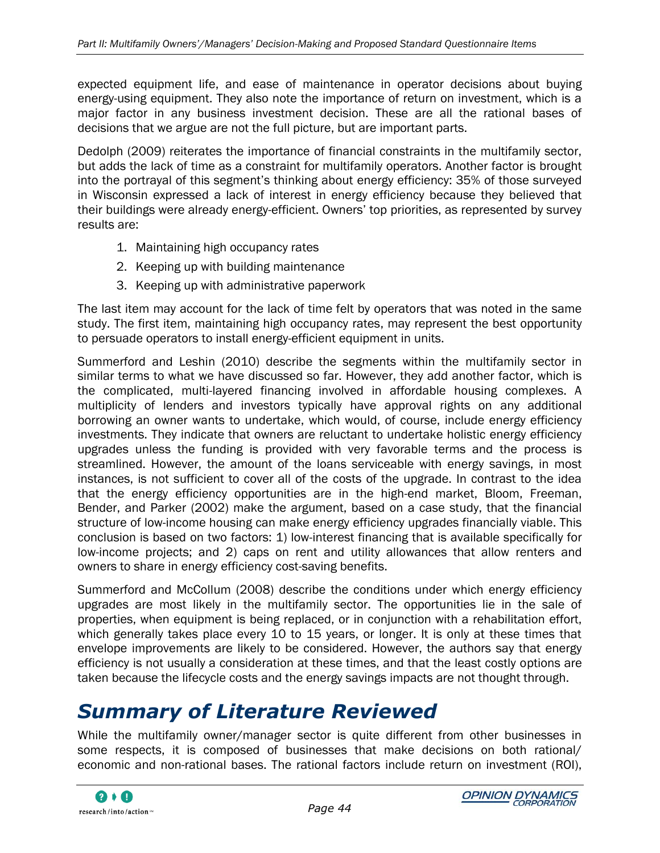expected equipment life, and ease of maintenance in operator decisions about buying energy-using equipment. They also note the importance of return on investment, which is a major factor in any business investment decision. These are all the rational bases of decisions that we argue are not the full picture, but are important parts.

Dedolph (2009) reiterates the importance of financial constraints in the multifamily sector, but adds the lack of time as a constraint for multifamily operators. Another factor is brought into the portrayal of this segment"s thinking about energy efficiency: 35% of those surveyed in Wisconsin expressed a lack of interest in energy efficiency because they believed that their buildings were already energy-efficient. Owners" top priorities, as represented by survey results are:

- 1. Maintaining high occupancy rates
- 2. Keeping up with building maintenance
- 3. Keeping up with administrative paperwork

The last item may account for the lack of time felt by operators that was noted in the same study. The first item, maintaining high occupancy rates, may represent the best opportunity to persuade operators to install energy-efficient equipment in units.

Summerford and Leshin (2010) describe the segments within the multifamily sector in similar terms to what we have discussed so far. However, they add another factor, which is the complicated, multi-layered financing involved in affordable housing complexes. A multiplicity of lenders and investors typically have approval rights on any additional borrowing an owner wants to undertake, which would, of course, include energy efficiency investments. They indicate that owners are reluctant to undertake holistic energy efficiency upgrades unless the funding is provided with very favorable terms and the process is streamlined. However, the amount of the loans serviceable with energy savings, in most instances, is not sufficient to cover all of the costs of the upgrade. In contrast to the idea that the energy efficiency opportunities are in the high-end market, Bloom, Freeman, Bender, and Parker (2002) make the argument, based on a case study, that the financial structure of low-income housing can make energy efficiency upgrades financially viable. This conclusion is based on two factors: 1) low-interest financing that is available specifically for low-income projects; and 2) caps on rent and utility allowances that allow renters and owners to share in energy efficiency cost-saving benefits.

Summerford and McCollum (2008) describe the conditions under which energy efficiency upgrades are most likely in the multifamily sector. The opportunities lie in the sale of properties, when equipment is being replaced, or in conjunction with a rehabilitation effort, which generally takes place every 10 to 15 years, or longer. It is only at these times that envelope improvements are likely to be considered. However, the authors say that energy efficiency is not usually a consideration at these times, and that the least costly options are taken because the lifecycle costs and the energy savings impacts are not thought through.

# <span id="page-53-0"></span>*Summary of Literature Reviewed*

While the multifamily owner/manager sector is quite different from other businesses in some respects, it is composed of businesses that make decisions on both rational/ economic and non-rational bases. The rational factors include return on investment (ROI),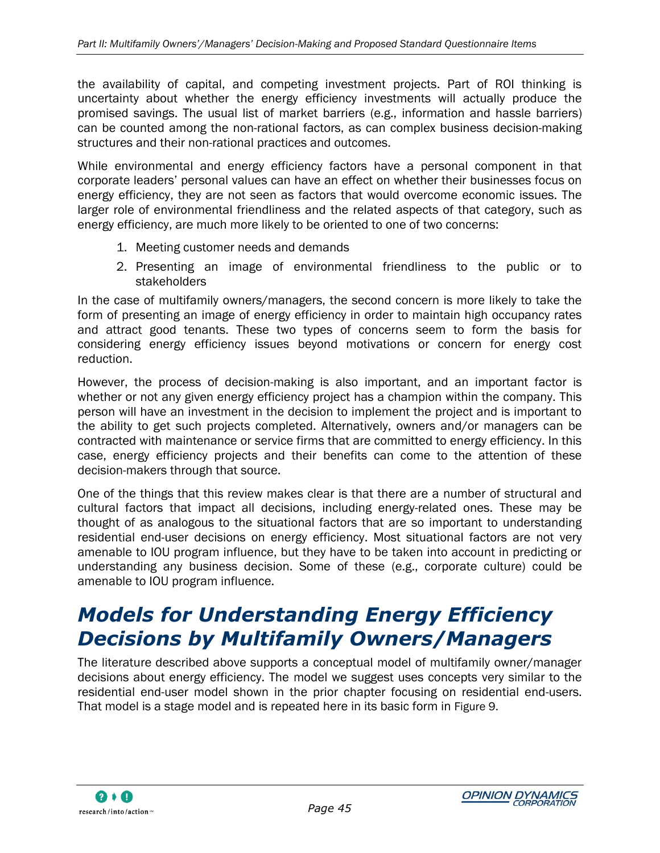the availability of capital, and competing investment projects. Part of ROI thinking is uncertainty about whether the energy efficiency investments will actually produce the promised savings. The usual list of market barriers (e.g., information and hassle barriers) can be counted among the non-rational factors, as can complex business decision-making structures and their non-rational practices and outcomes.

While environmental and energy efficiency factors have a personal component in that corporate leaders" personal values can have an effect on whether their businesses focus on energy efficiency, they are not seen as factors that would overcome economic issues. The larger role of environmental friendliness and the related aspects of that category, such as energy efficiency, are much more likely to be oriented to one of two concerns:

- 1. Meeting customer needs and demands
- 2. Presenting an image of environmental friendliness to the public or to stakeholders

In the case of multifamily owners/managers, the second concern is more likely to take the form of presenting an image of energy efficiency in order to maintain high occupancy rates and attract good tenants. These two types of concerns seem to form the basis for considering energy efficiency issues beyond motivations or concern for energy cost reduction.

However, the process of decision-making is also important, and an important factor is whether or not any given energy efficiency project has a champion within the company. This person will have an investment in the decision to implement the project and is important to the ability to get such projects completed. Alternatively, owners and/or managers can be contracted with maintenance or service firms that are committed to energy efficiency. In this case, energy efficiency projects and their benefits can come to the attention of these decision-makers through that source.

One of the things that this review makes clear is that there are a number of structural and cultural factors that impact all decisions, including energy-related ones. These may be thought of as analogous to the situational factors that are so important to understanding residential end-user decisions on energy efficiency. Most situational factors are not very amenable to IOU program influence, but they have to be taken into account in predicting or understanding any business decision. Some of these (e.g., corporate culture) could be amenable to IOU program influence.

# <span id="page-54-0"></span>*Models for Understanding Energy Efficiency Decisions by Multifamily Owners/Managers*

The literature described above supports a conceptual model of multifamily owner/manager decisions about energy efficiency. The model we suggest uses concepts very similar to the residential end-user model shown in the prior chapter focusing on residential end-users. That model is a stage model and is repeated here in its basic form in [Figure 9.](#page-55-0)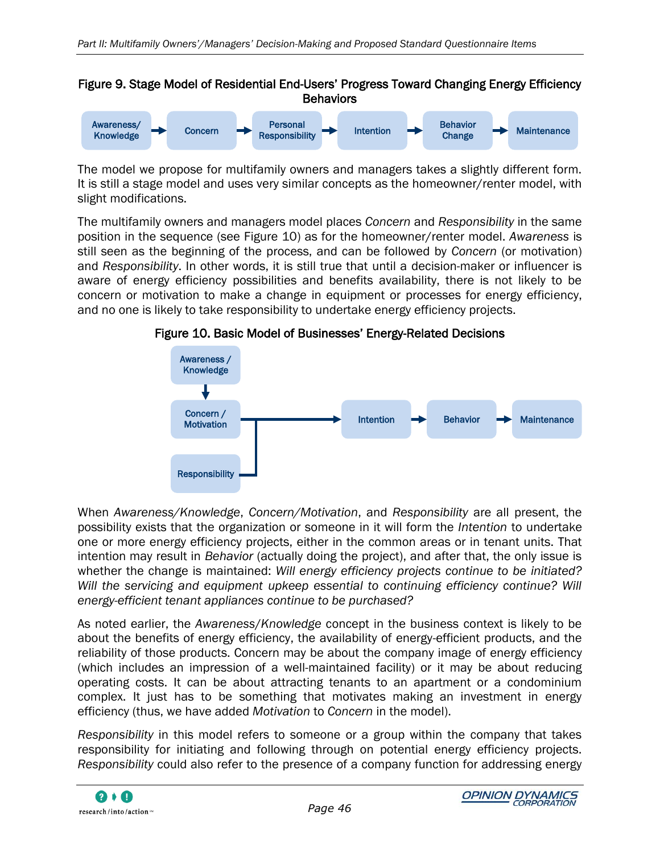#### <span id="page-55-0"></span>Figure 9. Stage Model of Residential End-Users" Progress Toward Changing Energy Efficiency **Behaviors**



The model we propose for multifamily owners and managers takes a slightly different form. It is still a stage model and uses very similar concepts as the homeowner/renter model, with slight modifications.

The multifamily owners and managers model places *Concern* and *Responsibility* in the same position in the sequence (see [Figure 10\)](#page-55-1) as for the homeowner/renter model. *Awareness* is still seen as the beginning of the process, and can be followed by *Concern* (or motivation) and *Responsibility*. In other words, it is still true that until a decision-maker or influencer is aware of energy efficiency possibilities and benefits availability, there is not likely to be concern or motivation to make a change in equipment or processes for energy efficiency, and no one is likely to take responsibility to undertake energy efficiency projects.



<span id="page-55-1"></span>Figure 10. Basic Model of Businesses" Energy-Related Decisions

When *Awareness/Knowledge*, *Concern/Motivation*, and *Responsibility* are all present, the possibility exists that the organization or someone in it will form the *Intention* to undertake one or more energy efficiency projects, either in the common areas or in tenant units. That intention may result in *Behavior* (actually doing the project), and after that, the only issue is whether the change is maintained: *Will energy efficiency projects continue to be initiated? Will the servicing and equipment upkeep essential to continuing efficiency continue? Will energy-efficient tenant appliances continue to be purchased?*

As noted earlier, the *Awareness*/*Knowledge* concept in the business context is likely to be about the benefits of energy efficiency, the availability of energy-efficient products, and the reliability of those products. Concern may be about the company image of energy efficiency (which includes an impression of a well-maintained facility) or it may be about reducing operating costs. It can be about attracting tenants to an apartment or a condominium complex. It just has to be something that motivates making an investment in energy efficiency (thus, we have added *Motivation* to *Concern* in the model).

*Responsibility* in this model refers to someone or a group within the company that takes responsibility for initiating and following through on potential energy efficiency projects. *Responsibility* could also refer to the presence of a company function for addressing energy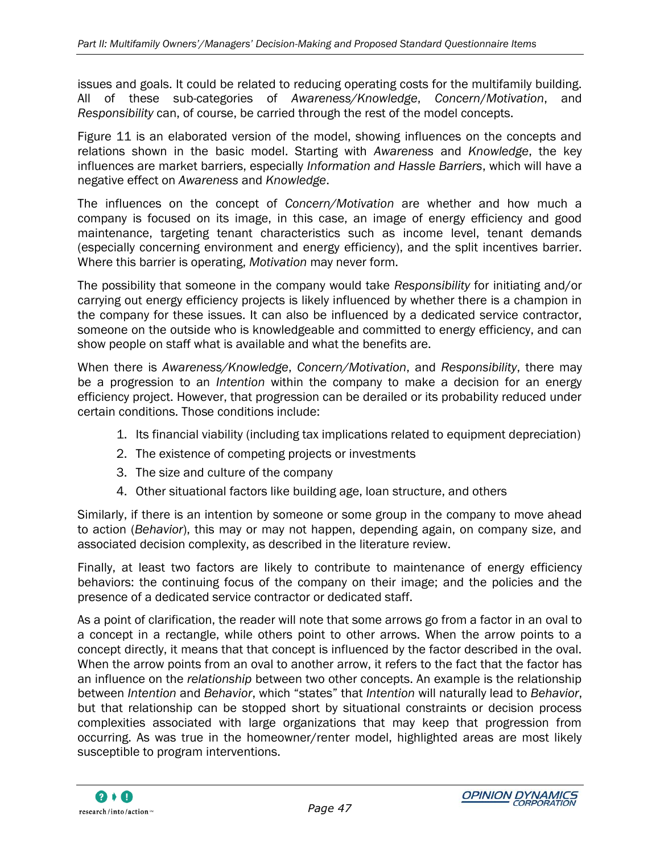issues and goals. It could be related to reducing operating costs for the multifamily building. All of these sub-categories of *Awareness/Knowledge*, *Concern*/*Motivation*, and *Responsibility* can, of course, be carried through the rest of the model concepts.

[Figure 11](#page-57-0) is an elaborated version of the model, showing influences on the concepts and relations shown in the basic model. Starting with *Awareness* and *Knowledge*, the key influences are market barriers, especially *Information and Hassle Barriers*, which will have a negative effect on *Awareness* and *Knowledge*.

The influences on the concept of *Concern/Motivation* are whether and how much a company is focused on its image, in this case, an image of energy efficiency and good maintenance, targeting tenant characteristics such as income level, tenant demands (especially concerning environment and energy efficiency), and the split incentives barrier. Where this barrier is operating, *Motivation* may never form.

The possibility that someone in the company would take *Responsibility* for initiating and/or carrying out energy efficiency projects is likely influenced by whether there is a champion in the company for these issues. It can also be influenced by a dedicated service contractor, someone on the outside who is knowledgeable and committed to energy efficiency, and can show people on staff what is available and what the benefits are.

When there is *Awareness/Knowledge*, *Concern/Motivation*, and *Responsibility*, there may be a progression to an *Intention* within the company to make a decision for an energy efficiency project. However, that progression can be derailed or its probability reduced under certain conditions. Those conditions include:

- 1. Its financial viability (including tax implications related to equipment depreciation)
- 2. The existence of competing projects or investments
- 3. The size and culture of the company
- 4. Other situational factors like building age, loan structure, and others

Similarly, if there is an intention by someone or some group in the company to move ahead to action (*Behavior*), this may or may not happen, depending again, on company size, and associated decision complexity, as described in the literature review.

Finally, at least two factors are likely to contribute to maintenance of energy efficiency behaviors: the continuing focus of the company on their image; and the policies and the presence of a dedicated service contractor or dedicated staff.

As a point of clarification, the reader will note that some arrows go from a factor in an oval to a concept in a rectangle, while others point to other arrows. When the arrow points to a concept directly, it means that that concept is influenced by the factor described in the oval. When the arrow points from an oval to another arrow, it refers to the fact that the factor has an influence on the *relationship* between two other concepts. An example is the relationship between *Intention* and *Behavior*, which "states" that *Intention* will naturally lead to *Behavior*, but that relationship can be stopped short by situational constraints or decision process complexities associated with large organizations that may keep that progression from occurring. As was true in the homeowner/renter model, highlighted areas are most likely susceptible to program interventions.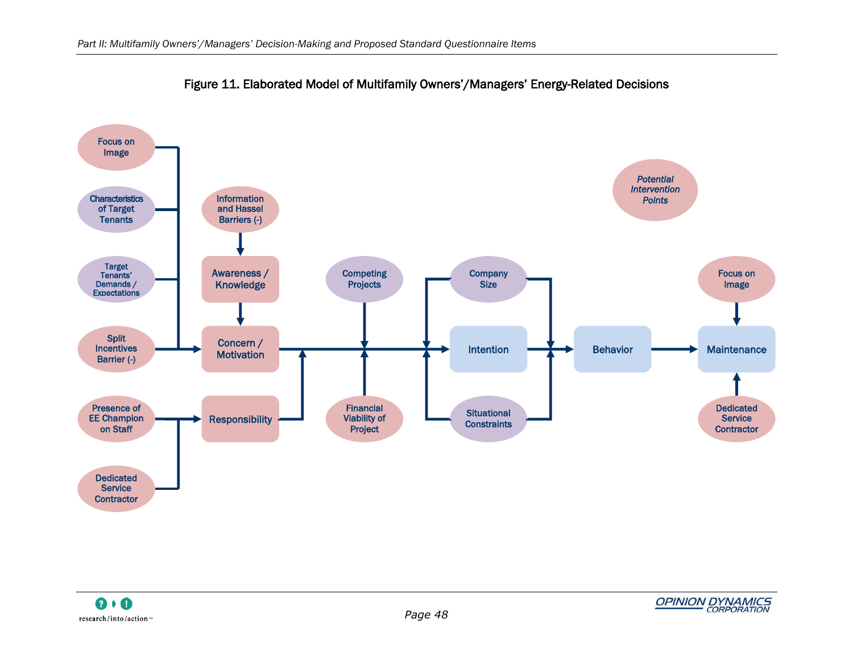<span id="page-57-0"></span>

Figure 11. Elaborated Model of Multifamily Owners"/Managers" Energy-Related Decisions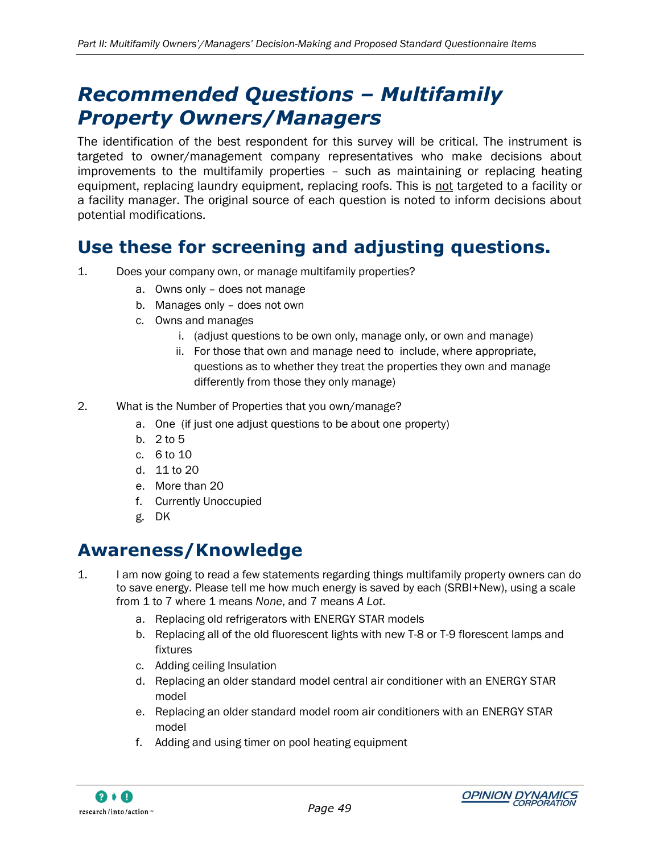# <span id="page-58-0"></span>*Recommended Questions – Multifamily Property Owners/Managers*

The identification of the best respondent for this survey will be critical. The instrument is targeted to owner/management company representatives who make decisions about improvements to the multifamily properties – such as maintaining or replacing heating equipment, replacing laundry equipment, replacing roofs. This is not targeted to a facility or a facility manager. The original source of each question is noted to inform decisions about potential modifications.

### <span id="page-58-1"></span>**Use these for screening and adjusting questions.**

- 1. Does your company own, or manage multifamily properties?
	- a. Owns only does not manage
	- b. Manages only does not own
	- c. Owns and manages
		- i. (adjust questions to be own only, manage only, or own and manage)
		- ii. For those that own and manage need to include, where appropriate, questions as to whether they treat the properties they own and manage differently from those they only manage)
- 2. What is the Number of Properties that you own/manage?
	- a. One (if just one adjust questions to be about one property)
	- b. 2 to 5
	- c. 6 to 10
	- d. 11 to 20
	- e. More than 20
	- f. Currently Unoccupied
	- g. DK

### <span id="page-58-2"></span>**Awareness/Knowledge**

- 1. I am now going to read a few statements regarding things multifamily property owners can do to save energy. Please tell me how much energy is saved by each (SRBI+New), using a scale from 1 to 7 where 1 means *None*, and 7 means *A Lot*.
	- a. Replacing old refrigerators with ENERGY STAR models
	- b. Replacing all of the old fluorescent lights with new T-8 or T-9 florescent lamps and fixtures
	- c. Adding ceiling Insulation
	- d. Replacing an older standard model central air conditioner with an ENERGY STAR model
	- e. Replacing an older standard model room air conditioners with an ENERGY STAR model
	- f. Adding and using timer on pool heating equipment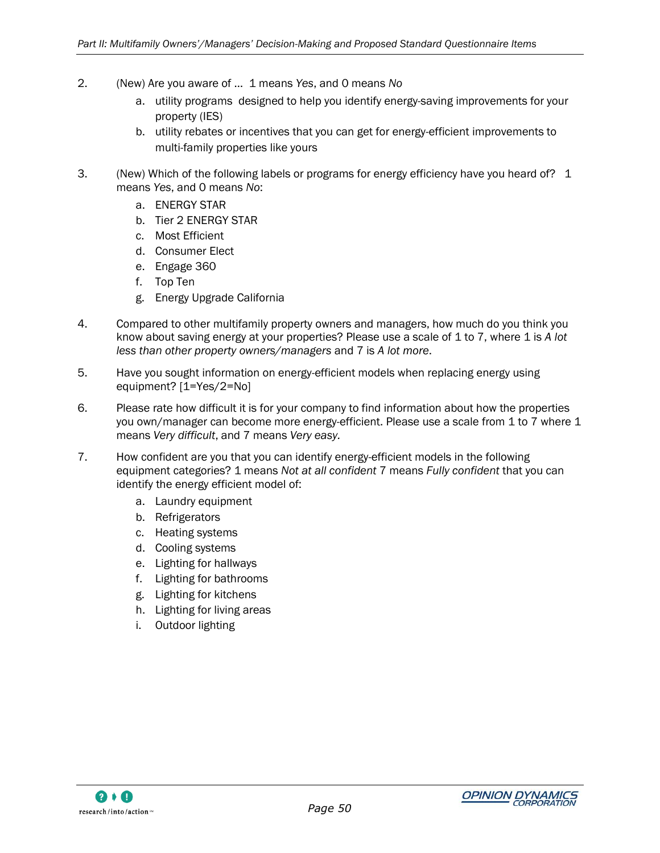- 2. (New) Are you aware of … 1 means *Yes*, and 0 means *No*
	- a. utility programs designed to help you identify energy-saving improvements for your property (IES)
	- b. utility rebates or incentives that you can get for energy-efficient improvements to multi-family properties like yours
- 3. (New) Which of the following labels or programs for energy efficiency have you heard of? 1 means *Yes*, and 0 means *No*:
	- a. ENERGY STAR
	- b. Tier 2 ENERGY STAR
	- c. Most Efficient
	- d. Consumer Elect
	- e. Engage 360
	- f. Top Ten
	- g. Energy Upgrade California
- 4. Compared to other multifamily property owners and managers, how much do you think you know about saving energy at your properties? Please use a scale of 1 to 7, where 1 is *A lot less than other property owners/managers* and 7 is *A lot more*.
- 5. Have you sought information on energy-efficient models when replacing energy using equipment? [1=Yes/2=No]
- 6. Please rate how difficult it is for your company to find information about how the properties you own/manager can become more energy-efficient. Please use a scale from 1 to 7 where 1 means *Very difficult*, and 7 means *Very easy.*
- 7. How confident are you that you can identify energy-efficient models in the following equipment categories? 1 means *Not at all confident* 7 means *Fully confident* that you can identify the energy efficient model of:
	- a. Laundry equipment
	- b. Refrigerators
	- c. Heating systems
	- d. Cooling systems
	- e. Lighting for hallways
	- f. Lighting for bathrooms
	- g. Lighting for kitchens
	- h. Lighting for living areas
	- i. Outdoor lighting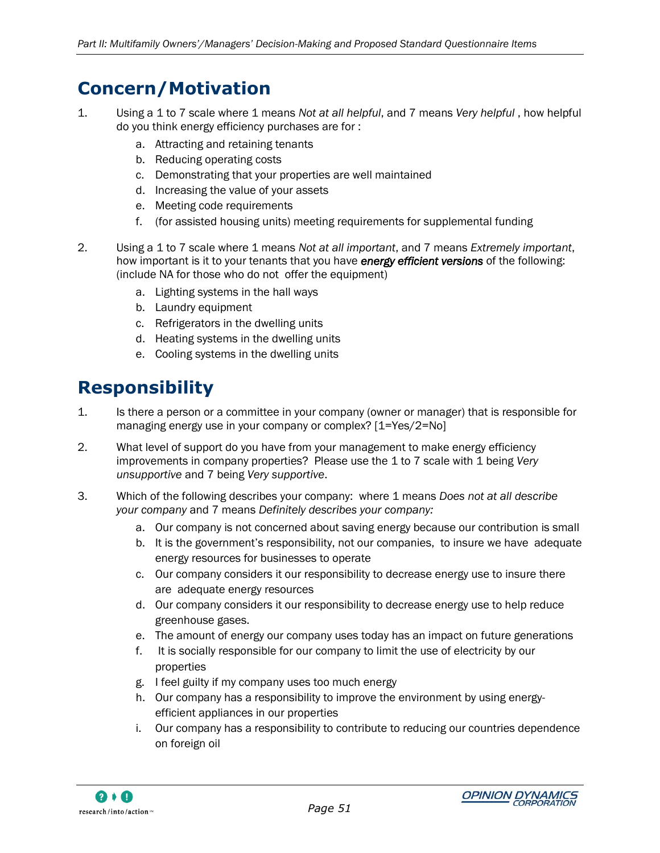## <span id="page-60-0"></span>**Concern/Motivation**

- 1. Using a 1 to 7 scale where 1 means *Not at all helpful*, and 7 means *Very helpful* , how helpful do you think energy efficiency purchases are for :
	- a. Attracting and retaining tenants
	- b. Reducing operating costs
	- c. Demonstrating that your properties are well maintained
	- d. Increasing the value of your assets
	- e. Meeting code requirements
	- f. (for assisted housing units) meeting requirements for supplemental funding
- 2. Using a 1 to 7 scale where 1 means *Not at all important*, and 7 means *Extremely important*, how important is it to your tenants that you have *energy efficient versions* of the following: (include NA for those who do not offer the equipment)
	- a. Lighting systems in the hall ways
	- b. Laundry equipment
	- c. Refrigerators in the dwelling units
	- d. Heating systems in the dwelling units
	- e. Cooling systems in the dwelling units

## <span id="page-60-1"></span>**Responsibility**

- 1. Is there a person or a committee in your company (owner or manager) that is responsible for managing energy use in your company or complex? [1=Yes/2=No]
- 2. What level of support do you have from your management to make energy efficiency improvements in company properties? Please use the 1 to 7 scale with 1 being *Very unsupportive* and 7 being *Very supportive*.
- 3. Which of the following describes your company: where 1 means *Does not at all describe your company* and 7 means *Definitely describes your company:*
	- a. Our company is not concerned about saving energy because our contribution is small
	- b. It is the government"s responsibility, not our companies, to insure we have adequate energy resources for businesses to operate
	- c. Our company considers it our responsibility to decrease energy use to insure there are adequate energy resources
	- d. Our company considers it our responsibility to decrease energy use to help reduce greenhouse gases.
	- e. The amount of energy our company uses today has an impact on future generations
	- f. It is socially responsible for our company to limit the use of electricity by our properties
	- g. I feel guilty if my company uses too much energy
	- h. Our company has a responsibility to improve the environment by using energyefficient appliances in our properties
	- i. Our company has a responsibility to contribute to reducing our countries dependence on foreign oil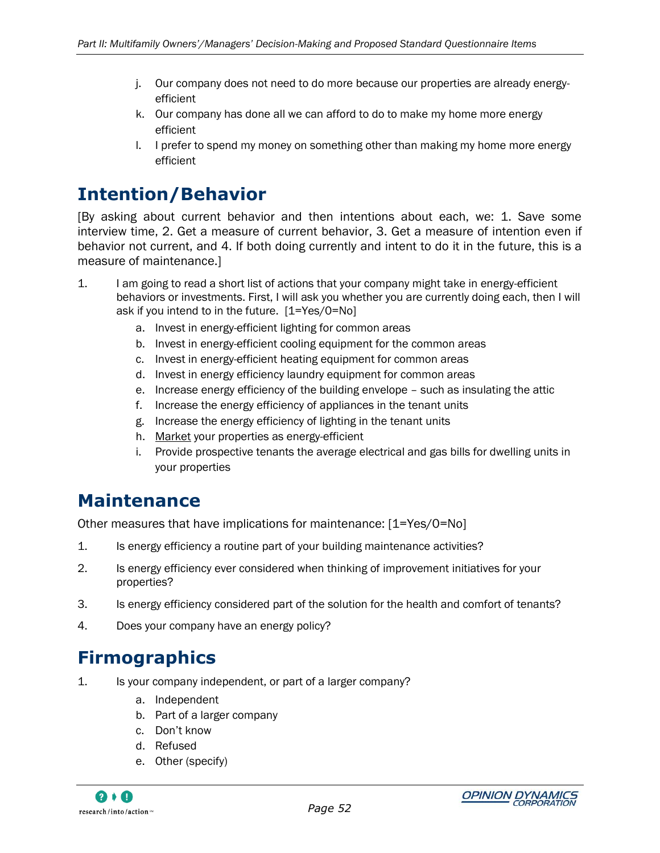- j. Our company does not need to do more because our properties are already energyefficient
- k. Our company has done all we can afford to do to make my home more energy efficient
- l. I prefer to spend my money on something other than making my home more energy efficient

## <span id="page-61-0"></span>**Intention/Behavior**

[By asking about current behavior and then intentions about each, we: 1. Save some interview time, 2. Get a measure of current behavior, 3. Get a measure of intention even if behavior not current, and 4. If both doing currently and intent to do it in the future, this is a measure of maintenance.]

- 1. I am going to read a short list of actions that your company might take in energy-efficient behaviors or investments. First, I will ask you whether you are currently doing each, then I will ask if you intend to in the future. [1=Yes/0=No]
	- a. Invest in energy-efficient lighting for common areas
	- b. Invest in energy-efficient cooling equipment for the common areas
	- c. Invest in energy-efficient heating equipment for common areas
	- d. Invest in energy efficiency laundry equipment for common areas
	- e. Increase energy efficiency of the building envelope such as insulating the attic
	- f. Increase the energy efficiency of appliances in the tenant units
	- g. Increase the energy efficiency of lighting in the tenant units
	- h. Market your properties as energy-efficient
	- i. Provide prospective tenants the average electrical and gas bills for dwelling units in your properties

### <span id="page-61-1"></span>**Maintenance**

Other measures that have implications for maintenance: [1=Yes/0=No]

- 1. Is energy efficiency a routine part of your building maintenance activities?
- 2. Is energy efficiency ever considered when thinking of improvement initiatives for your properties?
- 3. Is energy efficiency considered part of the solution for the health and comfort of tenants?
- 4. Does your company have an energy policy?

## <span id="page-61-2"></span>**Firmographics**

- 1. Is your company independent, or part of a larger company?
	- a. Independent
	- b. Part of a larger company
	- c. Don"t know
	- d. Refused
	- e. Other (specify)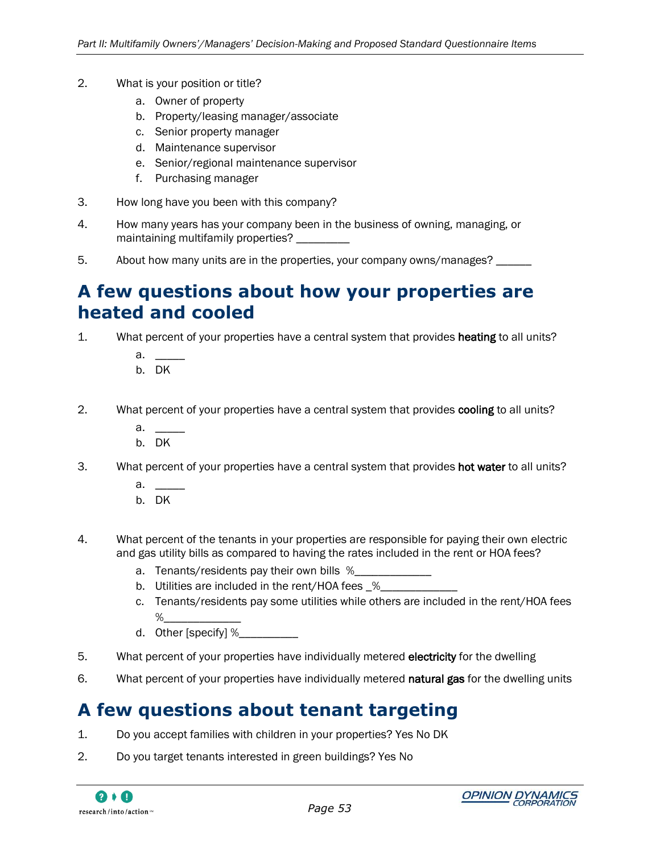- 2. What is your position or title?
	- a. Owner of property
	- b. Property/leasing manager/associate
	- c. Senior property manager
	- d. Maintenance supervisor
	- e. Senior/regional maintenance supervisor
	- f. Purchasing manager
- 3. How long have you been with this company?
- 4. How many years has your company been in the business of owning, managing, or maintaining multifamily properties?
- 5. About how many units are in the properties, your company owns/manages? \_\_\_\_\_\_

### <span id="page-62-0"></span>**A few questions about how your properties are heated and cooled**

- 1. What percent of your properties have a central system that provides **heating** to all units?
	- a. \_\_\_\_\_ b. DK
	-
- 2. What percent of your properties have a central system that provides cooling to all units?
	- $\overline{a}$ .
	- b. DK
- 3. What percent of your properties have a central system that provides **hot water** to all units?
	- a.
	- b. DK
- 4. What percent of the tenants in your properties are responsible for paying their own electric and gas utility bills as compared to having the rates included in the rent or HOA fees?
	- a. Tenants/residents pay their own bills %
	- b. Utilities are included in the rent/HOA fees \_%\_
	- c. Tenants/residents pay some utilities while others are included in the rent/HOA fees  $\%$
	- d. Other [specify] %
- 5. What percent of your properties have individually metered electricity for the dwelling
- 6. What percent of your properties have individually metered natural gas for the dwelling units

### <span id="page-62-1"></span>**A few questions about tenant targeting**

- 1. Do you accept families with children in your properties? Yes No DK
- 2. Do you target tenants interested in green buildings? Yes No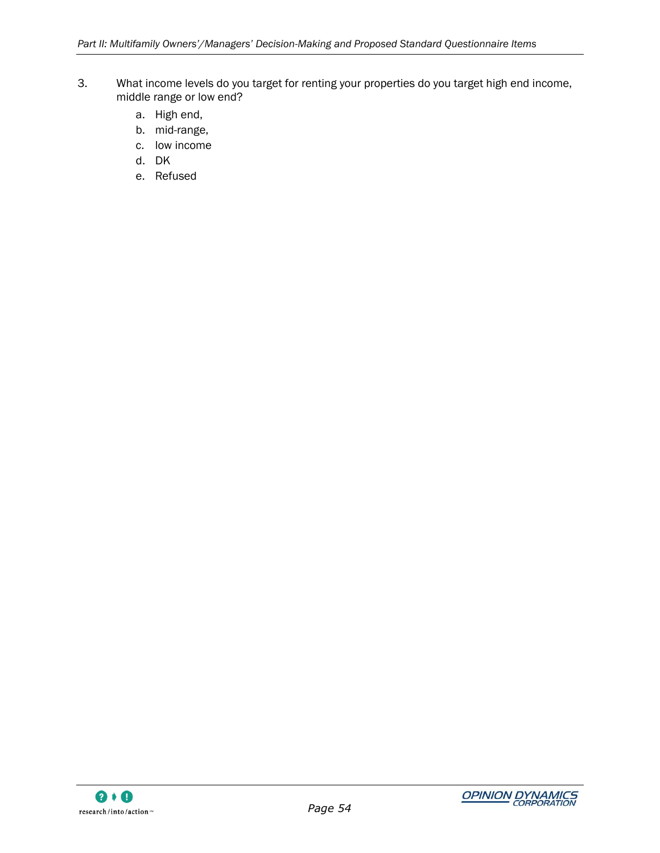- 3. What income levels do you target for renting your properties do you target high end income, middle range or low end?
	- a. High end,
	- b. mid-range,
	- c. low income
	- d. DK
	- e. Refused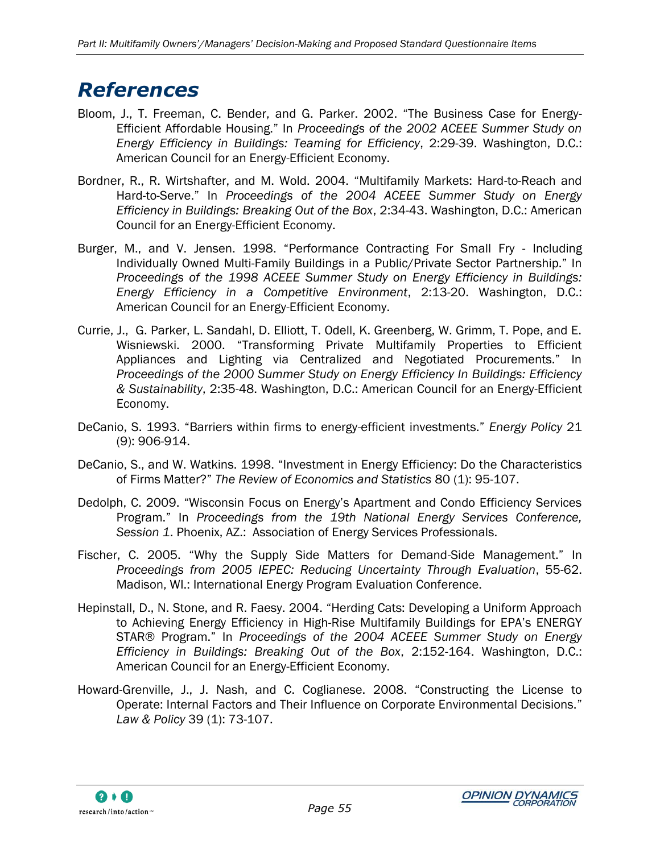# <span id="page-64-0"></span>*References*

- Bloom, J., T. Freeman, C. Bender, and G. Parker. 2002. "The Business Case for Energy-Efficient Affordable Housing." In *Proceedings of the 2002 ACEEE Summer Study on Energy Efficiency in Buildings: Teaming for Efficiency*, 2:29-39. Washington, D.C.: American Council for an Energy-Efficient Economy.
- Bordner, R., R. Wirtshafter, and M. Wold. 2004. "Multifamily Markets: Hard-to-Reach and Hard-to-Serve." In *Proceedings of the 2004 ACEEE Summer Study on Energy Efficiency in Buildings: Breaking Out of the Box*, 2:34-43. Washington, D.C.: American Council for an Energy-Efficient Economy.
- Burger, M., and V. Jensen. 1998. "Performance Contracting For Small Fry Including Individually Owned Multi-Family Buildings in a Public/Private Sector Partnership." In *Proceedings of the 1998 ACEEE Summer Study on Energy Efficiency in Buildings: Energy Efficiency in a Competitive Environment*, 2:13-20. Washington, D.C.: American Council for an Energy-Efficient Economy.
- Currie, J., G. Parker, L. Sandahl, D. Elliott, T. Odell, K. Greenberg, W. Grimm, T. Pope, and E. Wisniewski. 2000. "Transforming Private Multifamily Properties to Efficient Appliances and Lighting via Centralized and Negotiated Procurements." In *Proceedings of the 2000 Summer Study on Energy Efficiency In Buildings: Efficiency & Sustainability*, 2:35-48. Washington, D.C.: American Council for an Energy-Efficient Economy.
- DeCanio, S. 1993. "Barriers within firms to energy-efficient investments." *Energy Policy* 21 (9): 906-914.
- DeCanio, S., and W. Watkins. 1998. "Investment in Energy Efficiency: Do the Characteristics of Firms Matter?" *The Review of Economics and Statistics* 80 (1): 95-107.
- Dedolph, C. 2009. "Wisconsin Focus on Energy"s Apartment and Condo Efficiency Services Program." In *Proceedings from the 19th National Energy Services Conference, Session 1*. Phoenix, AZ.: Association of Energy Services Professionals.
- Fischer, C. 2005. "Why the Supply Side Matters for Demand-Side Management." In *Proceedings from 2005 IEPEC: Reducing Uncertainty Through Evaluation*, 55-62. Madison, WI.: International Energy Program Evaluation Conference.
- Hepinstall, D., N. Stone, and R. Faesy. 2004. "Herding Cats: Developing a Uniform Approach to Achieving Energy Efficiency in High-Rise Multifamily Buildings for EPA"s ENERGY STAR® Program." In *Proceedings of the 2004 ACEEE Summer Study on Energy Efficiency in Buildings: Breaking Out of the Box*, 2:152-164. Washington, D.C.: American Council for an Energy-Efficient Economy.
- Howard-Grenville, J., J. Nash, and C. Coglianese. 2008. "Constructing the License to Operate: Internal Factors and Their Influence on Corporate Environmental Decisions." *Law & Policy* 39 (1): 73-107.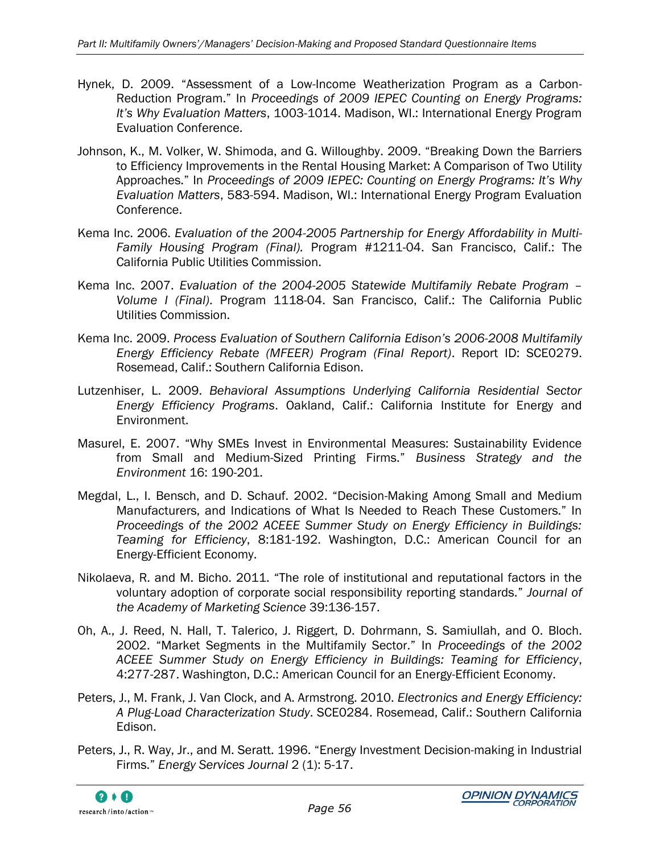- Hynek, D. 2009. "Assessment of a Low-Income Weatherization Program as a Carbon-Reduction Program." In *Proceedings of 2009 IEPEC Counting on Energy Programs: It's Why Evaluation Matters*, 1003-1014. Madison, WI.: International Energy Program Evaluation Conference.
- Johnson, K., M. Volker, W. Shimoda, and G. Willoughby. 2009. "Breaking Down the Barriers to Efficiency Improvements in the Rental Housing Market: A Comparison of Two Utility Approaches." In *Proceedings of 2009 IEPEC: Counting on Energy Programs: It's Why Evaluation Matters*, 583-594. Madison, WI.: International Energy Program Evaluation Conference.
- Kema Inc. 2006. *Evaluation of the 2004-2005 Partnership for Energy Affordability in Multi-Family Housing Program (Final).* Program #1211-04. San Francisco, Calif.: The California Public Utilities Commission.
- Kema Inc. 2007. *Evaluation of the 2004-2005 Statewide Multifamily Rebate Program – Volume I (Final)*. Program 1118-04. San Francisco, Calif.: The California Public Utilities Commission.
- Kema Inc. 2009. *Process Evaluation of Southern California Edison's 2006-2008 Multifamily Energy Efficiency Rebate (MFEER) Program (Final Report)*. Report ID: SCE0279. Rosemead, Calif.: Southern California Edison.
- Lutzenhiser, L. 2009. *Behavioral Assumptions Underlying California Residential Sector Energy Efficiency Programs*. Oakland, Calif.: California Institute for Energy and Environment.
- Masurel, E. 2007. "Why SMEs Invest in Environmental Measures: Sustainability Evidence from Small and Medium-Sized Printing Firms." *Business Strategy and the Environment* 16: 190-201.
- Megdal, L., I. Bensch, and D. Schauf. 2002. "Decision-Making Among Small and Medium Manufacturers, and Indications of What Is Needed to Reach These Customers." In *Proceedings of the 2002 ACEEE Summer Study on Energy Efficiency in Buildings: Teaming for Efficiency*, 8:181-192. Washington, D.C.: American Council for an Energy-Efficient Economy.
- Nikolaeva, R. and M. Bicho. 2011. "The role of institutional and reputational factors in the voluntary adoption of corporate social responsibility reporting standards." *Journal of the Academy of Marketing Science* 39:136-157.
- Oh, A., J. Reed, N. Hall, T. Talerico, J. Riggert, D. Dohrmann, S. Samiullah, and O. Bloch. 2002. "Market Segments in the Multifamily Sector." In *Proceedings of the 2002 ACEEE Summer Study on Energy Efficiency in Buildings: Teaming for Efficiency*, 4:277-287. Washington, D.C.: American Council for an Energy-Efficient Economy.
- Peters, J., M. Frank, J. Van Clock, and A. Armstrong. 2010. *Electronics and Energy Efficiency: A Plug-Load Characterization Study*. SCE0284. Rosemead, Calif.: Southern California Edison.
- Peters, J., R. Way, Jr., and M. Seratt. 1996. "Energy Investment Decision-making in Industrial Firms." *Energy Services Journal* 2 (1): 5-17.